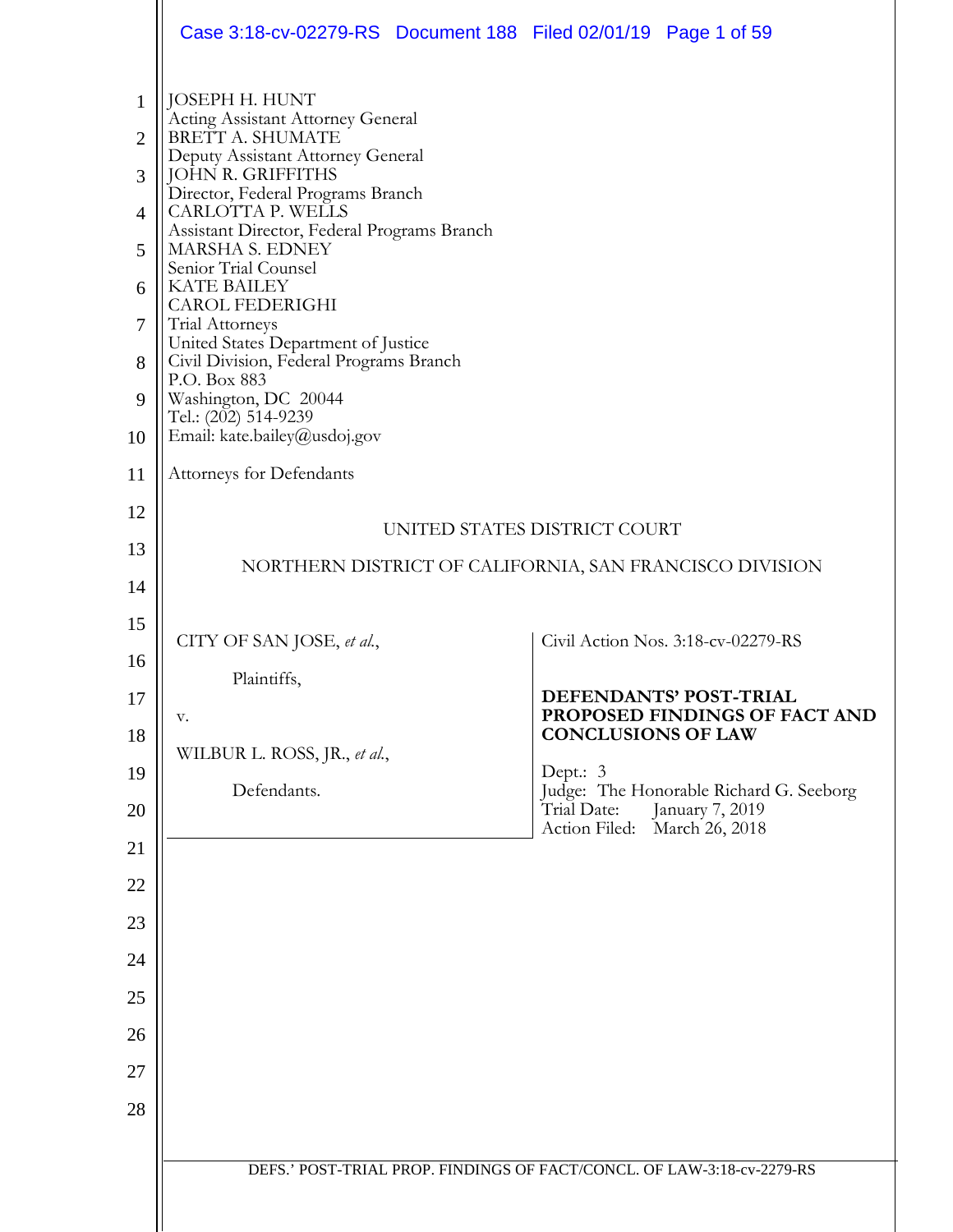|                                | Case 3:18-cv-02279-RS Document 188 Filed 02/01/19 Page 1 of 59                         |                                                                           |
|--------------------------------|----------------------------------------------------------------------------------------|---------------------------------------------------------------------------|
| $\mathbf{1}$<br>$\overline{2}$ | JOSEPH H. HUNT<br><b>Acting Assistant Attorney General</b><br>BRETT A. SHUMATE         |                                                                           |
| 3                              | Deputy Assistant Attorney General<br>JOHN R. GRIFFITHS                                 |                                                                           |
| 4                              | Director, Federal Programs Branch<br>CARLOTTA P. WELLS                                 |                                                                           |
| 5                              | Assistant Director, Federal Programs Branch<br>MARSHA S. EDNEY<br>Senior Trial Counsel |                                                                           |
| 6                              | <b>KATE BAILEY</b><br><b>CAROL FEDERIGHI</b>                                           |                                                                           |
| $\tau$                         | Trial Attorneys<br>United States Department of Justice                                 |                                                                           |
| 8                              | Civil Division, Federal Programs Branch<br>P.O. Box 883                                |                                                                           |
| 9                              | Washington, DC 20044<br>Tel.: (202) 514-9239                                           |                                                                           |
| 10                             | Email: kate.bailey@usdoj.gov                                                           |                                                                           |
| 11                             | <b>Attorneys for Defendants</b>                                                        |                                                                           |
| 12                             |                                                                                        | UNITED STATES DISTRICT COURT                                              |
| 13                             |                                                                                        | NORTHERN DISTRICT OF CALIFORNIA, SAN FRANCISCO DIVISION                   |
| 14                             |                                                                                        |                                                                           |
| 15                             | CITY OF SAN JOSE, et al.,                                                              | Civil Action Nos. 3:18-cv-02279-RS                                        |
| 16                             | Plaintiffs,                                                                            | DEFENDANTS' POST-TRIAL                                                    |
| 17                             | V.                                                                                     | PROPOSED FINDINGS OF FACT AND<br><b>CONCLUSIONS OF LAW</b>                |
| 18<br>19                       | WILBUR L. ROSS, JR., et al.,                                                           | Dept.: $3$                                                                |
| 20                             | Defendants.                                                                            | Judge: The Honorable Richard G. Seeborg<br>Trial Date:<br>January 7, 2019 |
| 21                             |                                                                                        | Action Filed:<br>March 26, 2018                                           |
| 22                             |                                                                                        |                                                                           |
| 23                             |                                                                                        |                                                                           |
| 24                             |                                                                                        |                                                                           |
| 25                             |                                                                                        |                                                                           |
| 26                             |                                                                                        |                                                                           |
| 27                             |                                                                                        |                                                                           |
| 28                             |                                                                                        |                                                                           |
|                                |                                                                                        |                                                                           |
|                                |                                                                                        | DEFS.' POST-TRIAL PROP. FINDINGS OF FACT/CONCL. OF LAW-3:18-cv-2279-RS    |
|                                |                                                                                        |                                                                           |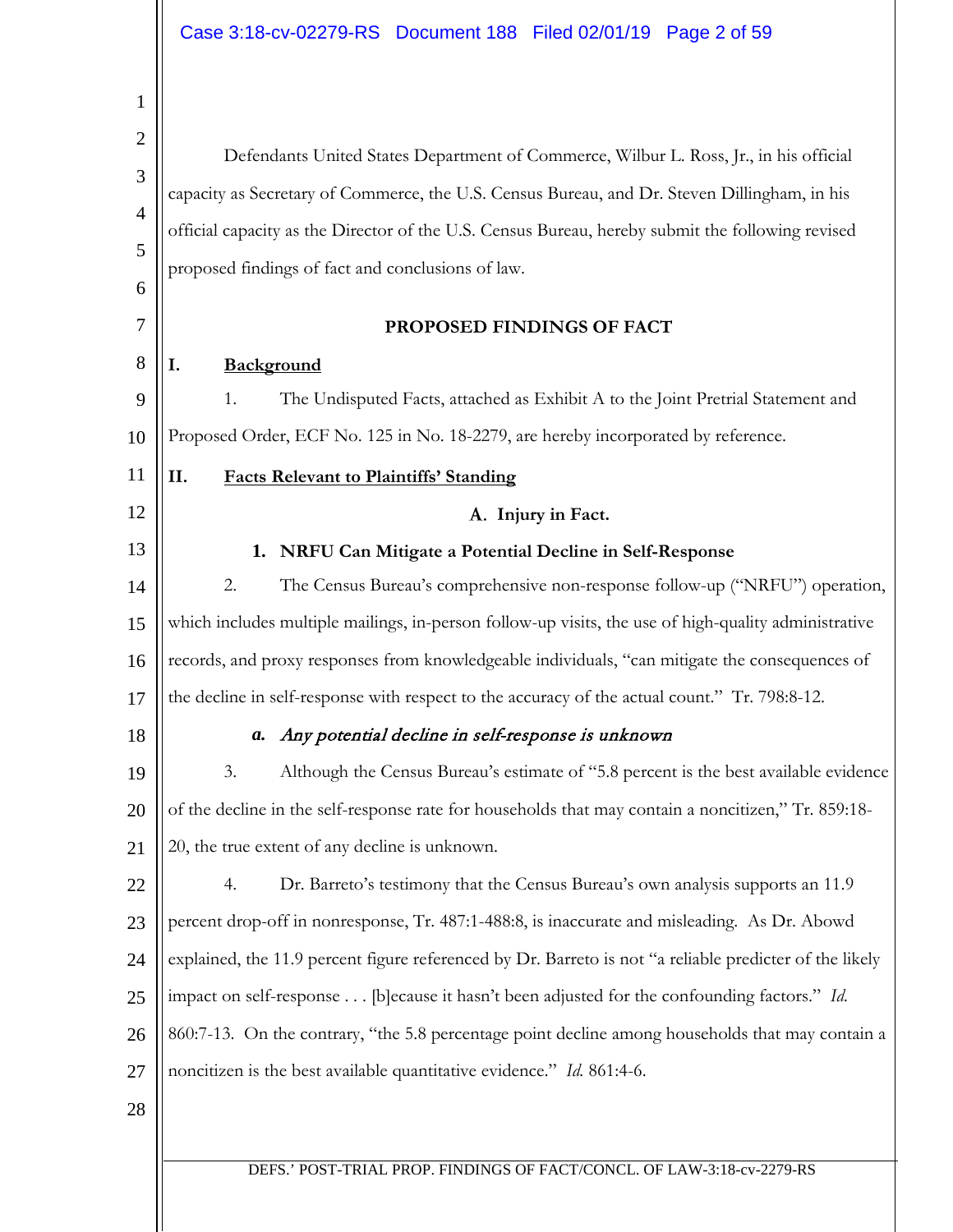| 1                                                              |                                                                                                                                                                                                                                                                                                                                                                                                                                                                                          |  |
|----------------------------------------------------------------|------------------------------------------------------------------------------------------------------------------------------------------------------------------------------------------------------------------------------------------------------------------------------------------------------------------------------------------------------------------------------------------------------------------------------------------------------------------------------------------|--|
| $\overline{2}$<br>3<br>$\overline{4}$<br>5<br>6<br>7<br>8<br>9 | Defendants United States Department of Commerce, Wilbur L. Ross, Jr., in his official<br>capacity as Secretary of Commerce, the U.S. Census Bureau, and Dr. Steven Dillingham, in his<br>official capacity as the Director of the U.S. Census Bureau, hereby submit the following revised<br>proposed findings of fact and conclusions of law.<br>PROPOSED FINDINGS OF FACT<br>I.<br>Background<br>1.<br>The Undisputed Facts, attached as Exhibit A to the Joint Pretrial Statement and |  |
| 10                                                             | Proposed Order, ECF No. 125 in No. 18-2279, are hereby incorporated by reference.                                                                                                                                                                                                                                                                                                                                                                                                        |  |
| 11                                                             | II.<br><b>Facts Relevant to Plaintiffs' Standing</b>                                                                                                                                                                                                                                                                                                                                                                                                                                     |  |
| 12                                                             | A. Injury in Fact.                                                                                                                                                                                                                                                                                                                                                                                                                                                                       |  |
| 13                                                             | NRFU Can Mitigate a Potential Decline in Self-Response<br>1.                                                                                                                                                                                                                                                                                                                                                                                                                             |  |
| 14                                                             | 2.<br>The Census Bureau's comprehensive non-response follow-up ("NRFU") operation,                                                                                                                                                                                                                                                                                                                                                                                                       |  |
| 15                                                             | which includes multiple mailings, in-person follow-up visits, the use of high-quality administrative                                                                                                                                                                                                                                                                                                                                                                                     |  |
| 16                                                             | records, and proxy responses from knowledgeable individuals, "can mitigate the consequences of                                                                                                                                                                                                                                                                                                                                                                                           |  |
| 17                                                             | the decline in self-response with respect to the accuracy of the actual count." Tr. 798:8-12.                                                                                                                                                                                                                                                                                                                                                                                            |  |
| 18                                                             | Any potential decline in self-response is unknown<br>а.                                                                                                                                                                                                                                                                                                                                                                                                                                  |  |
| 19                                                             | Although the Census Bureau's estimate of "5.8 percent is the best available evidence<br>3.                                                                                                                                                                                                                                                                                                                                                                                               |  |
| 20                                                             | of the decline in the self-response rate for households that may contain a noncitizen," Tr. 859:18-                                                                                                                                                                                                                                                                                                                                                                                      |  |
| 21                                                             | 20, the true extent of any decline is unknown.                                                                                                                                                                                                                                                                                                                                                                                                                                           |  |
| 22                                                             | Dr. Barreto's testimony that the Census Bureau's own analysis supports an 11.9<br>4.                                                                                                                                                                                                                                                                                                                                                                                                     |  |
| 23                                                             | percent drop-off in nonresponse, Tr. 487:1-488:8, is inaccurate and misleading. As Dr. Abowd                                                                                                                                                                                                                                                                                                                                                                                             |  |
| 24                                                             | explained, the 11.9 percent figure referenced by Dr. Barreto is not "a reliable predicter of the likely                                                                                                                                                                                                                                                                                                                                                                                  |  |
| 25                                                             | impact on self-response [b]ecause it hasn't been adjusted for the confounding factors." Id.                                                                                                                                                                                                                                                                                                                                                                                              |  |
| 26                                                             | 860:7-13. On the contrary, "the 5.8 percentage point decline among households that may contain a                                                                                                                                                                                                                                                                                                                                                                                         |  |
| 27                                                             | noncitizen is the best available quantitative evidence." Id. 861:4-6.                                                                                                                                                                                                                                                                                                                                                                                                                    |  |
| 28                                                             |                                                                                                                                                                                                                                                                                                                                                                                                                                                                                          |  |
|                                                                |                                                                                                                                                                                                                                                                                                                                                                                                                                                                                          |  |
|                                                                | DEFS.' POST-TRIAL PROP. FINDINGS OF FACT/CONCL. OF LAW-3:18-cv-2279-RS                                                                                                                                                                                                                                                                                                                                                                                                                   |  |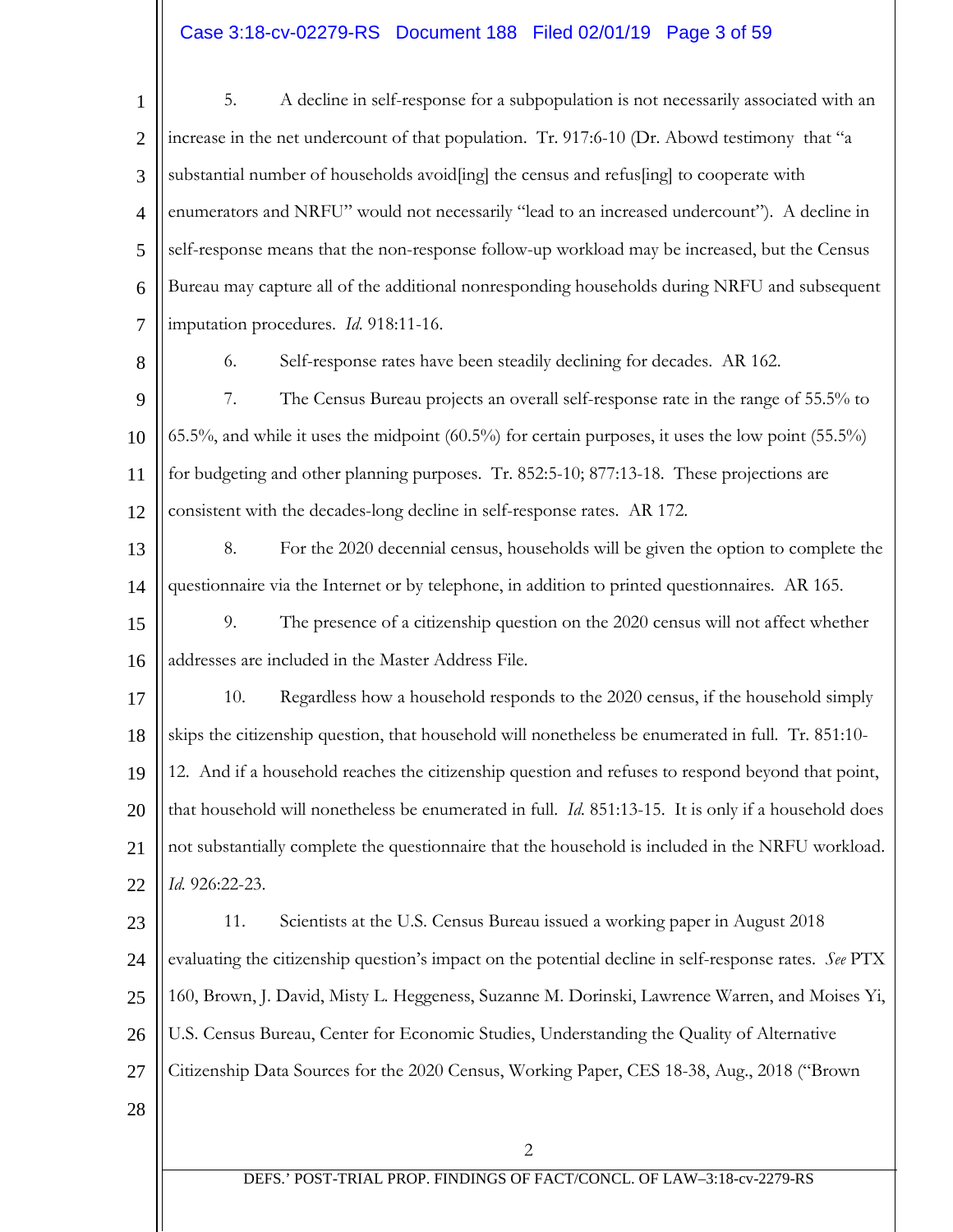# Case 3:18-cv-02279-RS Document 188 Filed 02/01/19 Page 3 of 59

| $\mathbf{1}$   | 5.<br>A decline in self-response for a subpopulation is not necessarily associated with an                  |
|----------------|-------------------------------------------------------------------------------------------------------------|
| $\overline{2}$ | increase in the net undercount of that population. Tr. 917:6-10 (Dr. Abowd testimony that "a                |
| 3              | substantial number of households avoid[ing] the census and refus[ing] to cooperate with                     |
| $\overline{4}$ | enumerators and NRFU" would not necessarily "lead to an increased undercount"). A decline in                |
| 5              | self-response means that the non-response follow-up workload may be increased, but the Census               |
| 6              | Bureau may capture all of the additional nonresponding households during NRFU and subsequent                |
| 7              | imputation procedures. Id. 918:11-16.                                                                       |
| 8              | 6.<br>Self-response rates have been steadily declining for decades. AR 162.                                 |
| 9              | 7.<br>The Census Bureau projects an overall self-response rate in the range of 55.5% to                     |
| 10             | 65.5%, and while it uses the midpoint (60.5%) for certain purposes, it uses the low point (55.5%)           |
| 11             | for budgeting and other planning purposes. Tr. 852:5-10; 877:13-18. These projections are                   |
| 12             | consistent with the decades-long decline in self-response rates. AR 172.                                    |
| 13             | 8.<br>For the 2020 decennial census, households will be given the option to complete the                    |
| 14             | questionnaire via the Internet or by telephone, in addition to printed questionnaires. AR 165.              |
| 15             | 9.<br>The presence of a citizenship question on the 2020 census will not affect whether                     |
| 16             | addresses are included in the Master Address File.                                                          |
| 17             | 10.<br>Regardless how a household responds to the 2020 census, if the household simply                      |
| 18             | skips the citizenship question, that household will nonetheless be enumerated in full. Tr. 851:10-          |
| 19             | 12. And if a household reaches the citizenship question and refuses to respond beyond that point,           |
| 20             | that household will nonetheless be enumerated in full. <i>Id.</i> 851:13-15. It is only if a household does |
| 21             | not substantially complete the questionnaire that the household is included in the NRFU workload.           |
| 22             | Id. 926:22-23.                                                                                              |
| 23             | 11.<br>Scientists at the U.S. Census Bureau issued a working paper in August 2018                           |
| 24             | evaluating the citizenship question's impact on the potential decline in self-response rates. See PTX       |
| 25             | 160, Brown, J. David, Misty L. Heggeness, Suzanne M. Dorinski, Lawrence Warren, and Moises Yi,              |
| 26             | U.S. Census Bureau, Center for Economic Studies, Understanding the Quality of Alternative                   |
| 27             | Citizenship Data Sources for the 2020 Census, Working Paper, CES 18-38, Aug., 2018 ("Brown"                 |
| 28             |                                                                                                             |
|                | $\overline{2}$                                                                                              |
|                | DEFS.' POST-TRIAL PROP. FINDINGS OF FACT/CONCL. OF LAW-3:18-cv-2279-RS                                      |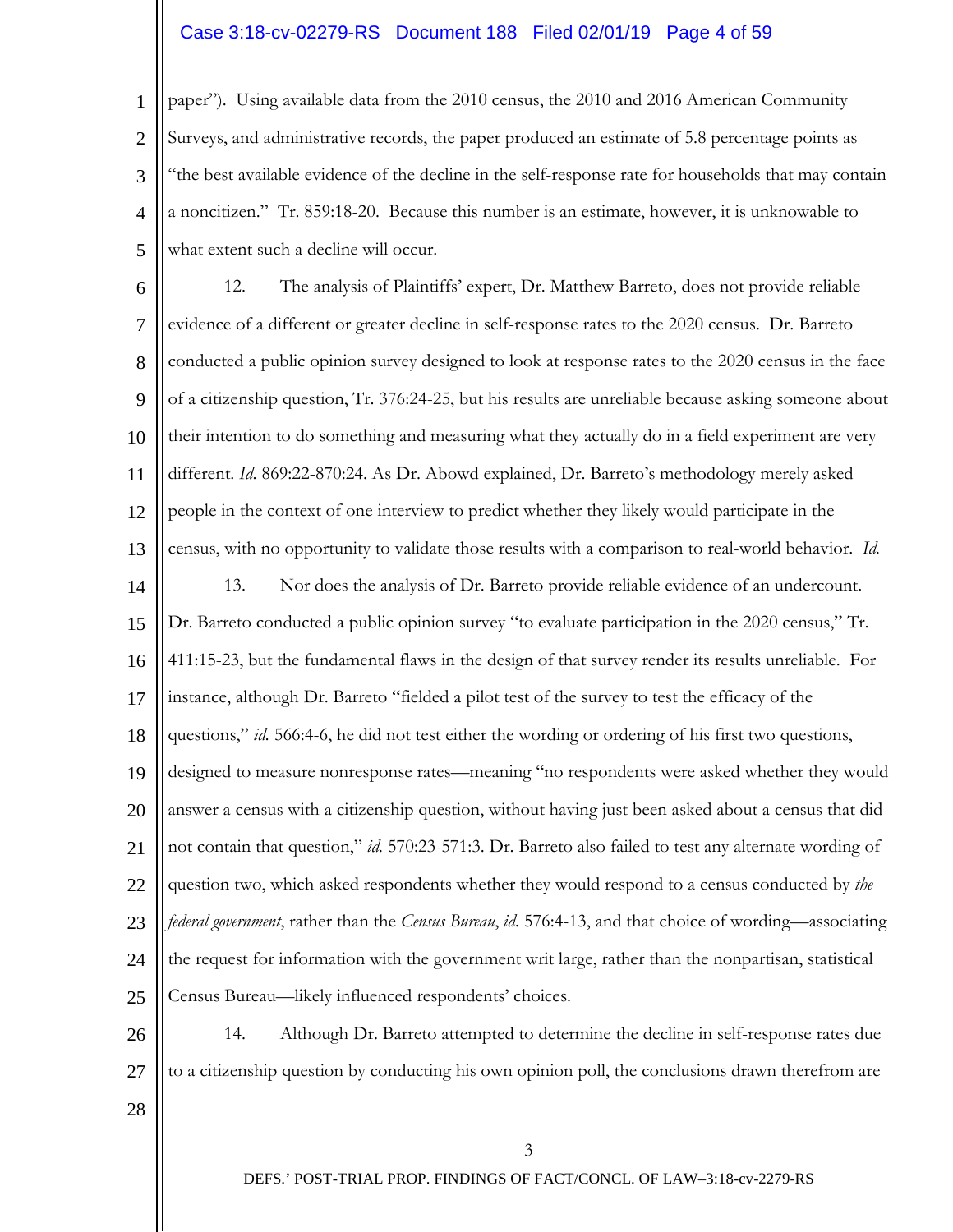## Case 3:18-cv-02279-RS Document 188 Filed 02/01/19 Page 4 of 59

1 2 3 4 5 paper"). Using available data from the 2010 census, the 2010 and 2016 American Community Surveys, and administrative records, the paper produced an estimate of 5.8 percentage points as "the best available evidence of the decline in the self-response rate for households that may contain a noncitizen." Tr. 859:18-20. Because this number is an estimate, however, it is unknowable to what extent such a decline will occur.

6 7 8 9 10 11 12 13 14 15 16 17 18 19 20 21 22 23 24 25 12. The analysis of Plaintiffs' expert, Dr. Matthew Barreto, does not provide reliable evidence of a different or greater decline in self-response rates to the 2020 census. Dr. Barreto conducted a public opinion survey designed to look at response rates to the 2020 census in the face of a citizenship question, Tr. 376:24-25, but his results are unreliable because asking someone about their intention to do something and measuring what they actually do in a field experiment are very different. *Id*. 869:22-870:24. As Dr. Abowd explained, Dr. Barreto's methodology merely asked people in the context of one interview to predict whether they likely would participate in the census, with no opportunity to validate those results with a comparison to real-world behavior. *Id.* 13. Nor does the analysis of Dr. Barreto provide reliable evidence of an undercount. Dr. Barreto conducted a public opinion survey "to evaluate participation in the 2020 census," Tr. 411:15-23, but the fundamental flaws in the design of that survey render its results unreliable. For instance, although Dr. Barreto "fielded a pilot test of the survey to test the efficacy of the questions," *id.* 566:4-6, he did not test either the wording or ordering of his first two questions, designed to measure nonresponse rates—meaning "no respondents were asked whether they would answer a census with a citizenship question, without having just been asked about a census that did not contain that question," *id.* 570:23-571:3. Dr. Barreto also failed to test any alternate wording of question two, which asked respondents whether they would respond to a census conducted by *the federal government*, rather than the *Census Bureau*, *id.* 576:4-13, and that choice of wording—associating the request for information with the government writ large, rather than the nonpartisan, statistical Census Bureau—likely influenced respondents' choices.

26 27 14. Although Dr. Barreto attempted to determine the decline in self-response rates due to a citizenship question by conducting his own opinion poll, the conclusions drawn therefrom are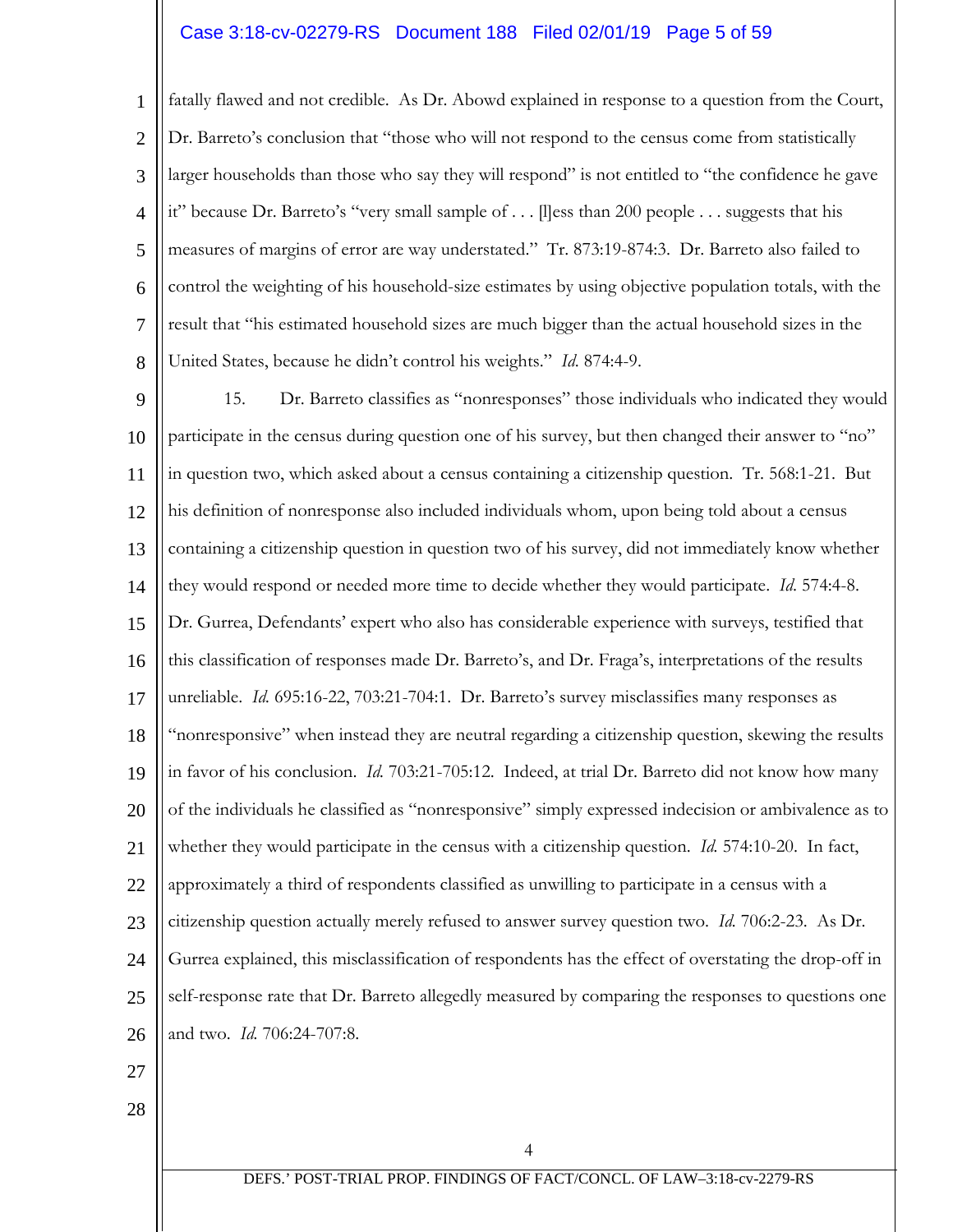### Case 3:18-cv-02279-RS Document 188 Filed 02/01/19 Page 5 of 59

1 2 3 4 5 6 7 8 fatally flawed and not credible. As Dr. Abowd explained in response to a question from the Court, Dr. Barreto's conclusion that "those who will not respond to the census come from statistically larger households than those who say they will respond" is not entitled to "the confidence he gave it" because Dr. Barreto's "very small sample of . . . [l]ess than 200 people . . . suggests that his measures of margins of error are way understated." Tr. 873:19-874:3. Dr. Barreto also failed to control the weighting of his household-size estimates by using objective population totals, with the result that "his estimated household sizes are much bigger than the actual household sizes in the United States, because he didn't control his weights." *Id*. 874:4-9.

9 10 11 12 13 14 15 16 17 18 19 20 21 22 23 24 25 26 15. Dr. Barreto classifies as "nonresponses" those individuals who indicated they would participate in the census during question one of his survey, but then changed their answer to "no" in question two, which asked about a census containing a citizenship question. Tr. 568:1-21. But his definition of nonresponse also included individuals whom, upon being told about a census containing a citizenship question in question two of his survey, did not immediately know whether they would respond or needed more time to decide whether they would participate. *Id*. 574:4-8. Dr. Gurrea, Defendants' expert who also has considerable experience with surveys, testified that this classification of responses made Dr. Barreto's, and Dr. Fraga's, interpretations of the results unreliable. *Id.* 695:16-22, 703:21-704:1. Dr. Barreto's survey misclassifies many responses as "nonresponsive" when instead they are neutral regarding a citizenship question, skewing the results in favor of his conclusion. *Id.* 703:21-705:12. Indeed, at trial Dr. Barreto did not know how many of the individuals he classified as "nonresponsive" simply expressed indecision or ambivalence as to whether they would participate in the census with a citizenship question. *Id.* 574:10-20. In fact, approximately a third of respondents classified as unwilling to participate in a census with a citizenship question actually merely refused to answer survey question two. *Id.* 706:2-23. As Dr. Gurrea explained, this misclassification of respondents has the effect of overstating the drop-off in self-response rate that Dr. Barreto allegedly measured by comparing the responses to questions one and two. *Id.* 706:24-707:8.

- 27
- 28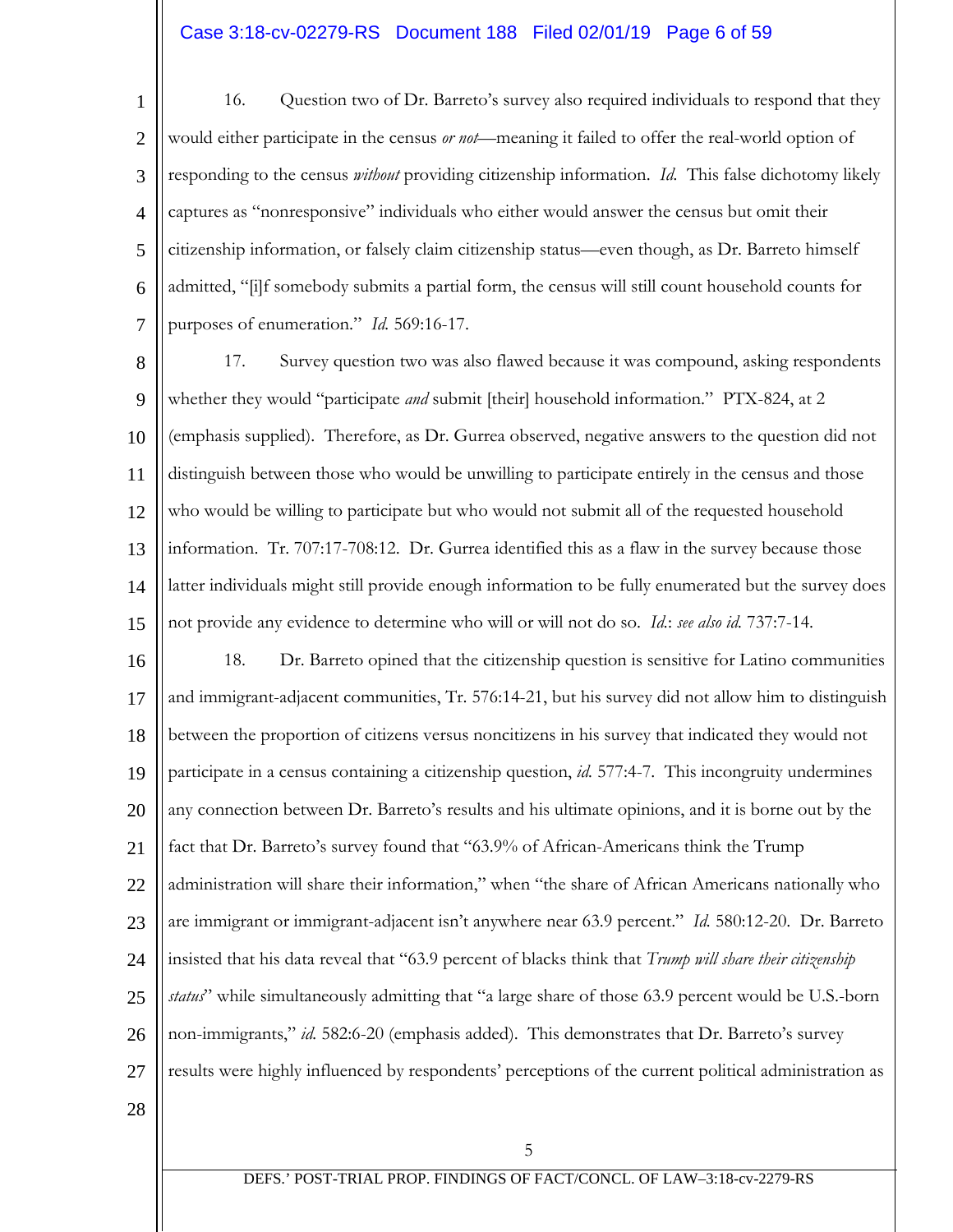## Case 3:18-cv-02279-RS Document 188 Filed 02/01/19 Page 6 of 59

1 2 3 4 5 6 7 16. Question two of Dr. Barreto's survey also required individuals to respond that they would either participate in the census *or not*—meaning it failed to offer the real-world option of responding to the census *without* providing citizenship information. *Id.* This false dichotomy likely captures as "nonresponsive" individuals who either would answer the census but omit their citizenship information, or falsely claim citizenship status—even though, as Dr. Barreto himself admitted, "[i]f somebody submits a partial form, the census will still count household counts for purposes of enumeration." *Id.* 569:16-17.

8 9 10 11 12 13 14 15 17. Survey question two was also flawed because it was compound, asking respondents whether they would "participate *and* submit [their] household information." PTX-824, at 2 (emphasis supplied). Therefore, as Dr. Gurrea observed, negative answers to the question did not distinguish between those who would be unwilling to participate entirely in the census and those who would be willing to participate but who would not submit all of the requested household information. Tr. 707:17-708:12. Dr. Gurrea identified this as a flaw in the survey because those latter individuals might still provide enough information to be fully enumerated but the survey does not provide any evidence to determine who will or will not do so. *Id.*: *see also id.* 737:7-14.

16 17 18 19 20 21 22 23 24 25 26 27 18. Dr. Barreto opined that the citizenship question is sensitive for Latino communities and immigrant-adjacent communities, Tr. 576:14-21, but his survey did not allow him to distinguish between the proportion of citizens versus noncitizens in his survey that indicated they would not participate in a census containing a citizenship question, *id.* 577:4-7. This incongruity undermines any connection between Dr. Barreto's results and his ultimate opinions, and it is borne out by the fact that Dr. Barreto's survey found that "63.9% of African-Americans think the Trump administration will share their information," when "the share of African Americans nationally who are immigrant or immigrant-adjacent isn't anywhere near 63.9 percent." *Id.* 580:12-20. Dr. Barreto insisted that his data reveal that "63.9 percent of blacks think that *Trump will share their citizenship status*" while simultaneously admitting that "a large share of those 63.9 percent would be U.S.-born non-immigrants," *id.* 582:6-20 (emphasis added). This demonstrates that Dr. Barreto's survey results were highly influenced by respondents' perceptions of the current political administration as

28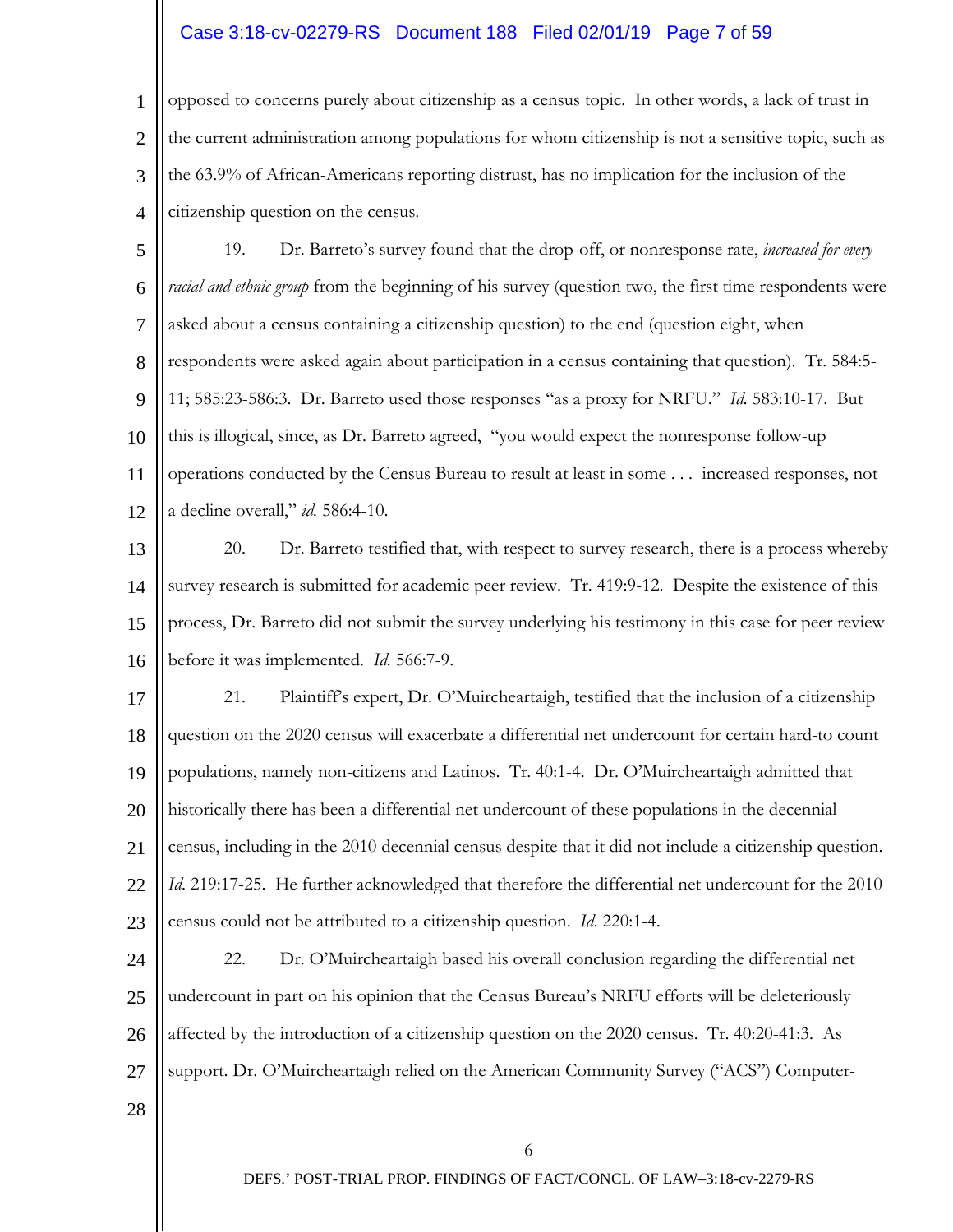## Case 3:18-cv-02279-RS Document 188 Filed 02/01/19 Page 7 of 59

1 2 3 4 opposed to concerns purely about citizenship as a census topic. In other words, a lack of trust in the current administration among populations for whom citizenship is not a sensitive topic, such as the 63.9% of African-Americans reporting distrust, has no implication for the inclusion of the citizenship question on the census.

5 6 7 8 9 10 11 12 19. Dr. Barreto's survey found that the drop-off, or nonresponse rate, *increased for every racial and ethnic group* from the beginning of his survey (question two, the first time respondents were asked about a census containing a citizenship question) to the end (question eight, when respondents were asked again about participation in a census containing that question). Tr. 584:5- 11; 585:23-586:3. Dr. Barreto used those responses "as a proxy for NRFU." *Id.* 583:10-17. But this is illogical, since, as Dr. Barreto agreed, "you would expect the nonresponse follow-up operations conducted by the Census Bureau to result at least in some . . . increased responses, not a decline overall," *id.* 586:4-10.

13 14 15 16 20. Dr. Barreto testified that, with respect to survey research, there is a process whereby survey research is submitted for academic peer review. Tr. 419:9-12. Despite the existence of this process, Dr. Barreto did not submit the survey underlying his testimony in this case for peer review before it was implemented. *Id.* 566:7-9.

17 18 19 20 21 22 23 21. Plaintiff's expert, Dr. O'Muircheartaigh, testified that the inclusion of a citizenship question on the 2020 census will exacerbate a differential net undercount for certain hard-to count populations, namely non-citizens and Latinos. Tr. 40:1-4. Dr. O'Muircheartaigh admitted that historically there has been a differential net undercount of these populations in the decennial census, including in the 2010 decennial census despite that it did not include a citizenship question. *Id.* 219:17-25. He further acknowledged that therefore the differential net undercount for the 2010 census could not be attributed to a citizenship question. *Id*. 220:1-4.

24 25 26 27 22. Dr. O'Muircheartaigh based his overall conclusion regarding the differential net undercount in part on his opinion that the Census Bureau's NRFU efforts will be deleteriously affected by the introduction of a citizenship question on the 2020 census. Tr. 40:20-41:3. As support. Dr. O'Muircheartaigh relied on the American Community Survey ("ACS") Computer-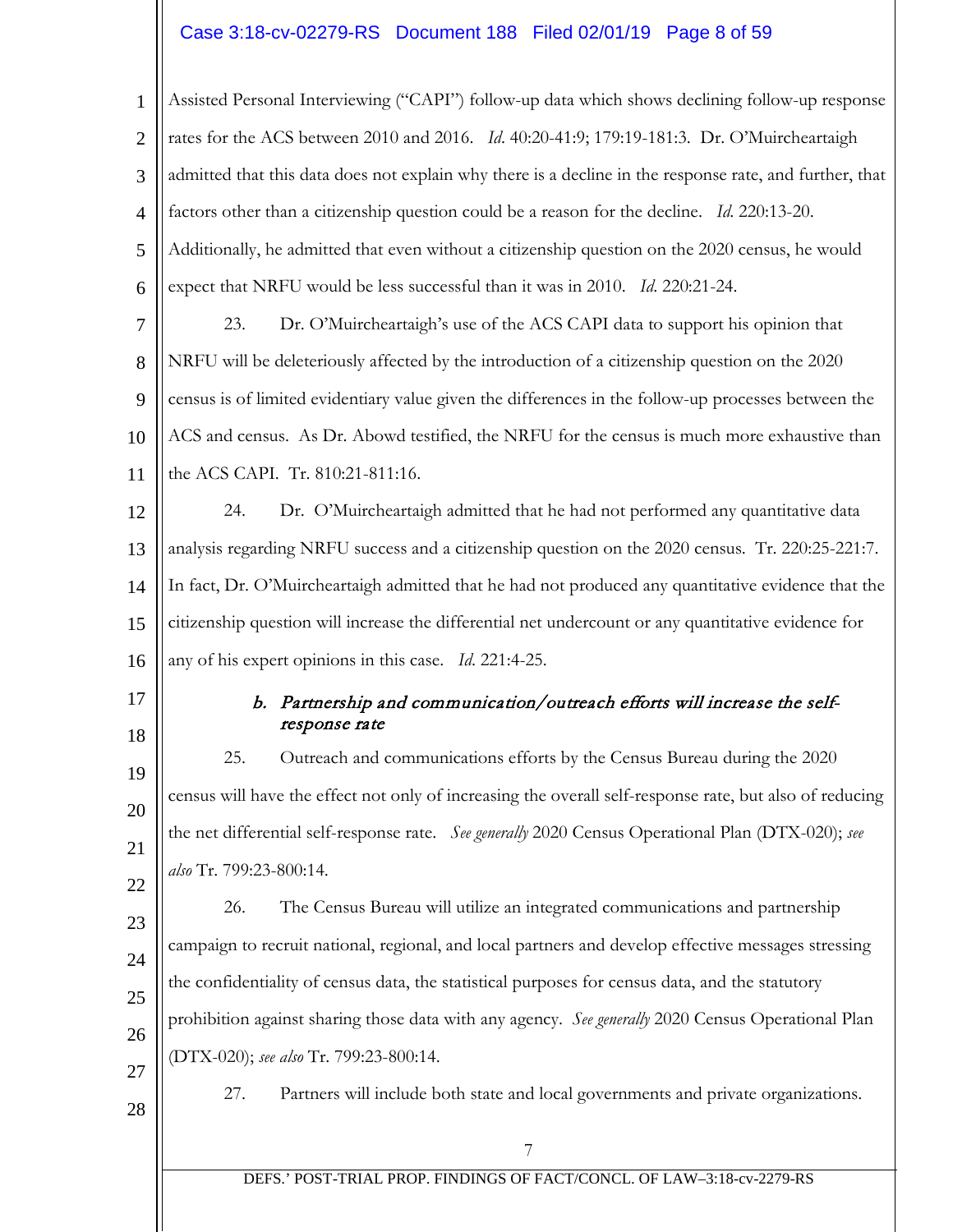# Case 3:18-cv-02279-RS Document 188 Filed 02/01/19 Page 8 of 59

| $\mathbf{1}$   | Assisted Personal Interviewing ("CAPI") follow-up data which shows declining follow-up response         |
|----------------|---------------------------------------------------------------------------------------------------------|
| $\overline{2}$ | rates for the ACS between 2010 and 2016. Id. 40:20-41:9; 179:19-181:3. Dr. O'Muircheartaigh             |
| 3              | admitted that this data does not explain why there is a decline in the response rate, and further, that |
| $\overline{4}$ | factors other than a citizenship question could be a reason for the decline. Id. 220:13-20.             |
| 5              | Additionally, he admitted that even without a citizenship question on the 2020 census, he would         |
| 6              | expect that NRFU would be less successful than it was in 2010. Id. 220:21-24.                           |
| $\overline{7}$ | Dr. O'Muircheartaigh's use of the ACS CAPI data to support his opinion that<br>23.                      |
| 8              | NRFU will be deleteriously affected by the introduction of a citizenship question on the 2020           |
| 9              | census is of limited evidentiary value given the differences in the follow-up processes between the     |
| 10             | ACS and census. As Dr. Abowd testified, the NRFU for the census is much more exhaustive than            |
| 11             | the ACS CAPI. Tr. 810:21-811:16.                                                                        |
| 12             | Dr. O'Muircheartaigh admitted that he had not performed any quantitative data<br>24.                    |
| 13             | analysis regarding NRFU success and a citizenship question on the 2020 census. Tr. 220:25-221:7.        |
| 14             | In fact, Dr. O'Muircheartaigh admitted that he had not produced any quantitative evidence that the      |
| 15             | citizenship question will increase the differential net undercount or any quantitative evidence for     |
| 16             | any of his expert opinions in this case. Id. 221:4-25.                                                  |
| 17<br>18       | b. Partnership and communication/outreach efforts will increase the self-<br>response rate              |
| 19             | Outreach and communications efforts by the Census Bureau during the 2020<br>25.                         |
| 20             | census will have the effect not only of increasing the overall self-response rate, but also of reducing |
| 21             | the net differential self-response rate. See generally 2020 Census Operational Plan (DTX-020); see      |
| 22             | also Tr. 799:23-800:14.                                                                                 |
| 23             | The Census Bureau will utilize an integrated communications and partnership<br>26.                      |
| 24             | campaign to recruit national, regional, and local partners and develop effective messages stressing     |
| 25             | the confidentiality of census data, the statistical purposes for census data, and the statutory         |
| 26             | prohibition against sharing those data with any agency. See generally 2020 Census Operational Plan      |
| 27             | (DTX-020); see also Tr. 799:23-800:14.                                                                  |
| 28             | Partners will include both state and local governments and private organizations.<br>27.                |
|                | 7                                                                                                       |
|                | DEFS.' POST-TRIAL PROP. FINDINGS OF FACT/CONCL. OF LAW-3:18-cv-2279-RS                                  |
|                |                                                                                                         |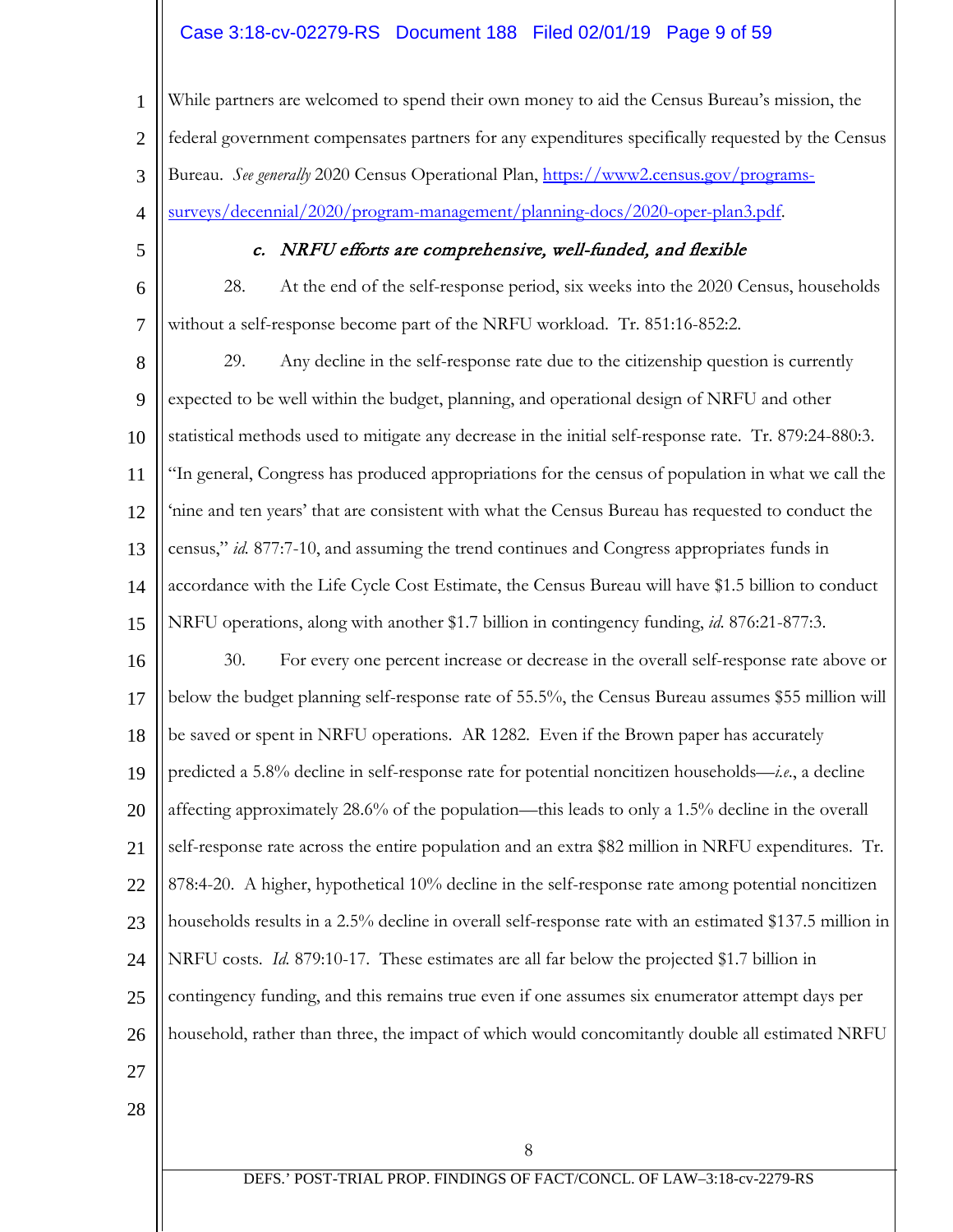## Case 3:18-cv-02279-RS Document 188 Filed 02/01/19 Page 9 of 59

1 2 3 4 While partners are welcomed to spend their own money to aid the Census Bureau's mission, the federal government compensates partners for any expenditures specifically requested by the Census Bureau. *See generally* 2020 Census Operational Plan, [https://www2.census.gov/programs](https://www2.census.gov/programs-surveys/decennial/2020/program-management/planning-docs/2020-oper-plan3.pdf)[surveys/decennial/2020/program-management/planning-docs/2020-oper-plan3.pdf.](https://www2.census.gov/programs-surveys/decennial/2020/program-management/planning-docs/2020-oper-plan3.pdf)

5

## c. NRFU efforts are comprehensive, well-funded, and flexible

6 7 28. At the end of the self-response period, six weeks into the 2020 Census, households without a self-response become part of the NRFU workload. Tr. 851:16-852:2.

8 9 10 11 12 13 14 15 16 17 18 19 20 21 22 23 24 25 26 27 28 29. Any decline in the self-response rate due to the citizenship question is currently expected to be well within the budget, planning, and operational design of NRFU and other statistical methods used to mitigate any decrease in the initial self-response rate. Tr. 879:24-880:3. "In general, Congress has produced appropriations for the census of population in what we call the 'nine and ten years' that are consistent with what the Census Bureau has requested to conduct the census," *id.* 877:7-10, and assuming the trend continues and Congress appropriates funds in accordance with the Life Cycle Cost Estimate, the Census Bureau will have \$1.5 billion to conduct NRFU operations, along with another \$1.7 billion in contingency funding, *id.* 876:21-877:3. 30. For every one percent increase or decrease in the overall self-response rate above or below the budget planning self-response rate of 55.5%, the Census Bureau assumes \$55 million will be saved or spent in NRFU operations. AR 1282. Even if the Brown paper has accurately predicted a 5.8% decline in self-response rate for potential noncitizen households—*i.e*., a decline affecting approximately 28.6% of the population—this leads to only a 1.5% decline in the overall self-response rate across the entire population and an extra \$82 million in NRFU expenditures. Tr. 878:4-20. A higher, hypothetical 10% decline in the self-response rate among potential noncitizen households results in a 2.5% decline in overall self-response rate with an estimated \$137.5 million in NRFU costs. *Id.* 879:10-17. These estimates are all far below the projected \$1.7 billion in contingency funding, and this remains true even if one assumes six enumerator attempt days per household, rather than three, the impact of which would concomitantly double all estimated NRFU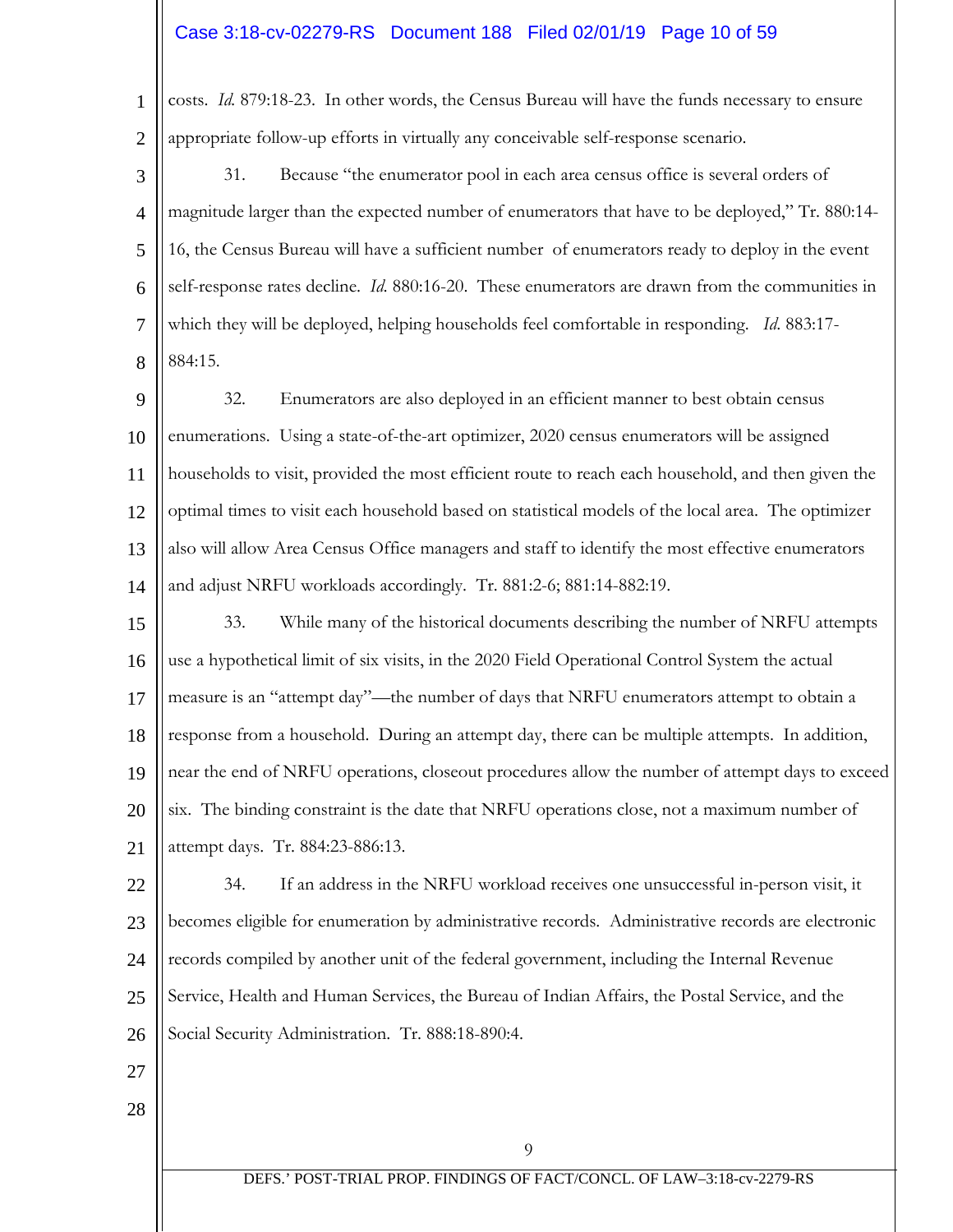### Case 3:18-cv-02279-RS Document 188 Filed 02/01/19 Page 10 of 59

costs. *Id.* 879:18-23. In other words, the Census Bureau will have the funds necessary to ensure appropriate follow-up efforts in virtually any conceivable self-response scenario.

1

2

3 4 5 6 7 8 31. Because "the enumerator pool in each area census office is several orders of magnitude larger than the expected number of enumerators that have to be deployed," Tr. 880:14- 16, the Census Bureau will have a sufficient number of enumerators ready to deploy in the event self-response rates decline. *Id.* 880:16-20. These enumerators are drawn from the communities in which they will be deployed, helping households feel comfortable in responding. *Id*. 883:17- 884:15.

9 10 11 12 13 14 32. Enumerators are also deployed in an efficient manner to best obtain census enumerations. Using a state-of-the-art optimizer, 2020 census enumerators will be assigned households to visit, provided the most efficient route to reach each household, and then given the optimal times to visit each household based on statistical models of the local area. The optimizer also will allow Area Census Office managers and staff to identify the most effective enumerators and adjust NRFU workloads accordingly. Tr. 881:2-6; 881:14-882:19.

15 16 17 18 19 20 21 33. While many of the historical documents describing the number of NRFU attempts use a hypothetical limit of six visits, in the 2020 Field Operational Control System the actual measure is an "attempt day"—the number of days that NRFU enumerators attempt to obtain a response from a household. During an attempt day, there can be multiple attempts. In addition, near the end of NRFU operations, closeout procedures allow the number of attempt days to exceed six. The binding constraint is the date that NRFU operations close, not a maximum number of attempt days. Tr. 884:23-886:13.

22 23 24 25 26 34. If an address in the NRFU workload receives one unsuccessful in-person visit, it becomes eligible for enumeration by administrative records. Administrative records are electronic records compiled by another unit of the federal government, including the Internal Revenue Service, Health and Human Services, the Bureau of Indian Affairs, the Postal Service, and the Social Security Administration. Tr. 888:18-890:4.

- 27
- 28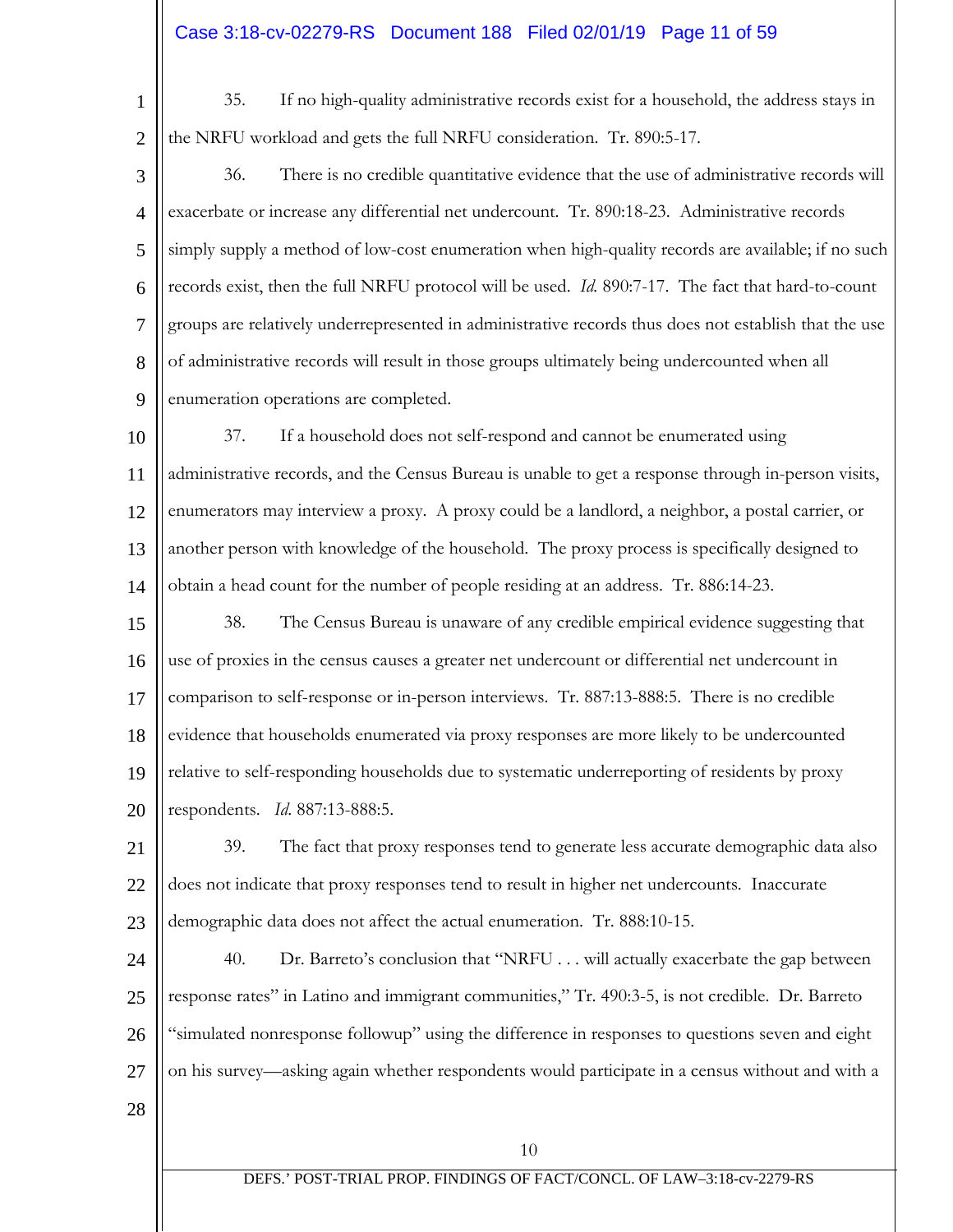# Case 3:18-cv-02279-RS Document 188 Filed 02/01/19 Page 11 of 59

1

2

35. If no high-quality administrative records exist for a household, the address stays in the NRFU workload and gets the full NRFU consideration. Tr. 890:5-17.

3 4 5 6 7 8 9 36. There is no credible quantitative evidence that the use of administrative records will exacerbate or increase any differential net undercount. Tr. 890:18-23. Administrative records simply supply a method of low-cost enumeration when high-quality records are available; if no such records exist, then the full NRFU protocol will be used. *Id.* 890:7-17. The fact that hard-to-count groups are relatively underrepresented in administrative records thus does not establish that the use of administrative records will result in those groups ultimately being undercounted when all enumeration operations are completed.

10 11 12 13 14 37. If a household does not self-respond and cannot be enumerated using administrative records, and the Census Bureau is unable to get a response through in-person visits, enumerators may interview a proxy. A proxy could be a landlord, a neighbor, a postal carrier, or another person with knowledge of the household. The proxy process is specifically designed to obtain a head count for the number of people residing at an address. Tr. 886:14-23.

15 16 17 18 19 20 38. The Census Bureau is unaware of any credible empirical evidence suggesting that use of proxies in the census causes a greater net undercount or differential net undercount in comparison to self-response or in-person interviews. Tr. 887:13-888:5. There is no credible evidence that households enumerated via proxy responses are more likely to be undercounted relative to self-responding households due to systematic underreporting of residents by proxy respondents. *Id*. 887:13-888:5.

21 22 23 39. The fact that proxy responses tend to generate less accurate demographic data also does not indicate that proxy responses tend to result in higher net undercounts. Inaccurate demographic data does not affect the actual enumeration. Tr. 888:10-15.

24 25 26 27 40. Dr. Barreto's conclusion that "NRFU . . . will actually exacerbate the gap between response rates" in Latino and immigrant communities," Tr. 490:3-5, is not credible. Dr. Barreto "simulated nonresponse followup" using the difference in responses to questions seven and eight on his survey—asking again whether respondents would participate in a census without and with a

28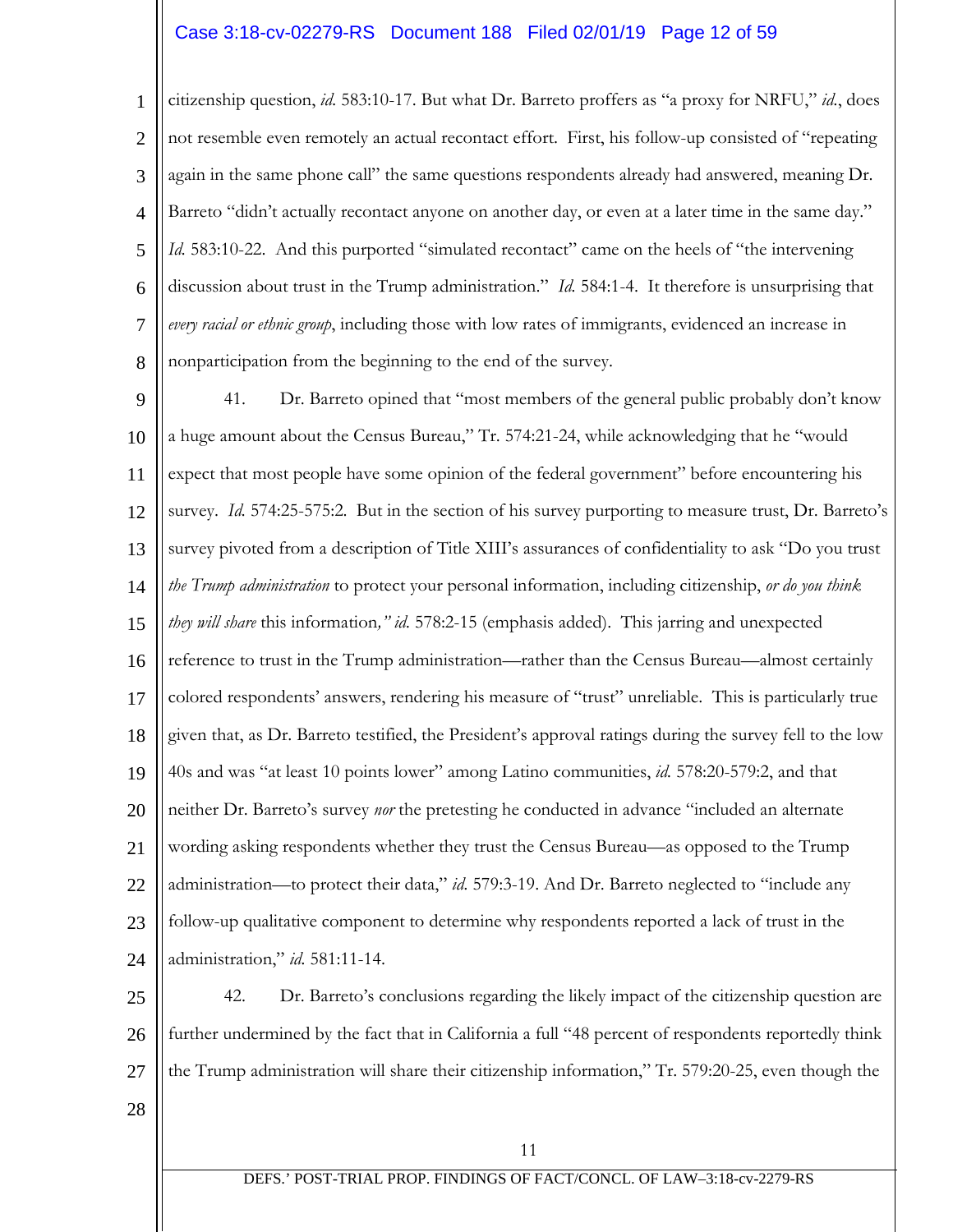# Case 3:18-cv-02279-RS Document 188 Filed 02/01/19 Page 12 of 59

1 2 3 4 5 6 7 8 citizenship question, *id.* 583:10-17. But what Dr. Barreto proffers as "a proxy for NRFU," *id.*, does not resemble even remotely an actual recontact effort. First, his follow-up consisted of "repeating again in the same phone call" the same questions respondents already had answered, meaning Dr. Barreto "didn't actually recontact anyone on another day, or even at a later time in the same day." *Id.* 583:10-22. And this purported "simulated recontact" came on the heels of "the intervening discussion about trust in the Trump administration." *Id.* 584:1-4. It therefore is unsurprising that *every racial or ethnic group*, including those with low rates of immigrants, evidenced an increase in nonparticipation from the beginning to the end of the survey.

9 10 11 12 13 14 15 16 17 18 19 20 21 22 23 24 41. Dr. Barreto opined that "most members of the general public probably don't know a huge amount about the Census Bureau," Tr. 574:21-24, while acknowledging that he "would expect that most people have some opinion of the federal government" before encountering his survey. *Id.* 574:25-575:2. But in the section of his survey purporting to measure trust, Dr. Barreto's survey pivoted from a description of Title XIII's assurances of confidentiality to ask "Do you trust *the Trump administration* to protect your personal information, including citizenship, *or do you think they will share* this information*," id.* 578:2-15 (emphasis added). This jarring and unexpected reference to trust in the Trump administration—rather than the Census Bureau—almost certainly colored respondents' answers, rendering his measure of "trust" unreliable. This is particularly true given that, as Dr. Barreto testified, the President's approval ratings during the survey fell to the low 40s and was "at least 10 points lower" among Latino communities, *id.* 578:20-579:2, and that neither Dr. Barreto's survey *nor* the pretesting he conducted in advance "included an alternate wording asking respondents whether they trust the Census Bureau—as opposed to the Trump administration—to protect their data," *id.* 579:3-19. And Dr. Barreto neglected to "include any follow-up qualitative component to determine why respondents reported a lack of trust in the administration," *id.* 581:11-14.

25 26 27 42. Dr. Barreto's conclusions regarding the likely impact of the citizenship question are further undermined by the fact that in California a full "48 percent of respondents reportedly think the Trump administration will share their citizenship information," Tr. 579:20-25, even though the

28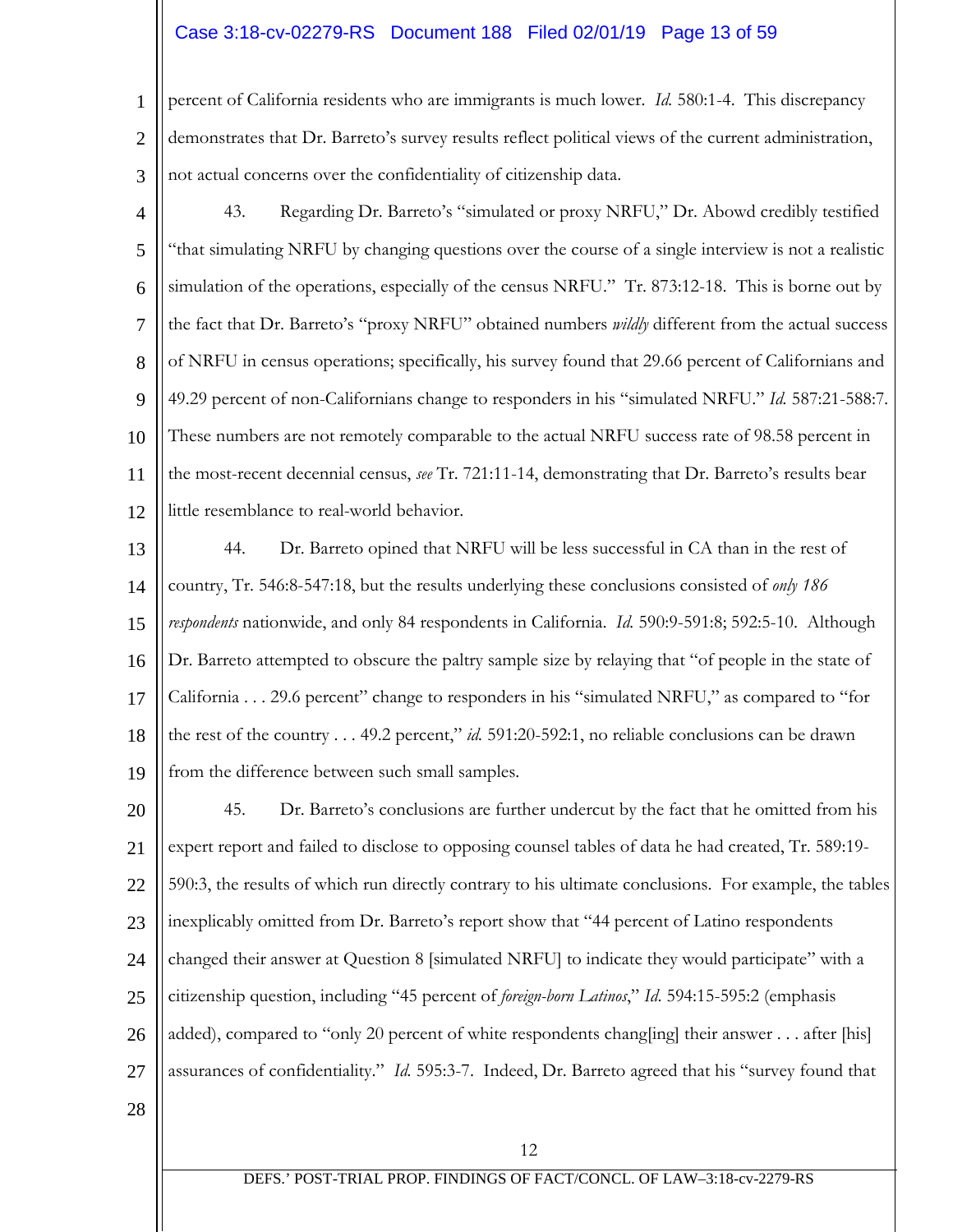# Case 3:18-cv-02279-RS Document 188 Filed 02/01/19 Page 13 of 59

1 2 3 percent of California residents who are immigrants is much lower. *Id.* 580:1-4. This discrepancy demonstrates that Dr. Barreto's survey results reflect political views of the current administration, not actual concerns over the confidentiality of citizenship data.

- 4 5 6 7 8 9 10 11 12 43. Regarding Dr. Barreto's "simulated or proxy NRFU," Dr. Abowd credibly testified "that simulating NRFU by changing questions over the course of a single interview is not a realistic simulation of the operations, especially of the census NRFU." Tr. 873:12-18. This is borne out by the fact that Dr. Barreto's "proxy NRFU" obtained numbers *wildly* different from the actual success of NRFU in census operations; specifically, his survey found that 29.66 percent of Californians and 49.29 percent of non-Californians change to responders in his "simulated NRFU." *Id.* 587:21-588:7*.*  These numbers are not remotely comparable to the actual NRFU success rate of 98.58 percent in the most-recent decennial census, *see* Tr. 721:11-14, demonstrating that Dr. Barreto's results bear little resemblance to real-world behavior.
- 13 14 15 16 17 18 19 44. Dr. Barreto opined that NRFU will be less successful in CA than in the rest of country, Tr. 546:8-547:18, but the results underlying these conclusions consisted of *only 186 respondents* nationwide, and only 84 respondents in California. *Id.* 590:9-591:8; 592:5-10. Although Dr. Barreto attempted to obscure the paltry sample size by relaying that "of people in the state of California . . . 29.6 percent" change to responders in his "simulated NRFU," as compared to "for the rest of the country . . . 49.2 percent," *id.* 591:20-592:1, no reliable conclusions can be drawn from the difference between such small samples.
- 20 21 22 23 24 25 26 27 28 45. Dr. Barreto's conclusions are further undercut by the fact that he omitted from his expert report and failed to disclose to opposing counsel tables of data he had created, Tr. 589:19- 590:3, the results of which run directly contrary to his ultimate conclusions. For example, the tables inexplicably omitted from Dr. Barreto's report show that "44 percent of Latino respondents changed their answer at Question 8 [simulated NRFU] to indicate they would participate" with a citizenship question, including "45 percent of *foreign-born Latinos*," *Id*. 594:15-595:2 (emphasis added), compared to "only 20 percent of white respondents chang[ing] their answer . . . after [his] assurances of confidentiality." *Id.* 595:3-7. Indeed, Dr. Barreto agreed that his "survey found that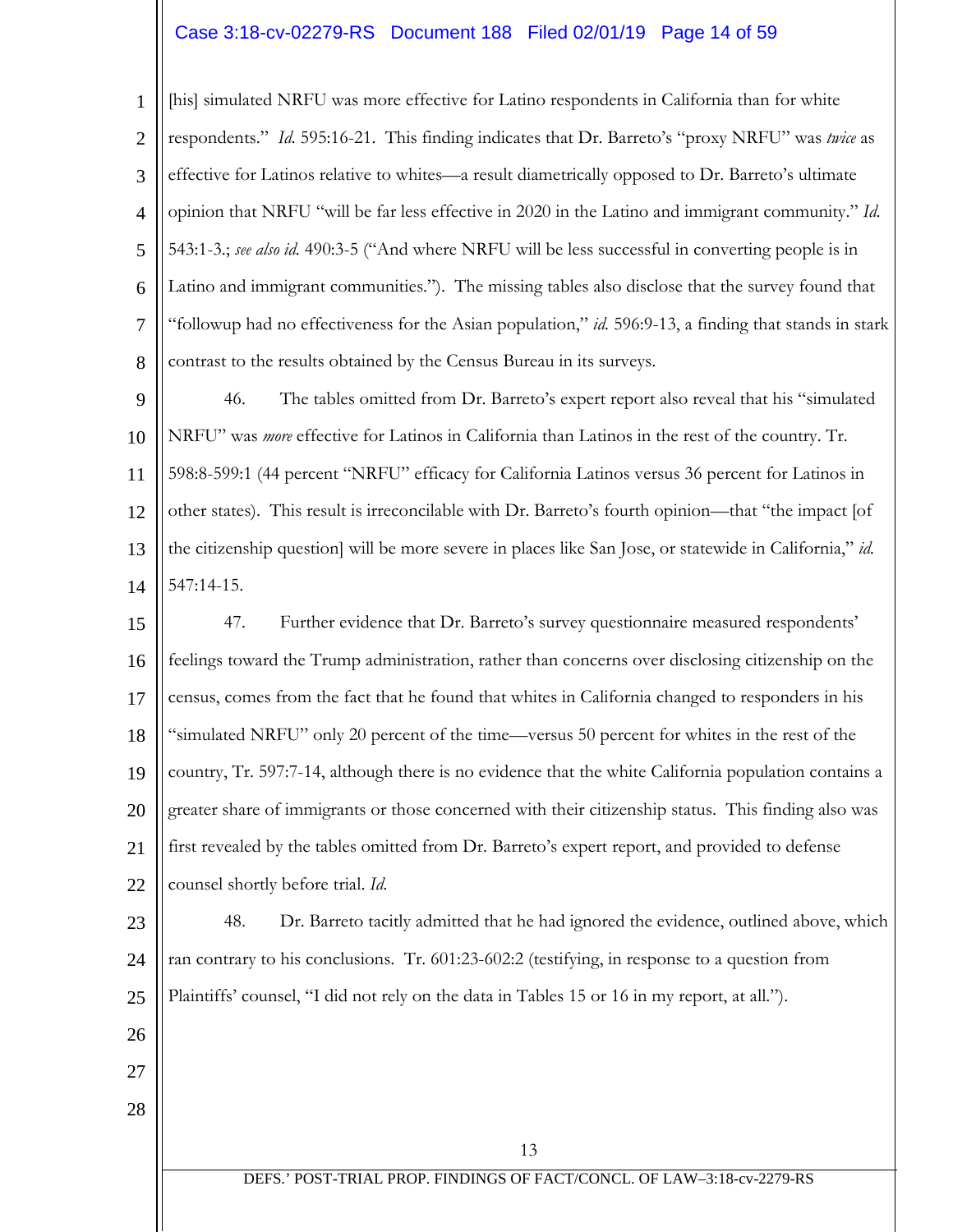# Case 3:18-cv-02279-RS Document 188 Filed 02/01/19 Page 14 of 59

1 2 3 4 5 6 7 8 [his] simulated NRFU was more effective for Latino respondents in California than for white respondents." *Id.* 595:16-21. This finding indicates that Dr. Barreto's "proxy NRFU" was *twice* as effective for Latinos relative to whites—a result diametrically opposed to Dr. Barreto's ultimate opinion that NRFU "will be far less effective in 2020 in the Latino and immigrant community." *Id.*  543:1-3.; *see also id.* 490:3-5 ("And where NRFU will be less successful in converting people is in Latino and immigrant communities."). The missing tables also disclose that the survey found that "followup had no effectiveness for the Asian population," *id.* 596:9-13, a finding that stands in stark contrast to the results obtained by the Census Bureau in its surveys.

9 10 11 12 13 14 46. The tables omitted from Dr. Barreto's expert report also reveal that his "simulated NRFU" was *more* effective for Latinos in California than Latinos in the rest of the country. Tr. 598:8-599:1 (44 percent "NRFU" efficacy for California Latinos versus 36 percent for Latinos in other states). This result is irreconcilable with Dr. Barreto's fourth opinion—that "the impact [of the citizenship question] will be more severe in places like San Jose, or statewide in California," *id.*  547:14-15.

15 16 17 18 19 20 21 22 47. Further evidence that Dr. Barreto's survey questionnaire measured respondents' feelings toward the Trump administration, rather than concerns over disclosing citizenship on the census, comes from the fact that he found that whites in California changed to responders in his "simulated NRFU" only 20 percent of the time—versus 50 percent for whites in the rest of the country, Tr. 597:7-14, although there is no evidence that the white California population contains a greater share of immigrants or those concerned with their citizenship status. This finding also was first revealed by the tables omitted from Dr. Barreto's expert report, and provided to defense counsel shortly before trial. *Id.* 

23 24 25 48. Dr. Barreto tacitly admitted that he had ignored the evidence, outlined above, which ran contrary to his conclusions. Tr. 601:23-602:2 (testifying, in response to a question from Plaintiffs' counsel, "I did not rely on the data in Tables 15 or 16 in my report, at all.").

- 26
- 27
- 28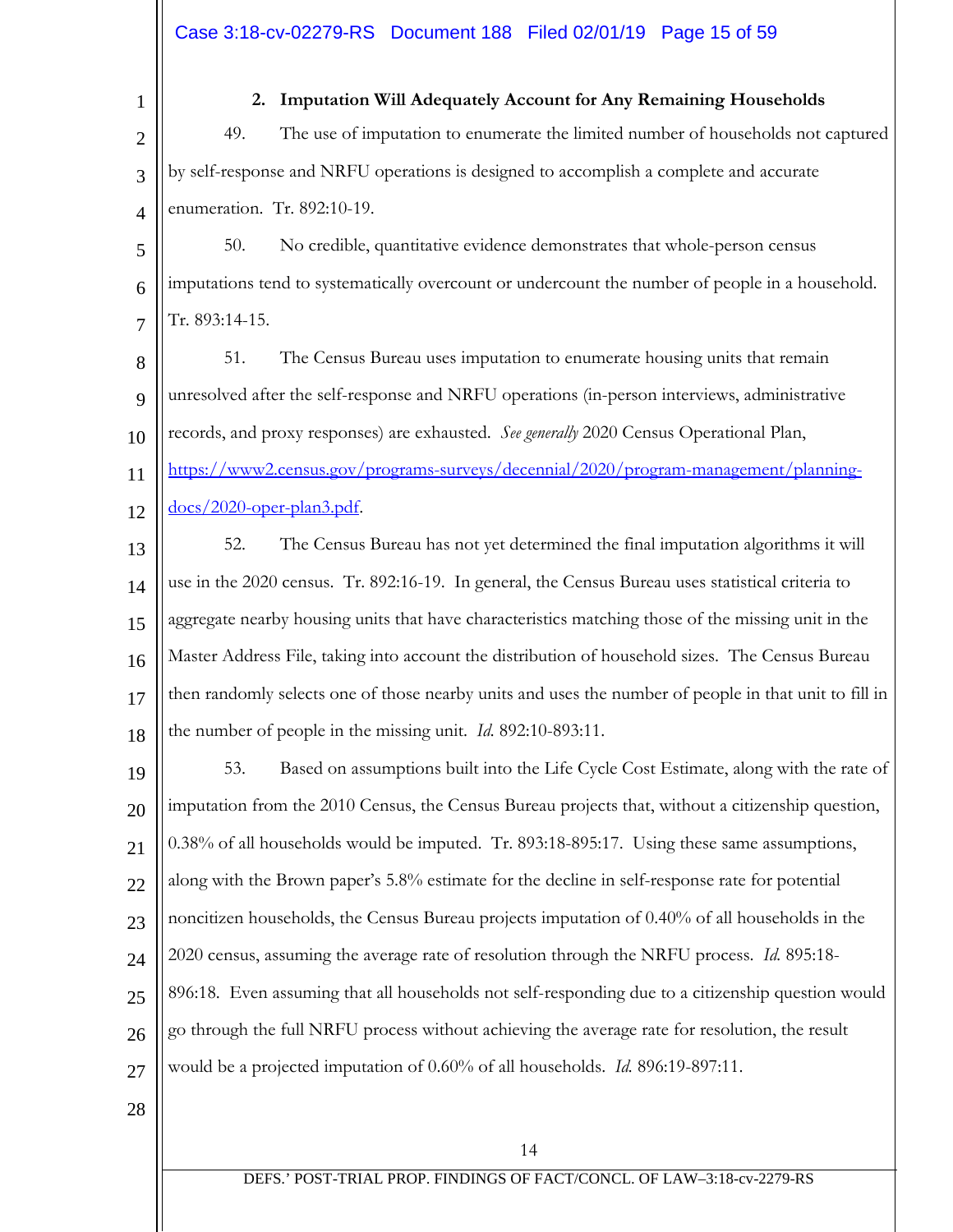1

## **2. Imputation Will Adequately Account for Any Remaining Households**

2 3 4 49. The use of imputation to enumerate the limited number of households not captured by self-response and NRFU operations is designed to accomplish a complete and accurate enumeration. Tr. 892:10-19.

5 6 7 50. No credible, quantitative evidence demonstrates that whole-person census imputations tend to systematically overcount or undercount the number of people in a household. Tr. 893:14-15.

8  $\mathbf Q$ 10 11 12 51. The Census Bureau uses imputation to enumerate housing units that remain unresolved after the self-response and NRFU operations (in-person interviews, administrative records, and proxy responses) are exhausted. *See generally* 2020 Census Operational Plan, [https://www2.census.gov/programs-surveys/decennial/2020/program-management/planning](https://www2.census.gov/programs-surveys/decennial/2020/program-management/planning-docs/2020-oper-plan3.pdf)[docs/2020-oper-plan3.pdf.](https://www2.census.gov/programs-surveys/decennial/2020/program-management/planning-docs/2020-oper-plan3.pdf)

13 14 15 16 17 18 52. The Census Bureau has not yet determined the final imputation algorithms it will use in the 2020 census. Tr. 892:16-19. In general, the Census Bureau uses statistical criteria to aggregate nearby housing units that have characteristics matching those of the missing unit in the Master Address File, taking into account the distribution of household sizes. The Census Bureau then randomly selects one of those nearby units and uses the number of people in that unit to fill in the number of people in the missing unit. *Id.* 892:10-893:11.

19 20 21  $22$ 23 24 25 26 27 53. Based on assumptions built into the Life Cycle Cost Estimate, along with the rate of imputation from the 2010 Census, the Census Bureau projects that, without a citizenship question, 0.38% of all households would be imputed. Tr. 893:18-895:17. Using these same assumptions, along with the Brown paper's 5.8% estimate for the decline in self-response rate for potential noncitizen households, the Census Bureau projects imputation of 0.40% of all households in the 2020 census, assuming the average rate of resolution through the NRFU process. *Id.* 895:18- 896:18.Even assuming that all households not self-responding due to a citizenship question would go through the full NRFU process without achieving the average rate for resolution, the result would be a projected imputation of 0.60% of all households. *Id.* 896:19-897:11.

28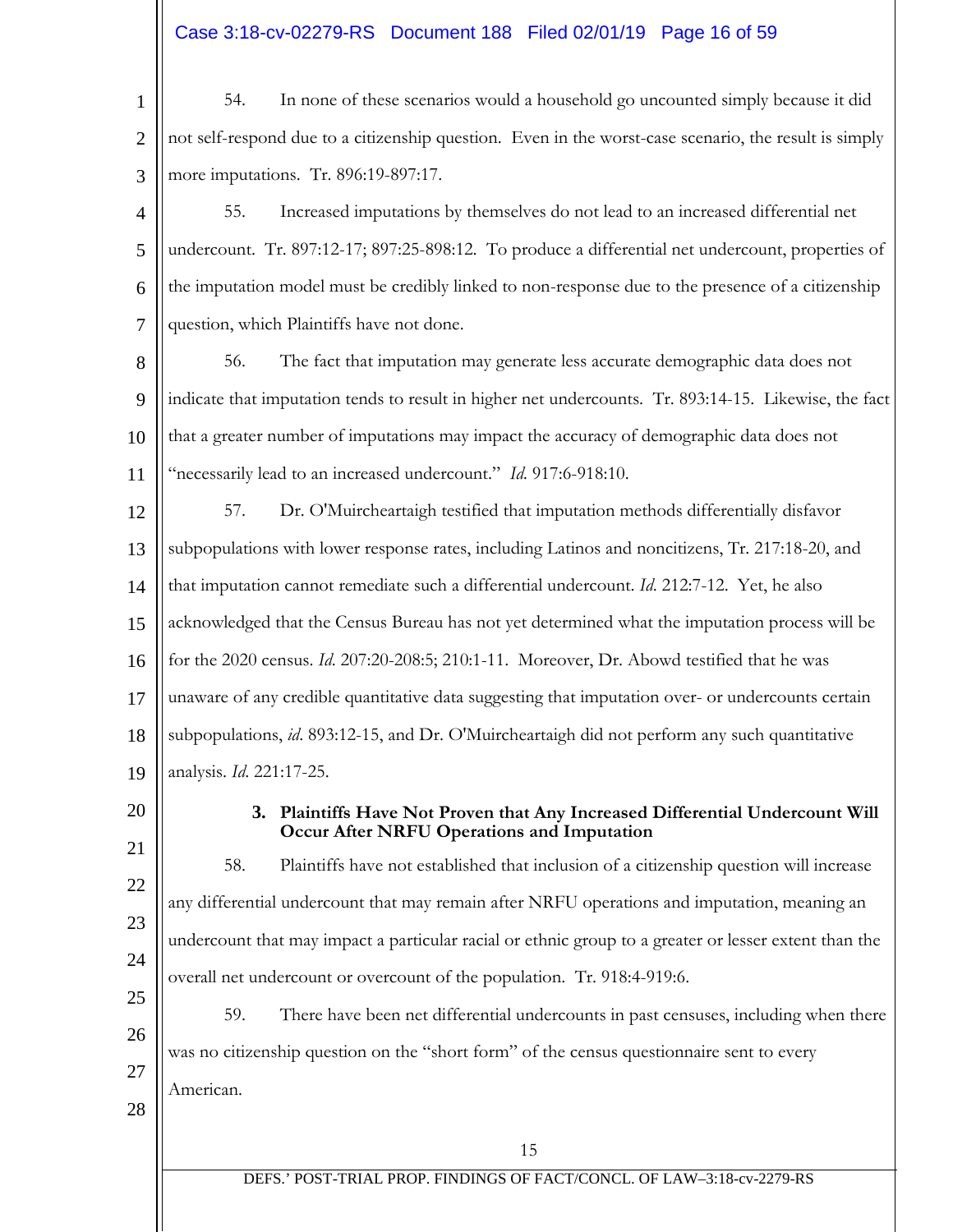# Case 3:18-cv-02279-RS Document 188 Filed 02/01/19 Page 16 of 59

| $\mathbf{1}$   | 54.<br>In none of these scenarios would a household go uncounted simply because it did                                      |
|----------------|-----------------------------------------------------------------------------------------------------------------------------|
| $\overline{2}$ | not self-respond due to a citizenship question. Even in the worst-case scenario, the result is simply                       |
| 3              | more imputations. Tr. 896:19-897:17.                                                                                        |
| 4              | 55.<br>Increased imputations by themselves do not lead to an increased differential net                                     |
| 5              | undercount. Tr. 897:12-17; 897:25-898:12. To produce a differential net undercount, properties of                           |
| 6              | the imputation model must be credibly linked to non-response due to the presence of a citizenship                           |
| $\tau$         | question, which Plaintiffs have not done.                                                                                   |
| 8              | The fact that imputation may generate less accurate demographic data does not<br>56.                                        |
| 9              | indicate that imputation tends to result in higher net undercounts. Tr. 893:14-15. Likewise, the fact                       |
| 10             | that a greater number of imputations may impact the accuracy of demographic data does not                                   |
| 11             | "necessarily lead to an increased undercount." Id. 917:6-918:10.                                                            |
| 12             | 57.<br>Dr. O'Muircheartaigh testified that imputation methods differentially disfavor                                       |
| 13             | subpopulations with lower response rates, including Latinos and noncitizens, Tr. 217:18-20, and                             |
| 14             | that imputation cannot remediate such a differential undercount. Id. 212:7-12. Yet, he also                                 |
| 15             | acknowledged that the Census Bureau has not yet determined what the imputation process will be                              |
| 16             | for the 2020 census. Id. 207:20-208:5; 210:1-11. Moreover, Dr. Abowd testified that he was                                  |
| 17             | unaware of any credible quantitative data suggesting that imputation over- or undercounts certain                           |
| 18             | subpopulations, id. 893:12-15, and Dr. O'Muircheartaigh did not perform any such quantitative                               |
| 19             | analysis. Id. 221:17-25.                                                                                                    |
| 20             | 3. Plaintiffs Have Not Proven that Any Increased Differential Undercount Will<br>Occur After NRFU Operations and Imputation |
| 21             | Plaintiffs have not established that inclusion of a citizenship question will increase<br>58.                               |
| 22             | any differential undercount that may remain after NRFU operations and imputation, meaning an                                |
| 23             | undercount that may impact a particular racial or ethnic group to a greater or lesser extent than the                       |
| 24             | overall net undercount or overcount of the population. Tr. 918:4-919:6.                                                     |
| 25             | 59.<br>There have been net differential undercounts in past censuses, including when there                                  |
| 26             | was no citizenship question on the "short form" of the census questionnaire sent to every                                   |
| 27             | American.                                                                                                                   |
| 28             |                                                                                                                             |
|                | 15                                                                                                                          |
|                | DEFS.' POST-TRIAL PROP. FINDINGS OF FACT/CONCL. OF LAW-3:18-cv-2279-RS                                                      |
|                |                                                                                                                             |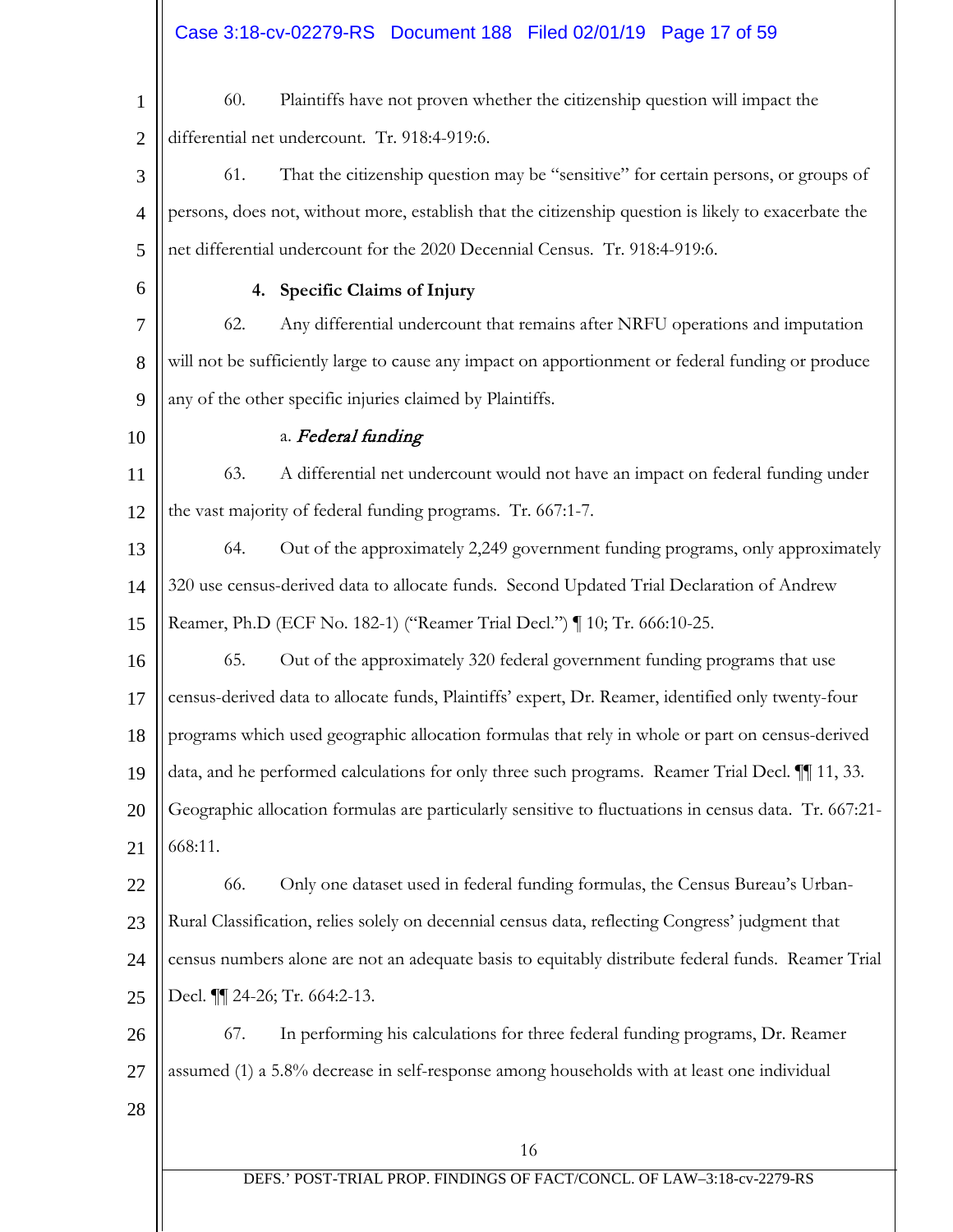16 1 2 3 4 5 6 7 8 9 10 11 12 13 14 15 16 17 18 19 20 21 22 23 24 25 26 27 28 60. Plaintiffs have not proven whether the citizenship question will impact the differential net undercount. Tr. 918:4-919:6. 61. That the citizenship question may be "sensitive" for certain persons, or groups of persons, does not, without more, establish that the citizenship question is likely to exacerbate the net differential undercount for the 2020 Decennial Census. Tr. 918:4-919:6. **4. Specific Claims of Injury** 62. Any differential undercount that remains after NRFU operations and imputation will not be sufficiently large to cause any impact on apportionment or federal funding or produce any of the other specific injuries claimed by Plaintiffs. a. Federal funding 63. A differential net undercount would not have an impact on federal funding under the vast majority of federal funding programs. Tr. 667:1-7. 64. Out of the approximately 2,249 government funding programs, only approximately 320 use census-derived data to allocate funds. Second Updated Trial Declaration of Andrew Reamer, Ph.D (ECF No. 182-1) ("Reamer Trial Decl.") ¶ 10; Tr. 666:10-25. 65. Out of the approximately 320 federal government funding programs that use census-derived data to allocate funds, Plaintiffs' expert, Dr. Reamer, identified only twenty-four programs which used geographic allocation formulas that rely in whole or part on census-derived data, and he performed calculations for only three such programs. Reamer Trial Decl. ¶¶ 11, 33. Geographic allocation formulas are particularly sensitive to fluctuations in census data. Tr. 667:21- 668:11. 66. Only one dataset used in federal funding formulas, the Census Bureau's Urban-Rural Classification, relies solely on decennial census data, reflecting Congress' judgment that census numbers alone are not an adequate basis to equitably distribute federal funds. Reamer Trial Decl. ¶¶ 24-26; Tr. 664:2-13. 67. In performing his calculations for three federal funding programs, Dr. Reamer assumed (1) a 5.8% decrease in self-response among households with at least one individual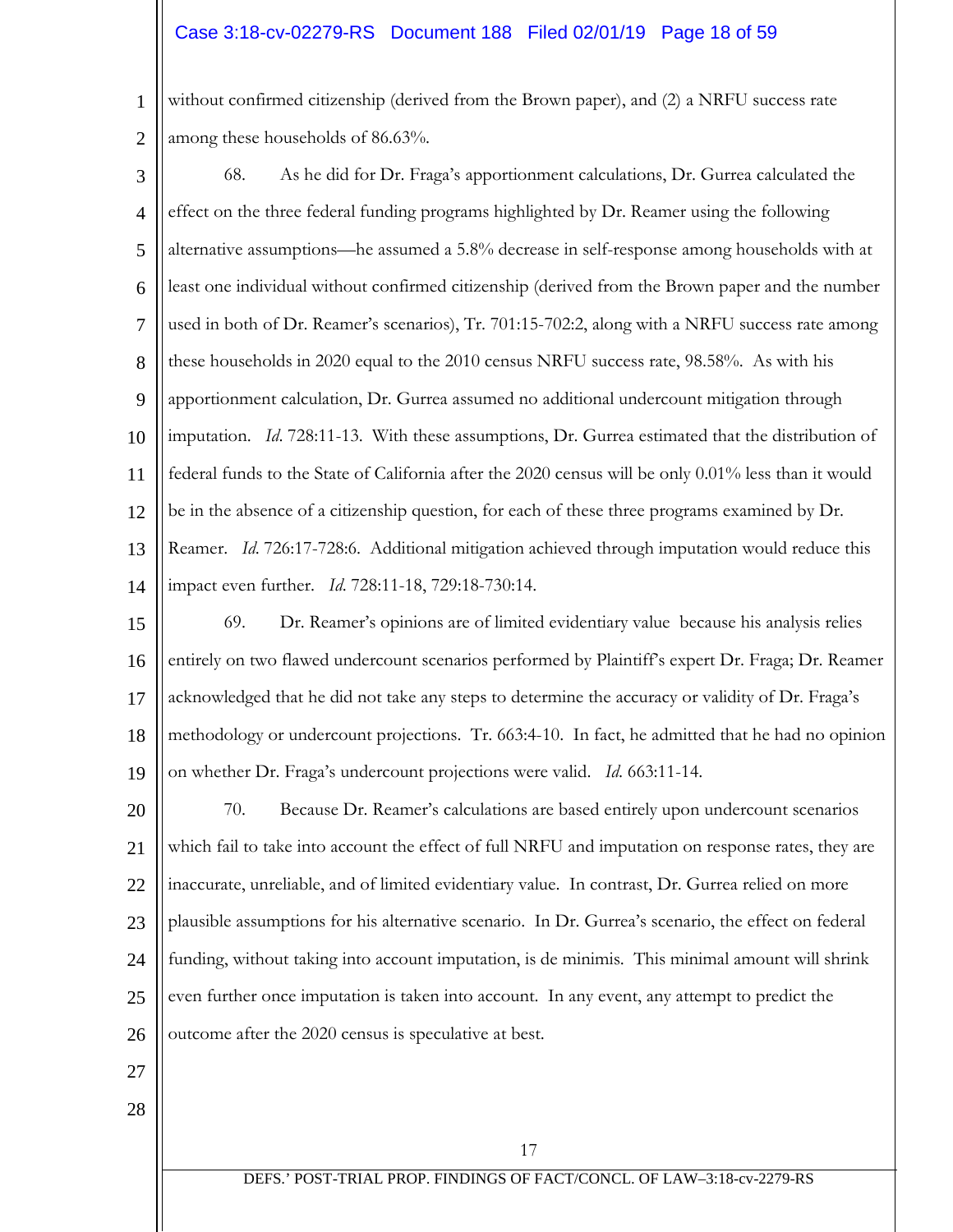# Case 3:18-cv-02279-RS Document 188 Filed 02/01/19 Page 18 of 59

1 2 without confirmed citizenship (derived from the Brown paper), and (2) a NRFU success rate among these households of 86.63%.

- 3 4 5 6 7 8 9 10 11 12 13 14 68. As he did for Dr. Fraga's apportionment calculations, Dr. Gurrea calculated the effect on the three federal funding programs highlighted by Dr. Reamer using the following alternative assumptions—he assumed a 5.8% decrease in self-response among households with at least one individual without confirmed citizenship (derived from the Brown paper and the number used in both of Dr. Reamer's scenarios), Tr. 701:15-702:2, along with a NRFU success rate among these households in 2020 equal to the 2010 census NRFU success rate, 98.58%. As with his apportionment calculation, Dr. Gurrea assumed no additional undercount mitigation through imputation. *Id*. 728:11-13. With these assumptions, Dr. Gurrea estimated that the distribution of federal funds to the State of California after the 2020 census will be only 0.01% less than it would be in the absence of a citizenship question, for each of these three programs examined by Dr. Reamer. *Id*. 726:17-728:6. Additional mitigation achieved through imputation would reduce this impact even further. *Id*. 728:11-18, 729:18-730:14.
- 15 16 17 18 19 69. Dr. Reamer's opinions are of limited evidentiary value because his analysis relies entirely on two flawed undercount scenarios performed by Plaintiff's expert Dr. Fraga; Dr. Reamer acknowledged that he did not take any steps to determine the accuracy or validity of Dr. Fraga's methodology or undercount projections. Tr. 663:4-10. In fact, he admitted that he had no opinion on whether Dr. Fraga's undercount projections were valid. *Id*. 663:11-14.

20 21 22 23 24 25 26 70. Because Dr. Reamer's calculations are based entirely upon undercount scenarios which fail to take into account the effect of full NRFU and imputation on response rates, they are inaccurate, unreliable, and of limited evidentiary value. In contrast, Dr. Gurrea relied on more plausible assumptions for his alternative scenario. In Dr. Gurrea's scenario, the effect on federal funding, without taking into account imputation, is de minimis. This minimal amount will shrink even further once imputation is taken into account. In any event, any attempt to predict the outcome after the 2020 census is speculative at best.

- 27
- 28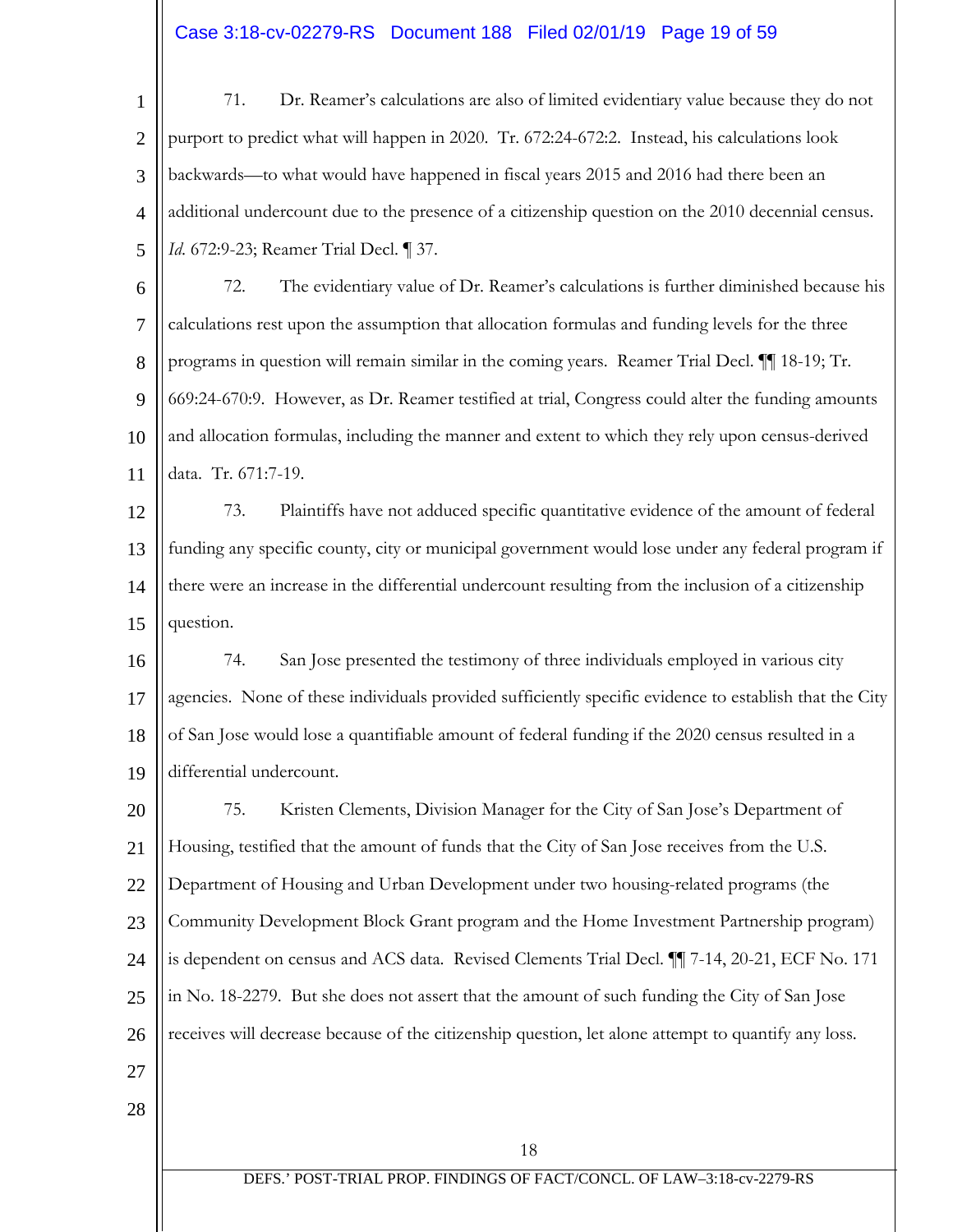# Case 3:18-cv-02279-RS Document 188 Filed 02/01/19 Page 19 of 59

1 2 3 4 5 71. Dr. Reamer's calculations are also of limited evidentiary value because they do not purport to predict what will happen in 2020. Tr. 672:24-672:2. Instead, his calculations look backwards—to what would have happened in fiscal years 2015 and 2016 had there been an additional undercount due to the presence of a citizenship question on the 2010 decennial census. *Id*. 672:9-23; Reamer Trial Decl. ¶ 37.

6 7 8 9 10 11 72. The evidentiary value of Dr. Reamer's calculations is further diminished because his calculations rest upon the assumption that allocation formulas and funding levels for the three programs in question will remain similar in the coming years. Reamer Trial Decl. ¶¶ 18-19; Tr. 669:24-670:9. However, as Dr. Reamer testified at trial, Congress could alter the funding amounts and allocation formulas, including the manner and extent to which they rely upon census-derived data. Tr. 671:7-19.

12 13 14 15 73. Plaintiffs have not adduced specific quantitative evidence of the amount of federal funding any specific county, city or municipal government would lose under any federal program if there were an increase in the differential undercount resulting from the inclusion of a citizenship question.

16 17 18 19 74. San Jose presented the testimony of three individuals employed in various city agencies. None of these individuals provided sufficiently specific evidence to establish that the City of San Jose would lose a quantifiable amount of federal funding if the 2020 census resulted in a differential undercount.

20 21 22 23 24 25 26 27 75. Kristen Clements, Division Manager for the City of San Jose's Department of Housing, testified that the amount of funds that the City of San Jose receives from the U.S. Department of Housing and Urban Development under two housing-related programs (the Community Development Block Grant program and the Home Investment Partnership program) is dependent on census and ACS data. Revised Clements Trial Decl. ¶¶ 7-14, 20-21, ECF No. 171 in No. 18-2279. But she does not assert that the amount of such funding the City of San Jose receives will decrease because of the citizenship question, let alone attempt to quantify any loss.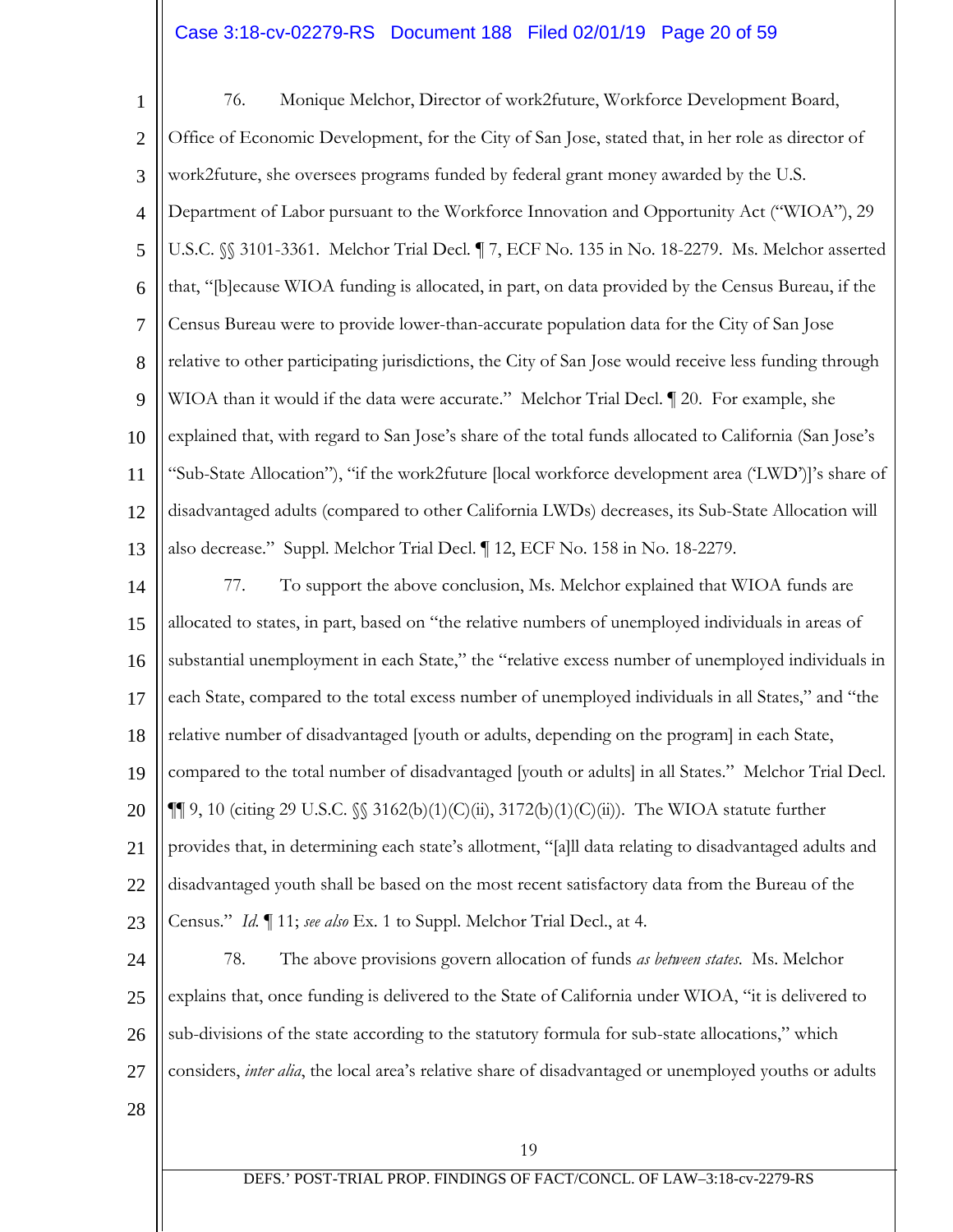# Case 3:18-cv-02279-RS Document 188 Filed 02/01/19 Page 20 of 59

1 2 3 4 5 6 7 8 9 10 11 12 13 14 15 16 17 18 19 20 21 22 76. Monique Melchor, Director of work2future, Workforce Development Board, Office of Economic Development, for the City of San Jose, stated that, in her role as director of work2future, she oversees programs funded by federal grant money awarded by the U.S. Department of Labor pursuant to the Workforce Innovation and Opportunity Act ("WIOA"), 29 U.S.C. §§ 3101-3361. Melchor Trial Decl*.* ¶ 7, ECF No. 135 in No. 18-2279. Ms. Melchor asserted that, "[b]ecause WIOA funding is allocated, in part, on data provided by the Census Bureau, if the Census Bureau were to provide lower-than-accurate population data for the City of San Jose relative to other participating jurisdictions, the City of San Jose would receive less funding through WIOA than it would if the data were accurate." Melchor Trial Decl.  $\P$  20. For example, she explained that, with regard to San Jose's share of the total funds allocated to California (San Jose's "Sub-State Allocation"), "if the work2future [local workforce development area ('LWD')]'s share of disadvantaged adults (compared to other California LWDs) decreases, its Sub-State Allocation will also decrease." Suppl. Melchor Trial Decl. ¶ 12, ECF No. 158 in No. 18-2279. 77. To support the above conclusion, Ms. Melchor explained that WIOA funds are allocated to states, in part, based on "the relative numbers of unemployed individuals in areas of substantial unemployment in each State," the "relative excess number of unemployed individuals in each State, compared to the total excess number of unemployed individuals in all States," and "the relative number of disadvantaged [youth or adults, depending on the program] in each State, compared to the total number of disadvantaged [youth or adults] in all States." Melchor Trial Decl.  $\P\P$  9, 10 (citing 29 U.S.C.  $\S$  3162(b)(1)(C)(ii), 3172(b)(1)(C)(ii)). The WIOA statute further provides that, in determining each state's allotment, "[a]ll data relating to disadvantaged adults and disadvantaged youth shall be based on the most recent satisfactory data from the Bureau of the

23 Census." *Id.* ¶ 11; *see also* Ex. 1 to Suppl. Melchor Trial Decl., at 4.

24 25 26 27 78. The above provisions govern allocation of funds *as between states*. Ms. Melchor explains that, once funding is delivered to the State of California under WIOA, "it is delivered to sub-divisions of the state according to the statutory formula for sub-state allocations," which considers, *inter alia*, the local area's relative share of disadvantaged or unemployed youths or adults

28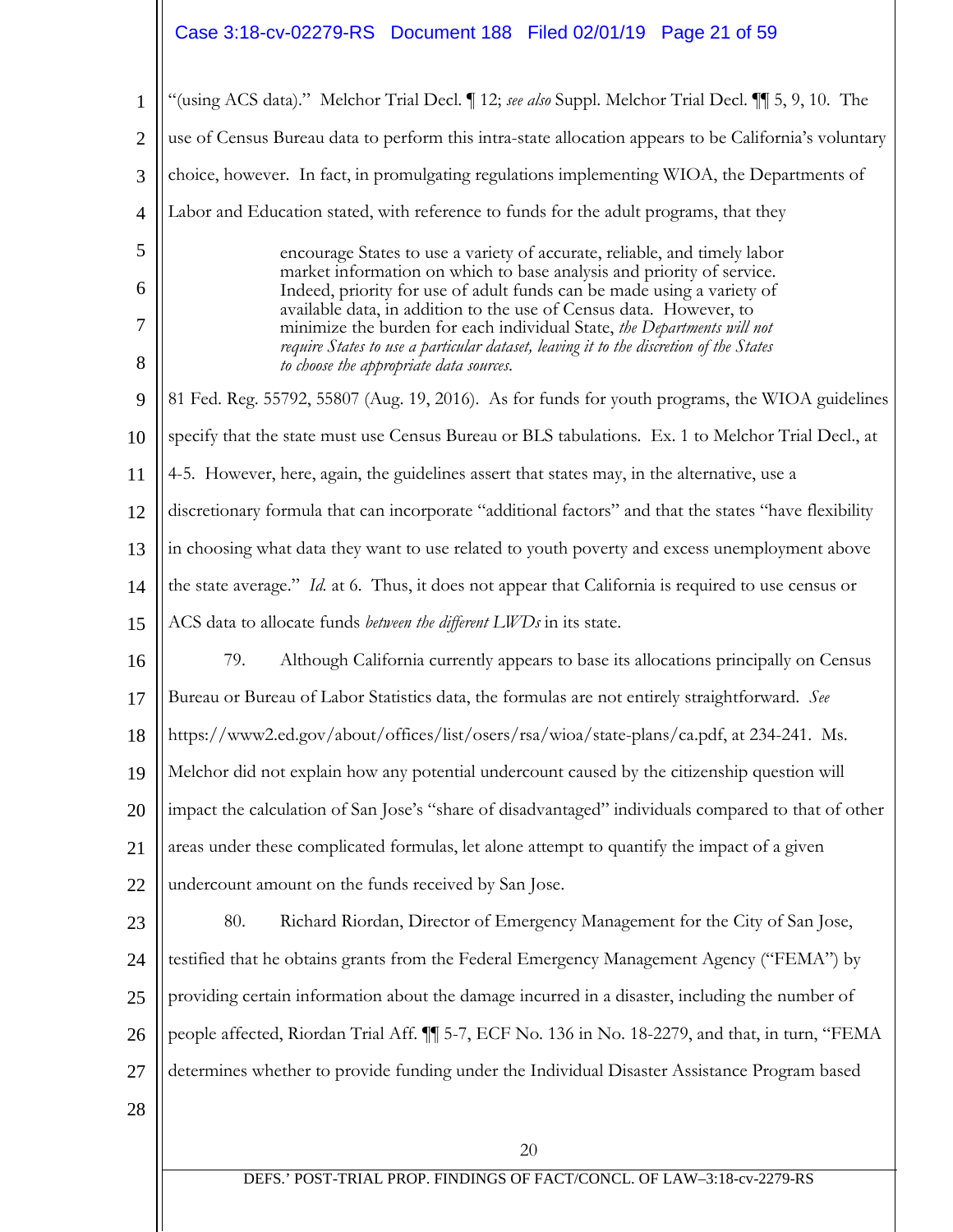# Case 3:18-cv-02279-RS Document 188 Filed 02/01/19 Page 21 of 59

| $\mathbf{1}$   | "(using ACS data)." Melchor Trial Decl.   12; see also Suppl. Melchor Trial Decl.     5, 9, 10. The                                                                                                                                     |
|----------------|-----------------------------------------------------------------------------------------------------------------------------------------------------------------------------------------------------------------------------------------|
| $\overline{2}$ | use of Census Bureau data to perform this intra-state allocation appears to be California's voluntary                                                                                                                                   |
| 3              | choice, however. In fact, in promulgating regulations implementing WIOA, the Departments of                                                                                                                                             |
| $\overline{4}$ | Labor and Education stated, with reference to funds for the adult programs, that they                                                                                                                                                   |
| 5              | encourage States to use a variety of accurate, reliable, and timely labor                                                                                                                                                               |
| 6              | market information on which to base analysis and priority of service.<br>Indeed, priority for use of adult funds can be made using a variety of                                                                                         |
| 7<br>8         | available data, in addition to the use of Census data. However, to<br>minimize the burden for each individual State, the Departments will not<br>require States to use a particular dataset, leaving it to the discretion of the States |
| 9              | to choose the appropriate data sources.<br>81 Fed. Reg. 55792, 55807 (Aug. 19, 2016). As for funds for youth programs, the WIOA guidelines                                                                                              |
|                |                                                                                                                                                                                                                                         |
| 10             | specify that the state must use Census Bureau or BLS tabulations. Ex. 1 to Melchor Trial Decl., at                                                                                                                                      |
| 11             | 4-5. However, here, again, the guidelines assert that states may, in the alternative, use a                                                                                                                                             |
| 12             | discretionary formula that can incorporate "additional factors" and that the states "have flexibility                                                                                                                                   |
| 13             | in choosing what data they want to use related to youth poverty and excess unemployment above                                                                                                                                           |
| 14             | the state average." Id. at 6. Thus, it does not appear that California is required to use census or                                                                                                                                     |
| 15             | ACS data to allocate funds <i>between the different LWDs</i> in its state.                                                                                                                                                              |
| 16             | 79.<br>Although California currently appears to base its allocations principally on Census                                                                                                                                              |
| 17             | Bureau or Bureau of Labor Statistics data, the formulas are not entirely straightforward. See                                                                                                                                           |
| 18             | https://www2.ed.gov/about/offices/list/osers/rsa/wioa/state-plans/ca.pdf, at 234-241. Ms.                                                                                                                                               |
|                | 19    Melchor did not explain how any potential undercount caused by the citizenship question will                                                                                                                                      |
| 20             | impact the calculation of San Jose's "share of disadvantaged" individuals compared to that of other                                                                                                                                     |
| 21             | areas under these complicated formulas, let alone attempt to quantify the impact of a given                                                                                                                                             |
| 22             | undercount amount on the funds received by San Jose.                                                                                                                                                                                    |
| 23             | 80.<br>Richard Riordan, Director of Emergency Management for the City of San Jose,                                                                                                                                                      |
| 24             | testified that he obtains grants from the Federal Emergency Management Agency ("FEMA") by                                                                                                                                               |
| 25             | providing certain information about the damage incurred in a disaster, including the number of                                                                                                                                          |
| 26             | people affected, Riordan Trial Aff. [[ 5-7, ECF No. 136 in No. 18-2279, and that, in turn, "FEMA                                                                                                                                        |
| 27             | determines whether to provide funding under the Individual Disaster Assistance Program based                                                                                                                                            |
| 28             |                                                                                                                                                                                                                                         |
|                | 20                                                                                                                                                                                                                                      |
|                | DEFS.' POST-TRIAL PROP. FINDINGS OF FACT/CONCL. OF LAW-3:18-cv-2279-RS                                                                                                                                                                  |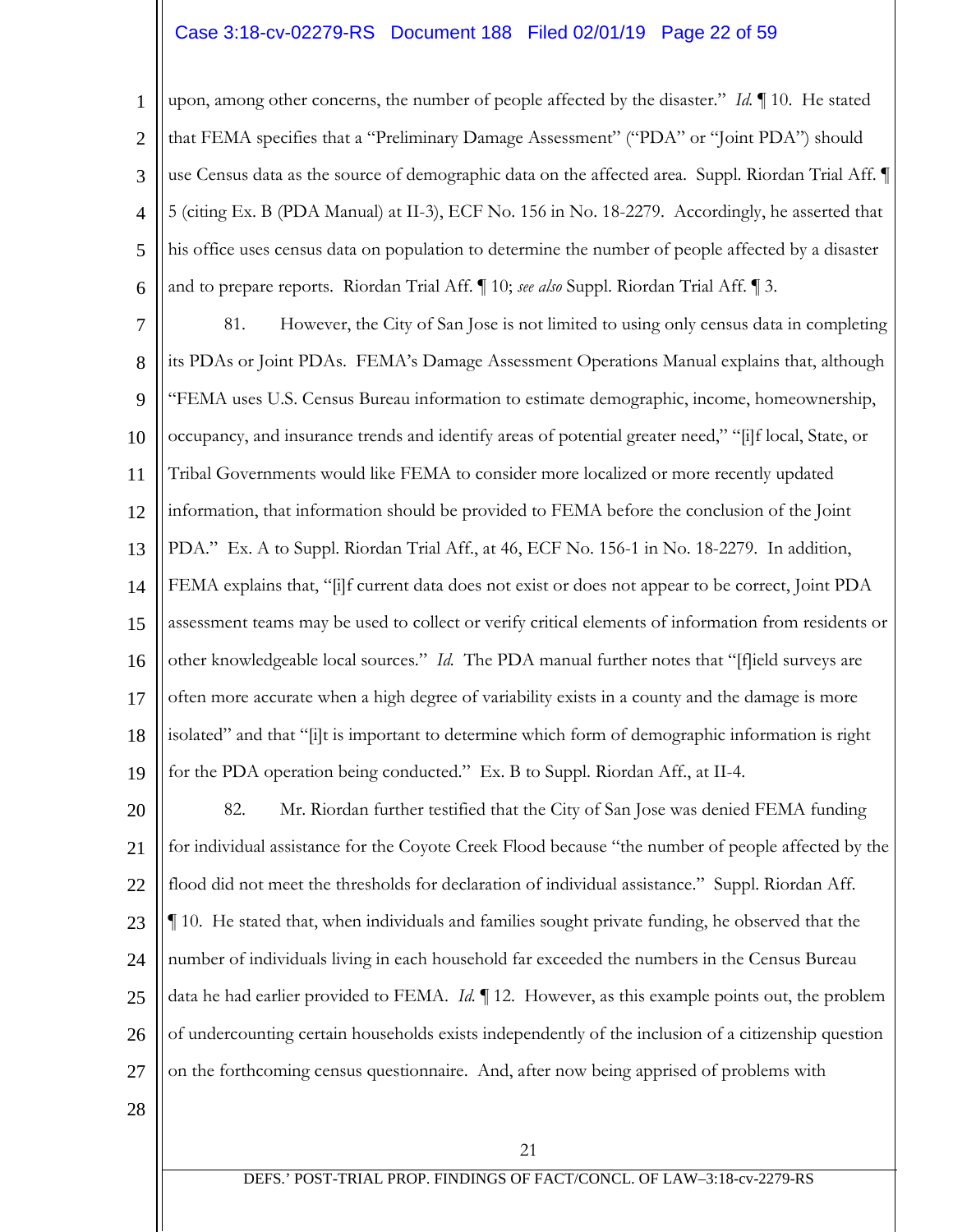# Case 3:18-cv-02279-RS Document 188 Filed 02/01/19 Page 22 of 59

1 2 3 4 5 6 upon, among other concerns, the number of people affected by the disaster." *Id.* ¶ 10. He stated that FEMA specifies that a "Preliminary Damage Assessment" ("PDA" or "Joint PDA") should use Census data as the source of demographic data on the affected area. Suppl. Riordan Trial Aff. ¶ 5 (citing Ex. B (PDA Manual) at II-3), ECF No. 156 in No. 18-2279. Accordingly, he asserted that his office uses census data on population to determine the number of people affected by a disaster and to prepare reports. Riordan Trial Aff. ¶ 10; *see also* Suppl. Riordan Trial Aff. ¶ 3.

7 8 9 10 11 12 13 14 15 16 17 18 19 81. However, the City of San Jose is not limited to using only census data in completing its PDAs or Joint PDAs. FEMA's Damage Assessment Operations Manual explains that, although "FEMA uses U.S. Census Bureau information to estimate demographic, income, homeownership, occupancy, and insurance trends and identify areas of potential greater need," "[i]f local, State, or Tribal Governments would like FEMA to consider more localized or more recently updated information, that information should be provided to FEMA before the conclusion of the Joint PDA." Ex. A to Suppl. Riordan Trial Aff., at 46, ECF No. 156-1 in No. 18-2279. In addition, FEMA explains that, "[i]f current data does not exist or does not appear to be correct, Joint PDA assessment teams may be used to collect or verify critical elements of information from residents or other knowledgeable local sources." *Id.* The PDA manual further notes that "[f]ield surveys are often more accurate when a high degree of variability exists in a county and the damage is more isolated" and that "[i]t is important to determine which form of demographic information is right for the PDA operation being conducted." Ex. B to Suppl. Riordan Aff., at II-4.

20 21 22 23 24 25 26 27 82. Mr. Riordan further testified that the City of San Jose was denied FEMA funding for individual assistance for the Coyote Creek Flood because "the number of people affected by the flood did not meet the thresholds for declaration of individual assistance." Suppl. Riordan Aff. ¶ 10. He stated that, when individuals and families sought private funding, he observed that the number of individuals living in each household far exceeded the numbers in the Census Bureau data he had earlier provided to FEMA. *Id. ¶* 12. However, as this example points out, the problem of undercounting certain households exists independently of the inclusion of a citizenship question on the forthcoming census questionnaire. And, after now being apprised of problems with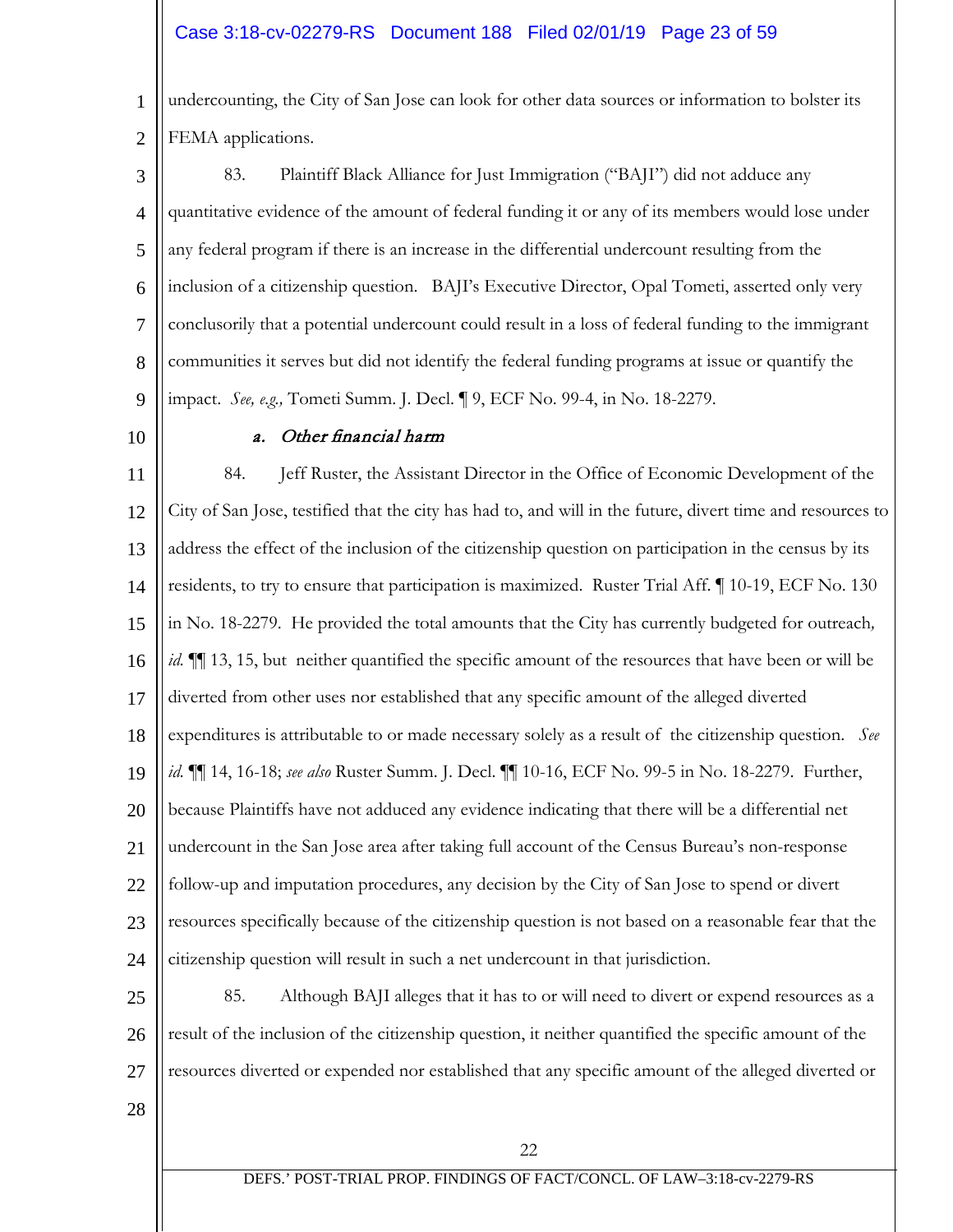1 2 undercounting, the City of San Jose can look for other data sources or information to bolster its FEMA applications.

3 4 5 6 7 8 9 83. Plaintiff Black Alliance for Just Immigration ("BAJI") did not adduce any quantitative evidence of the amount of federal funding it or any of its members would lose under any federal program if there is an increase in the differential undercount resulting from the inclusion of a citizenship question. BAJI's Executive Director, Opal Tometi, asserted only very conclusorily that a potential undercount could result in a loss of federal funding to the immigrant communities it serves but did not identify the federal funding programs at issue or quantify the impact. *See, e.g.,* Tometi Summ. J. Decl. ¶ 9, ECF No. 99-4, in No. 18-2279.

#### 10

### a. Other financial harm

11 12 13 14 15 16 17 18 19 20 21 22 23 24 84. Jeff Ruster, the Assistant Director in the Office of Economic Development of the City of San Jose, testified that the city has had to, and will in the future, divert time and resources to address the effect of the inclusion of the citizenship question on participation in the census by its residents, to try to ensure that participation is maximized. Ruster Trial Aff. ¶ 10-19, ECF No. 130 in No. 18-2279. He provided the total amounts that the City has currently budgeted for outreach*, id.*  $\P$  13, 15, but neither quantified the specific amount of the resources that have been or will be diverted from other uses nor established that any specific amount of the alleged diverted expenditures is attributable to or made necessary solely as a result of the citizenship question. *See id.* ¶¶ 14, 16-18; *see also* Ruster Summ. J. Decl. ¶¶ 10-16, ECF No. 99-5 in No. 18-2279. Further, because Plaintiffs have not adduced any evidence indicating that there will be a differential net undercount in the San Jose area after taking full account of the Census Bureau's non-response follow-up and imputation procedures, any decision by the City of San Jose to spend or divert resources specifically because of the citizenship question is not based on a reasonable fear that the citizenship question will result in such a net undercount in that jurisdiction.

25 26 27 85. Although BAJI alleges that it has to or will need to divert or expend resources as a result of the inclusion of the citizenship question, it neither quantified the specific amount of the resources diverted or expended nor established that any specific amount of the alleged diverted or

28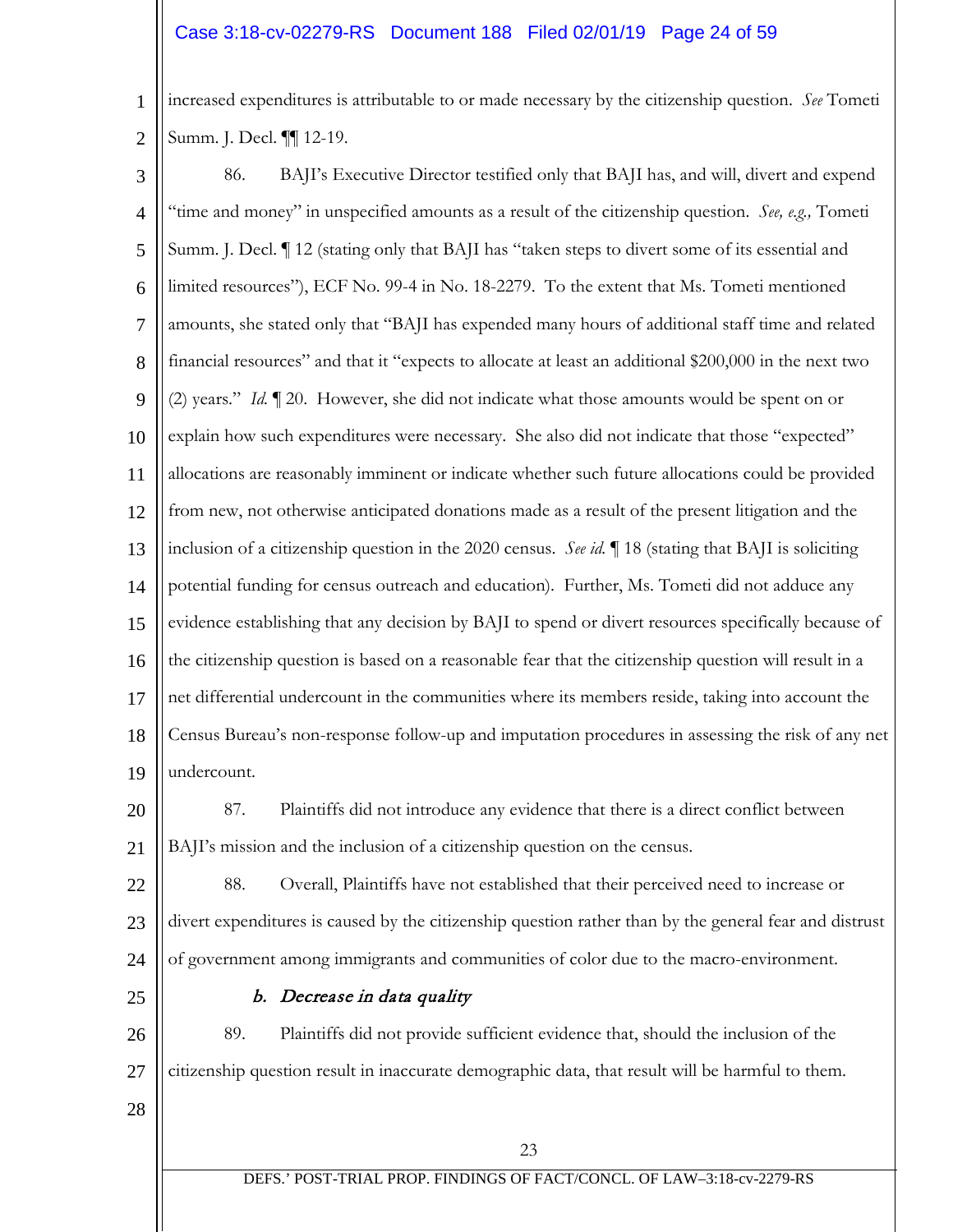# Case 3:18-cv-02279-RS Document 188 Filed 02/01/19 Page 24 of 59

1 2 increased expenditures is attributable to or made necessary by the citizenship question. *See* Tometi Summ. J. Decl. ¶¶ 12-19.

3 4 5 6 7 8 9 10 11 12 13 14 15 16 17 18 19 86. BAJI's Executive Director testified only that BAJI has, and will, divert and expend "time and money" in unspecified amounts as a result of the citizenship question. *See, e.g.,* Tometi Summ. J. Decl. ¶ 12 (stating only that BAJI has "taken steps to divert some of its essential and limited resources"), ECF No. 99-4 in No. 18-2279. To the extent that Ms. Tometi mentioned amounts, she stated only that "BAJI has expended many hours of additional staff time and related financial resources" and that it "expects to allocate at least an additional \$200,000 in the next two (2) years." *Id.* ¶ 20. However, she did not indicate what those amounts would be spent on or explain how such expenditures were necessary. She also did not indicate that those "expected" allocations are reasonably imminent or indicate whether such future allocations could be provided from new, not otherwise anticipated donations made as a result of the present litigation and the inclusion of a citizenship question in the 2020 census. *See id.* ¶ 18 (stating that BAJI is soliciting potential funding for census outreach and education). Further, Ms. Tometi did not adduce any evidence establishing that any decision by BAJI to spend or divert resources specifically because of the citizenship question is based on a reasonable fear that the citizenship question will result in a net differential undercount in the communities where its members reside, taking into account the Census Bureau's non-response follow-up and imputation procedures in assessing the risk of any net undercount.

20 21 87. Plaintiffs did not introduce any evidence that there is a direct conflict between BAJI's mission and the inclusion of a citizenship question on the census.

22 23 24 88. Overall, Plaintiffs have not established that their perceived need to increase or divert expenditures is caused by the citizenship question rather than by the general fear and distrust of government among immigrants and communities of color due to the macro-environment.

25

### b. Decrease in data quality

26 27 89. Plaintiffs did not provide sufficient evidence that, should the inclusion of the citizenship question result in inaccurate demographic data, that result will be harmful to them.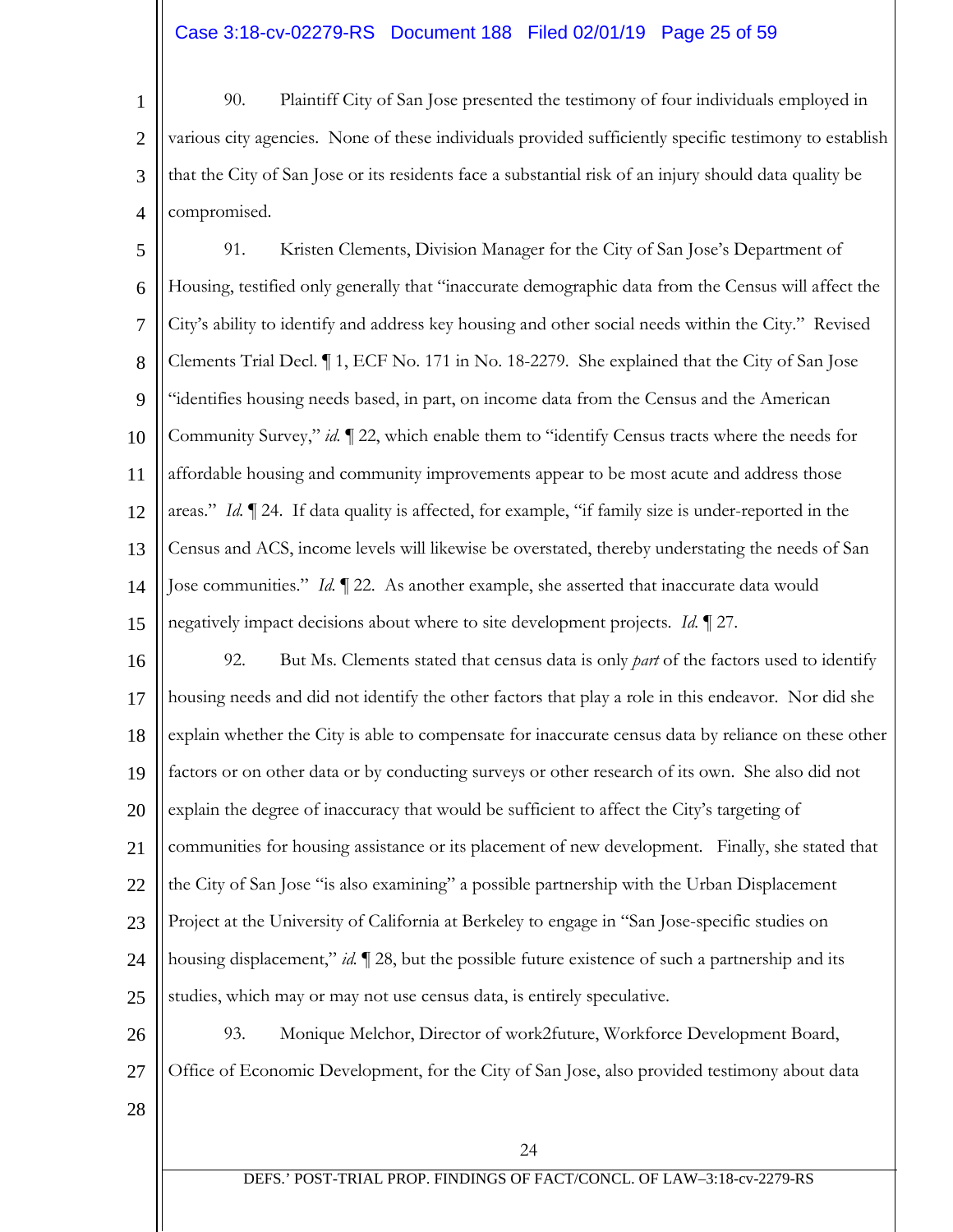# Case 3:18-cv-02279-RS Document 188 Filed 02/01/19 Page 25 of 59

1 2 3 4 90. Plaintiff City of San Jose presented the testimony of four individuals employed in various city agencies. None of these individuals provided sufficiently specific testimony to establish that the City of San Jose or its residents face a substantial risk of an injury should data quality be compromised.

5 6 7 8 9 10 11 12 13 14 15 91. Kristen Clements, Division Manager for the City of San Jose's Department of Housing, testified only generally that "inaccurate demographic data from the Census will affect the City's ability to identify and address key housing and other social needs within the City." Revised Clements Trial Decl. ¶ 1, ECF No. 171 in No. 18-2279. She explained that the City of San Jose "identifies housing needs based, in part, on income data from the Census and the American Community Survey," *id.* ¶ 22, which enable them to "identify Census tracts where the needs for affordable housing and community improvements appear to be most acute and address those areas." *Id.* ¶ 24. If data quality is affected, for example, "if family size is under-reported in the Census and ACS, income levels will likewise be overstated, thereby understating the needs of San Jose communities." *Id.* ¶ 22. As another example, she asserted that inaccurate data would negatively impact decisions about where to site development projects. *Id.* ¶ 27.

16 17 18 19 20 21 22 23 24 25 92. But Ms. Clements stated that census data is only *part* of the factors used to identify housing needs and did not identify the other factors that play a role in this endeavor. Nor did she explain whether the City is able to compensate for inaccurate census data by reliance on these other factors or on other data or by conducting surveys or other research of its own. She also did not explain the degree of inaccuracy that would be sufficient to affect the City's targeting of communities for housing assistance or its placement of new development. Finally, she stated that the City of San Jose "is also examining" a possible partnership with the Urban Displacement Project at the University of California at Berkeley to engage in "San Jose-specific studies on housing displacement," *id.* ¶ 28, but the possible future existence of such a partnership and its studies, which may or may not use census data, is entirely speculative.

26 27 93. Monique Melchor, Director of work2future, Workforce Development Board, Office of Economic Development, for the City of San Jose, also provided testimony about data

28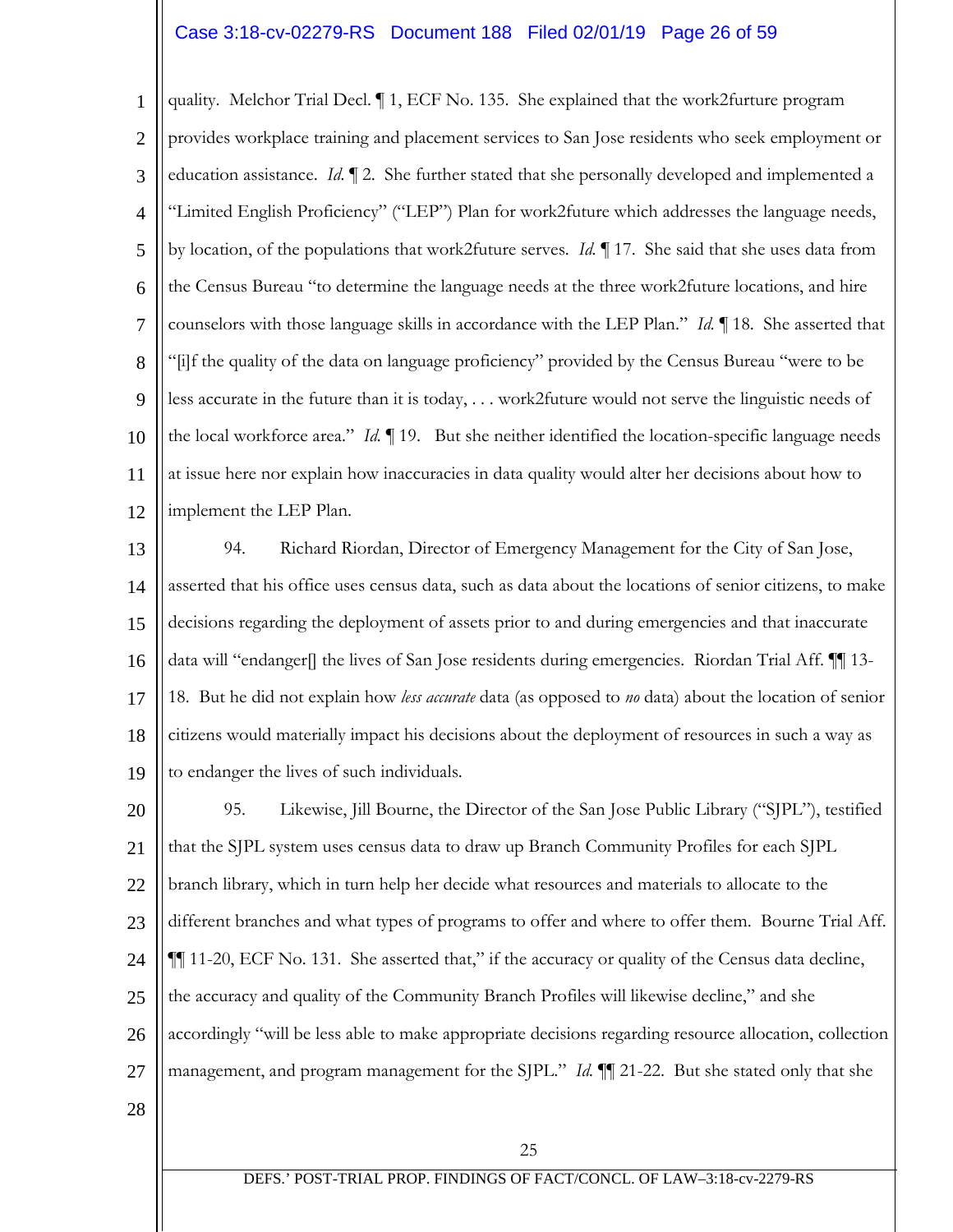# Case 3:18-cv-02279-RS Document 188 Filed 02/01/19 Page 26 of 59

1 2 3 4 5 6 7 8 9 10 11 12 quality. Melchor Trial Decl. ¶ 1, ECF No. 135. She explained that the work2furture program provides workplace training and placement services to San Jose residents who seek employment or education assistance. *Id.* ¶ 2. She further stated that she personally developed and implemented a "Limited English Proficiency" ("LEP") Plan for work2future which addresses the language needs, by location, of the populations that work2future serves. *Id.* ¶ 17. She said that she uses data from the Census Bureau "to determine the language needs at the three work2future locations, and hire counselors with those language skills in accordance with the LEP Plan." *Id.* ¶ 18. She asserted that "[i]f the quality of the data on language proficiency" provided by the Census Bureau "were to be less accurate in the future than it is today, . . . work2future would not serve the linguistic needs of the local workforce area." *Id.* ¶ 19. But she neither identified the location-specific language needs at issue here nor explain how inaccuracies in data quality would alter her decisions about how to implement the LEP Plan.

13 14 15 16 17 18 19 94. Richard Riordan, Director of Emergency Management for the City of San Jose, asserted that his office uses census data, such as data about the locations of senior citizens, to make decisions regarding the deployment of assets prior to and during emergencies and that inaccurate data will "endanger[] the lives of San Jose residents during emergencies. Riordan Trial Aff. ¶¶ 13- 18. But he did not explain how *less accurate* data (as opposed to *no* data) about the location of senior citizens would materially impact his decisions about the deployment of resources in such a way as to endanger the lives of such individuals.

20 21 22 23 24 25 26 27 95. Likewise, Jill Bourne, the Director of the San Jose Public Library ("SJPL"), testified that the SJPL system uses census data to draw up Branch Community Profiles for each SJPL branch library, which in turn help her decide what resources and materials to allocate to the different branches and what types of programs to offer and where to offer them. Bourne Trial Aff. ¶¶ 11-20, ECF No. 131. She asserted that," if the accuracy or quality of the Census data decline, the accuracy and quality of the Community Branch Profiles will likewise decline," and she accordingly "will be less able to make appropriate decisions regarding resource allocation, collection management, and program management for the SJPL." *Id.* ¶¶ 21-22. But she stated only that she

28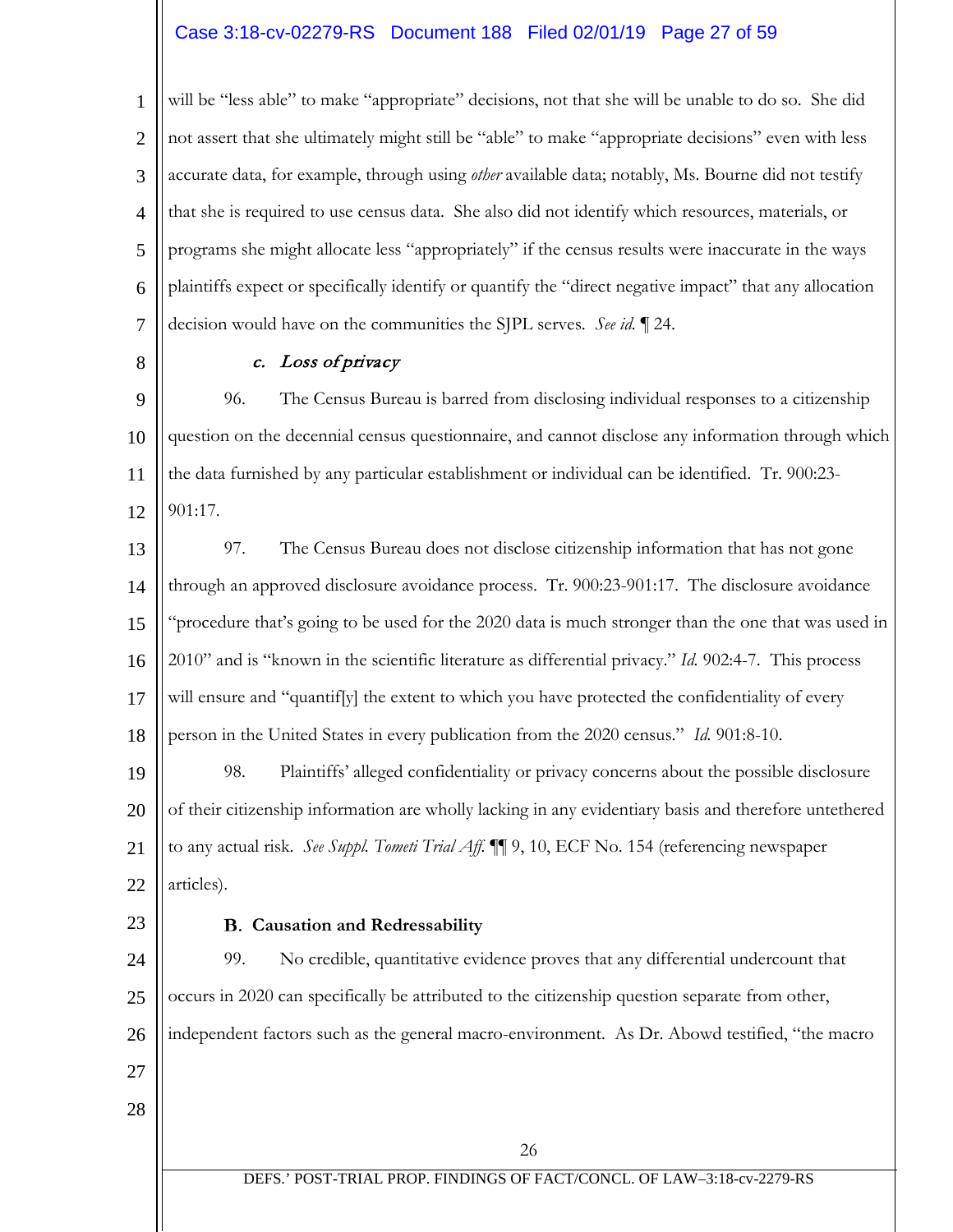# Case 3:18-cv-02279-RS Document 188 Filed 02/01/19 Page 27 of 59

1 2 3 4 5 6 7 will be "less able" to make "appropriate" decisions, not that she will be unable to do so. She did not assert that she ultimately might still be "able" to make "appropriate decisions" even with less accurate data, for example, through using *other* available data; notably, Ms. Bourne did not testify that she is required to use census data. She also did not identify which resources, materials, or programs she might allocate less "appropriately" if the census results were inaccurate in the ways plaintiffs expect or specifically identify or quantify the "direct negative impact" that any allocation decision would have on the communities the SJPL serves. *See id.* ¶ 24.

8

### c. Loss of privacy

9 10 11 12 96. The Census Bureau is barred from disclosing individual responses to a citizenship question on the decennial census questionnaire, and cannot disclose any information through which the data furnished by any particular establishment or individual can be identified. Tr. 900:23- 901:17.

13 14 15 16 17 18 97. The Census Bureau does not disclose citizenship information that has not gone through an approved disclosure avoidance process. Tr. 900:23-901:17. The disclosure avoidance "procedure that's going to be used for the 2020 data is much stronger than the one that was used in 2010" and is "known in the scientific literature as differential privacy." *Id.* 902:4-7. This process will ensure and "quantif[y] the extent to which you have protected the confidentiality of every person in the United States in every publication from the 2020 census." *Id.* 901:8-10.

19 20 21 22 98. Plaintiffs' alleged confidentiality or privacy concerns about the possible disclosure of their citizenship information are wholly lacking in any evidentiary basis and therefore untethered to any actual risk. *See Suppl. Tometi Trial Aff. ¶¶* 9, 10, ECF No. 154 (referencing newspaper articles).

23

## **Causation and Redressability**

24 25 26 27 28 99. No credible, quantitative evidence proves that any differential undercount that occurs in 2020 can specifically be attributed to the citizenship question separate from other, independent factors such as the general macro-environment. As Dr. Abowd testified, "the macro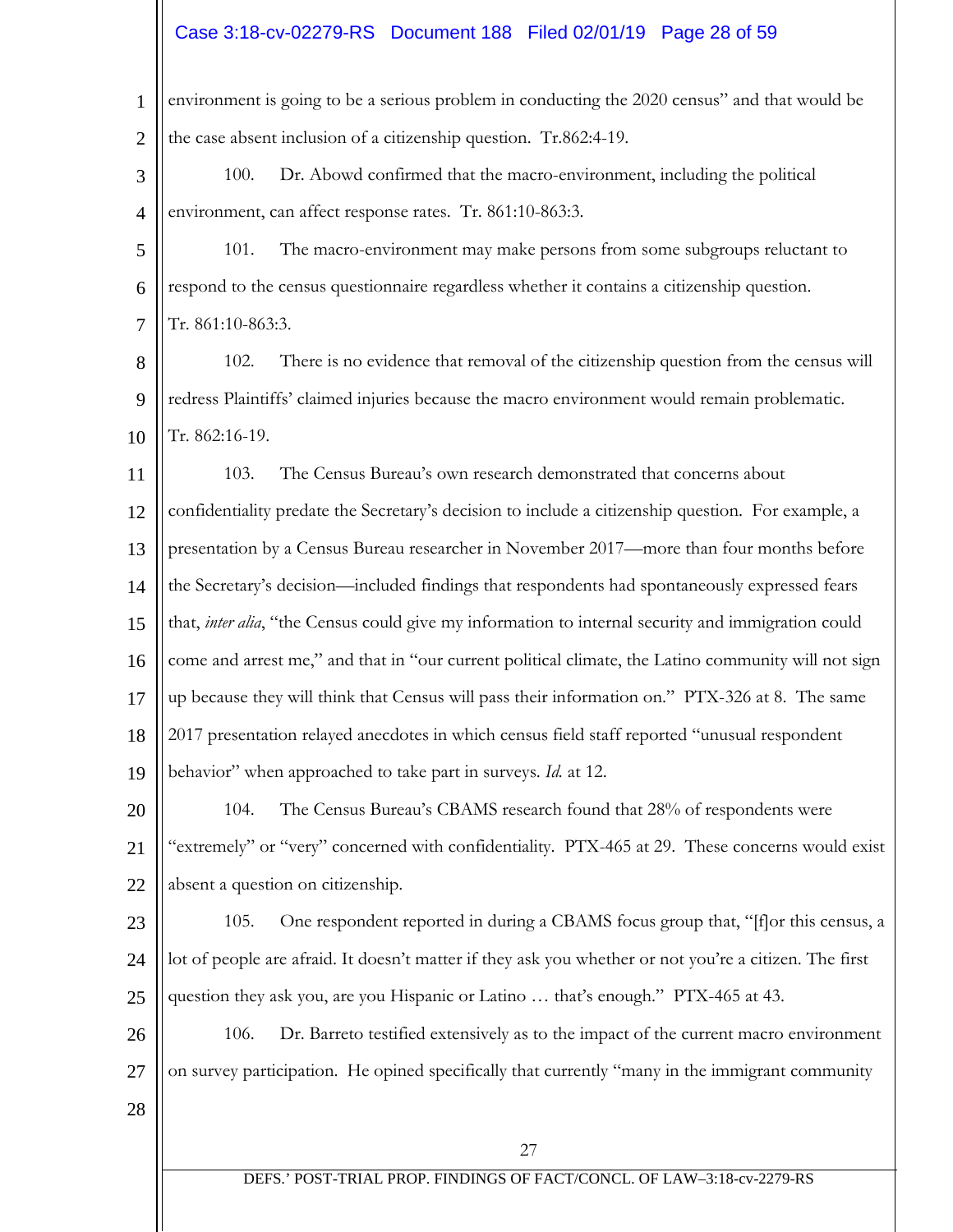# Case 3:18-cv-02279-RS Document 188 Filed 02/01/19 Page 28 of 59

| $\mathbf{1}$   | environment is going to be a serious problem in conducting the 2020 census" and that would be          |
|----------------|--------------------------------------------------------------------------------------------------------|
| $\overline{2}$ | the case absent inclusion of a citizenship question. Tr.862:4-19.                                      |
| 3              | Dr. Abowd confirmed that the macro-environment, including the political<br>100.                        |
| $\overline{4}$ | environment, can affect response rates. Tr. 861:10-863:3.                                              |
| 5              | 101.<br>The macro-environment may make persons from some subgroups reluctant to                        |
| 6              | respond to the census questionnaire regardless whether it contains a citizenship question.             |
| $\overline{7}$ | Tr. 861:10-863:3.                                                                                      |
| 8              | There is no evidence that removal of the citizenship question from the census will<br>102.             |
| 9              | redress Plaintiffs' claimed injuries because the macro environment would remain problematic.           |
| 10             | Tr. 862:16-19.                                                                                         |
| 11             | The Census Bureau's own research demonstrated that concerns about<br>103.                              |
| 12             | confidentiality predate the Secretary's decision to include a citizenship question. For example, a     |
| 13             | presentation by a Census Bureau researcher in November 2017—more than four months before               |
| 14             | the Secretary's decision—included findings that respondents had spontaneously expressed fears          |
| 15             | that, inter alia, "the Census could give my information to internal security and immigration could     |
| 16             | come and arrest me," and that in "our current political climate, the Latino community will not sign    |
| 17             | up because they will think that Census will pass their information on." PTX-326 at 8. The same         |
| 18             | 2017 presentation relayed anecdotes in which census field staff reported "unusual respondent           |
| 19             | behavior" when approached to take part in surveys. Id. at 12.                                          |
| 20             | The Census Bureau's CBAMS research found that 28% of respondents were<br>104.                          |
| 21             | "extremely" or "very" concerned with confidentiality. PTX-465 at 29. These concerns would exist        |
| 22             | absent a question on citizenship.                                                                      |
| 23             | One respondent reported in during a CBAMS focus group that, "[f] or this census, a<br>105.             |
| 24             | lot of people are afraid. It doesn't matter if they ask you whether or not you're a citizen. The first |
| 25             | question they ask you, are you Hispanic or Latino  that's enough." PTX-465 at 43.                      |
| 26             | Dr. Barreto testified extensively as to the impact of the current macro environment<br>106.            |
| 27             | on survey participation. He opined specifically that currently "many in the immigrant community        |
| 28             |                                                                                                        |
|                | 27                                                                                                     |
|                | DEFS.' POST-TRIAL PROP. FINDINGS OF FACT/CONCL. OF LAW-3:18-cv-2279-RS                                 |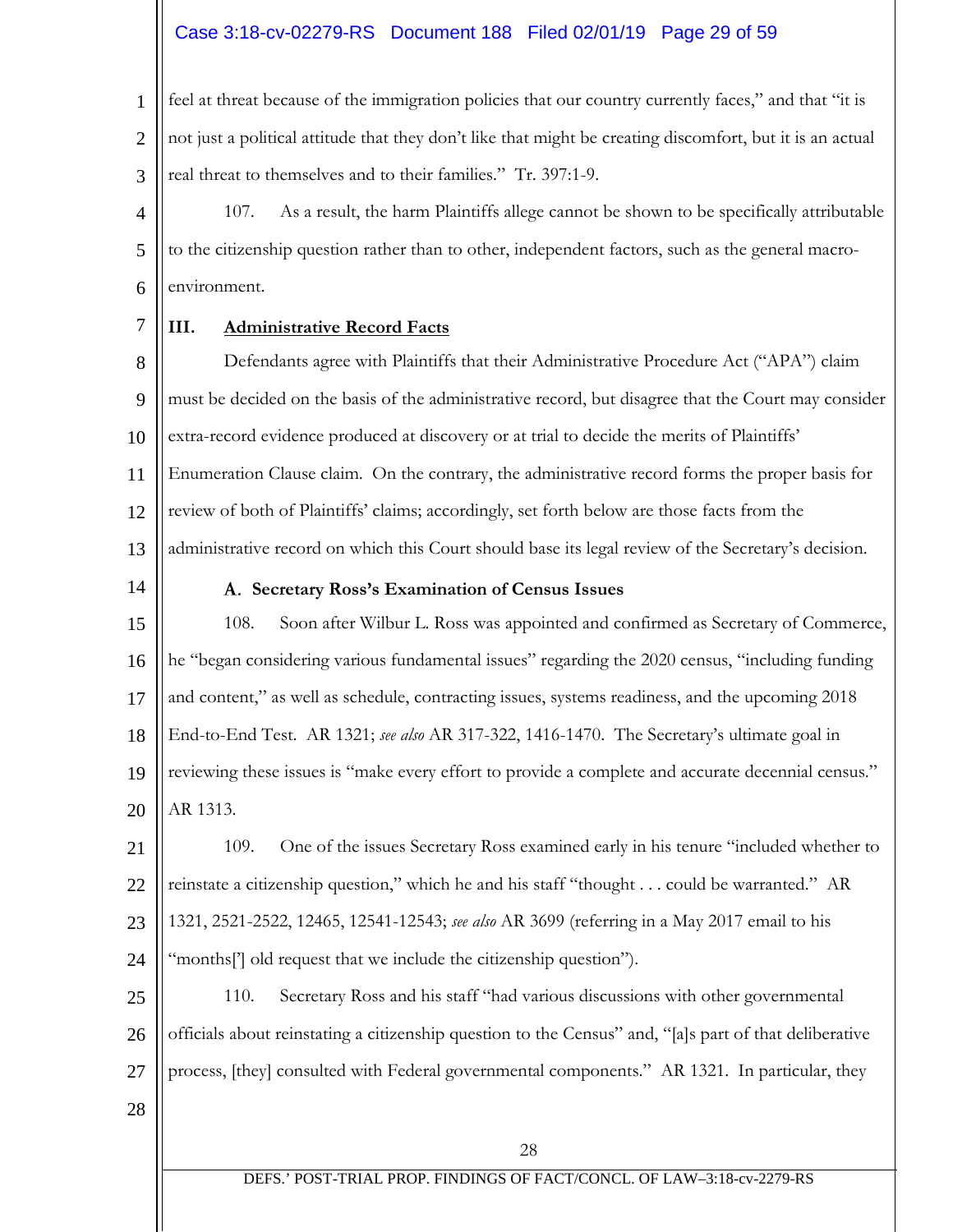# Case 3:18-cv-02279-RS Document 188 Filed 02/01/19 Page 29 of 59

1 2 3 feel at threat because of the immigration policies that our country currently faces," and that "it is not just a political attitude that they don't like that might be creating discomfort, but it is an actual real threat to themselves and to their families." Tr. 397:1-9.

4 5 6 107. As a result, the harm Plaintiffs allege cannot be shown to be specifically attributable to the citizenship question rather than to other, independent factors, such as the general macroenvironment.

7

#### **III. Administrative Record Facts**

8 9 10 11 12 13 Defendants agree with Plaintiffs that their Administrative Procedure Act ("APA") claim must be decided on the basis of the administrative record, but disagree that the Court may consider extra-record evidence produced at discovery or at trial to decide the merits of Plaintiffs' Enumeration Clause claim. On the contrary, the administrative record forms the proper basis for review of both of Plaintiffs' claims; accordingly, set forth below are those facts from the administrative record on which this Court should base its legal review of the Secretary's decision.

14

#### **Secretary Ross's Examination of Census Issues**

15 16 17 18 19 20 108. Soon after Wilbur L. Ross was appointed and confirmed as Secretary of Commerce, he "began considering various fundamental issues" regarding the 2020 census, "including funding and content," as well as schedule, contracting issues, systems readiness, and the upcoming 2018 End-to-End Test. AR 1321; *see also* AR 317-322, 1416-1470. The Secretary's ultimate goal in reviewing these issues is "make every effort to provide a complete and accurate decennial census." AR 1313.

21 22 23 24 109. One of the issues Secretary Ross examined early in his tenure "included whether to reinstate a citizenship question," which he and his staff "thought . . . could be warranted." AR 1321, 2521-2522, 12465, 12541-12543; *see also* AR 3699 (referring in a May 2017 email to his "months['] old request that we include the citizenship question").

25 26 27 110. Secretary Ross and his staff "had various discussions with other governmental officials about reinstating a citizenship question to the Census" and, "[a]s part of that deliberative process, [they] consulted with Federal governmental components." AR 1321. In particular, they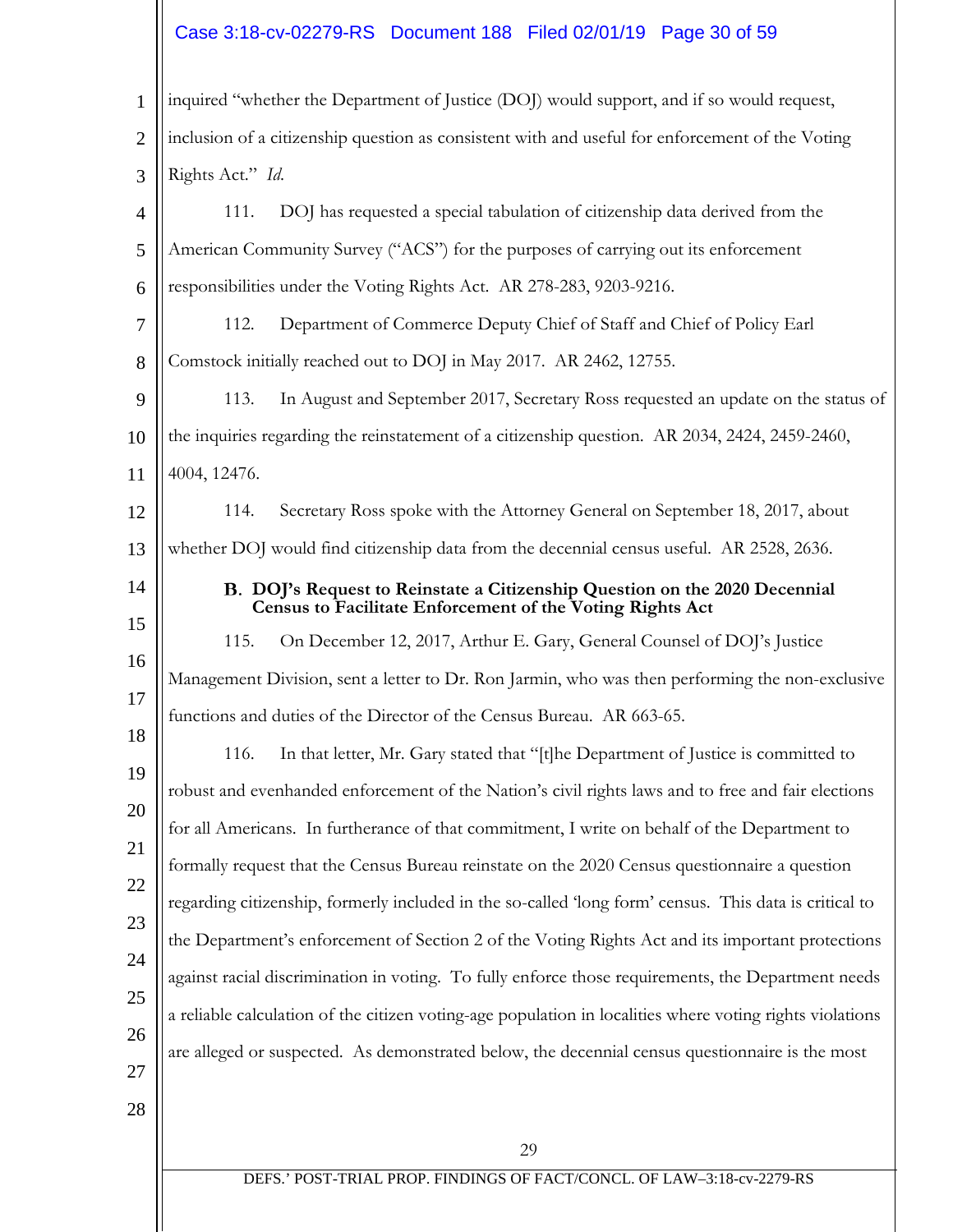# $\left\|\right.$  Case 3:18-cv-02279-RS Document 188 Filed 02/01/19 Page 30 of 59

| 1              | inquired "whether the Department of Justice (DOJ) would support, and if so would request,                                               |
|----------------|-----------------------------------------------------------------------------------------------------------------------------------------|
| $\overline{2}$ | inclusion of a citizenship question as consistent with and useful for enforcement of the Voting                                         |
| 3              | Rights Act." Id.                                                                                                                        |
| $\overline{4}$ | DOJ has requested a special tabulation of citizenship data derived from the<br>111.                                                     |
| 5              | American Community Survey ("ACS") for the purposes of carrying out its enforcement                                                      |
| 6              | responsibilities under the Voting Rights Act. AR 278-283, 9203-9216.                                                                    |
| 7              | Department of Commerce Deputy Chief of Staff and Chief of Policy Earl<br>112.                                                           |
| 8              | Comstock initially reached out to DOJ in May 2017. AR 2462, 12755.                                                                      |
| 9              | In August and September 2017, Secretary Ross requested an update on the status of<br>113.                                               |
| 10             | the inquiries regarding the reinstatement of a citizenship question. AR 2034, 2424, 2459-2460,                                          |
| 11             | 4004, 12476.                                                                                                                            |
| 12             | Secretary Ross spoke with the Attorney General on September 18, 2017, about<br>114.                                                     |
| 13             | whether DOJ would find citizenship data from the decennial census useful. AR 2528, 2636.                                                |
| 14             | B. DOJ's Request to Reinstate a Citizenship Question on the 2020 Decennial<br>Census to Facilitate Enforcement of the Voting Rights Act |
| 15             | 115.<br>On December 12, 2017, Arthur E. Gary, General Counsel of DOJ's Justice                                                          |
| 16             | Management Division, sent a letter to Dr. Ron Jarmin, who was then performing the non-exclusive                                         |
| 17             | functions and duties of the Director of the Census Bureau. AR 663-65.                                                                   |
| 18             | In that letter, Mr. Gary stated that "[t]he Department of Justice is committed to<br>116.                                               |
| 19             | robust and evenhanded enforcement of the Nation's civil rights laws and to free and fair elections                                      |
| 20             | for all Americans. In furtherance of that commitment, I write on behalf of the Department to                                            |
| 21             | formally request that the Census Bureau reinstate on the 2020 Census questionnaire a question                                           |
| 22             | regarding citizenship, formerly included in the so-called 'long form' census. This data is critical to                                  |
| 23             | the Department's enforcement of Section 2 of the Voting Rights Act and its important protections                                        |
| 24             | against racial discrimination in voting. To fully enforce those requirements, the Department needs                                      |
| 25             | a reliable calculation of the citizen voting-age population in localities where voting rights violations                                |
| 26             | are alleged or suspected. As demonstrated below, the decennial census questionnaire is the most                                         |
| 27<br>28       |                                                                                                                                         |
|                |                                                                                                                                         |
|                | 29<br>DEFS.' POST-TRIAL PROP. FINDINGS OF FACT/CONCL. OF LAW-3:18-cv-2279-RS                                                            |
|                |                                                                                                                                         |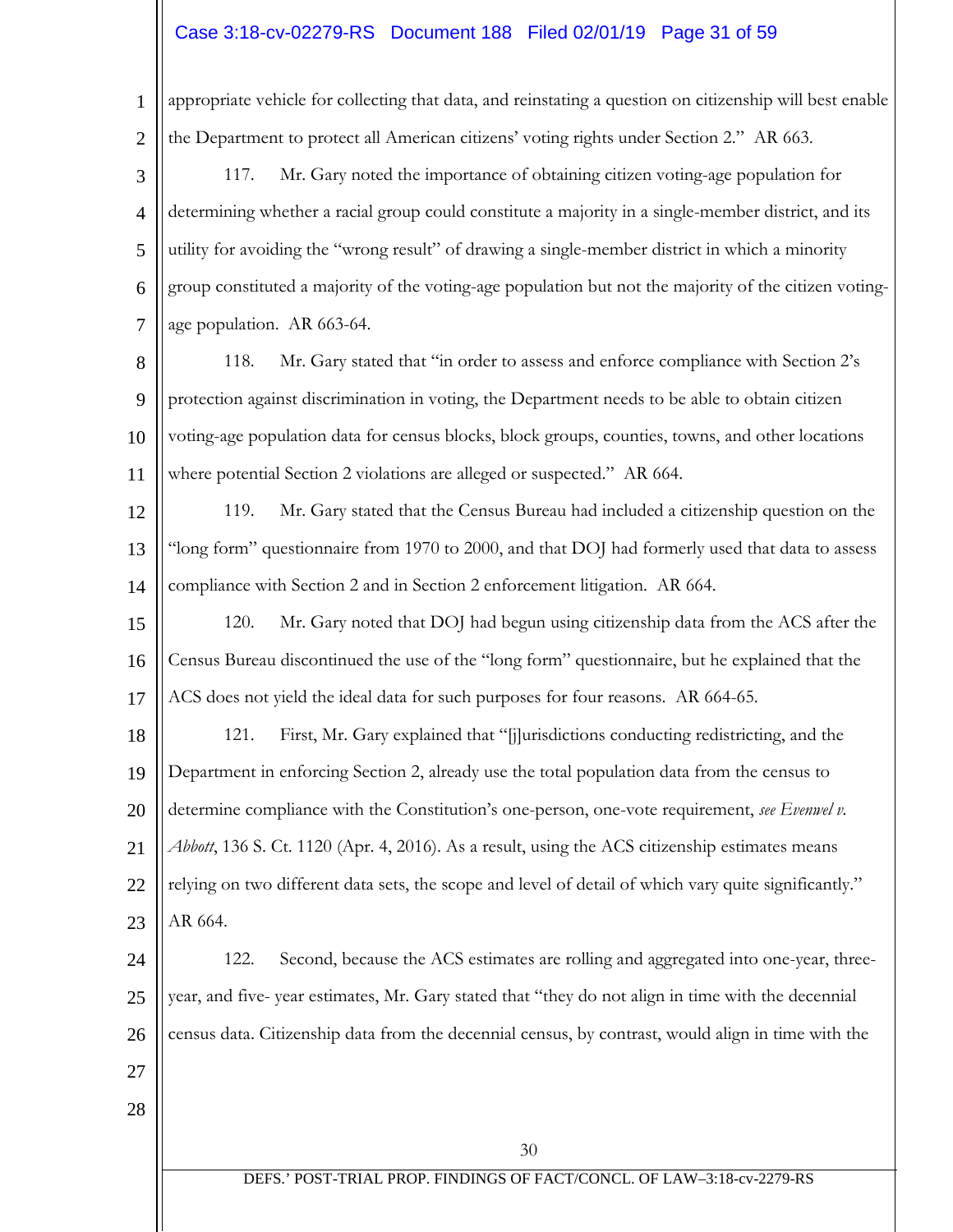# $\left\|\right.$  Case 3:18-cv-02279-RS Document 188 Filed 02/01/19 Page 31 of 59

| $\mathbf{1}$   | appropriate vehicle for collecting that data, and reinstating a question on citizenship will best enable |
|----------------|----------------------------------------------------------------------------------------------------------|
| $\overline{2}$ | the Department to protect all American citizens' voting rights under Section 2." AR 663.                 |
| 3              | Mr. Gary noted the importance of obtaining citizen voting-age population for<br>117.                     |
| $\overline{4}$ | determining whether a racial group could constitute a majority in a single-member district, and its      |
| 5              | utility for avoiding the "wrong result" of drawing a single-member district in which a minority          |
| 6              | group constituted a majority of the voting-age population but not the majority of the citizen voting-    |
| 7              | age population. AR 663-64.                                                                               |
| 8              | Mr. Gary stated that "in order to assess and enforce compliance with Section 2's<br>118.                 |
| 9              | protection against discrimination in voting, the Department needs to be able to obtain citizen           |
| 10             | voting-age population data for census blocks, block groups, counties, towns, and other locations         |
| 11             | where potential Section 2 violations are alleged or suspected." AR 664.                                  |
| 12             | Mr. Gary stated that the Census Bureau had included a citizenship question on the<br>119.                |
| 13             | "long form" questionnaire from 1970 to 2000, and that DOJ had formerly used that data to assess          |
| 14             | compliance with Section 2 and in Section 2 enforcement litigation. AR 664.                               |
| 15             | Mr. Gary noted that DOJ had begun using citizenship data from the ACS after the<br>120.                  |
| 16             | Census Bureau discontinued the use of the "long form" questionnaire, but he explained that the           |
| 17             | ACS does not yield the ideal data for such purposes for four reasons. AR 664-65.                         |
| 18             | First, Mr. Gary explained that "[j]urisdictions conducting redistricting, and the<br>121.                |
| 19             | Department in enforcing Section 2, already use the total population data from the census to              |
| 20             | determine compliance with the Constitution's one-person, one-vote requirement, see Evenwel v.            |
| 21             | Abbott, 136 S. Ct. 1120 (Apr. 4, 2016). As a result, using the ACS citizenship estimates means           |
| 22             | relying on two different data sets, the scope and level of detail of which vary quite significantly."    |
| 23             | AR 664.                                                                                                  |
| 24             | Second, because the ACS estimates are rolling and aggregated into one-year, three-<br>122.               |
| 25             | year, and five-year estimates, Mr. Gary stated that "they do not align in time with the decennial        |
| 26             | census data. Citizenship data from the decennial census, by contrast, would align in time with the       |
| 27             |                                                                                                          |
| 28             |                                                                                                          |
|                | 30                                                                                                       |
|                | DEFS.' POST-TRIAL PROP. FINDINGS OF FACT/CONCL. OF LAW-3:18-cv-2279-RS                                   |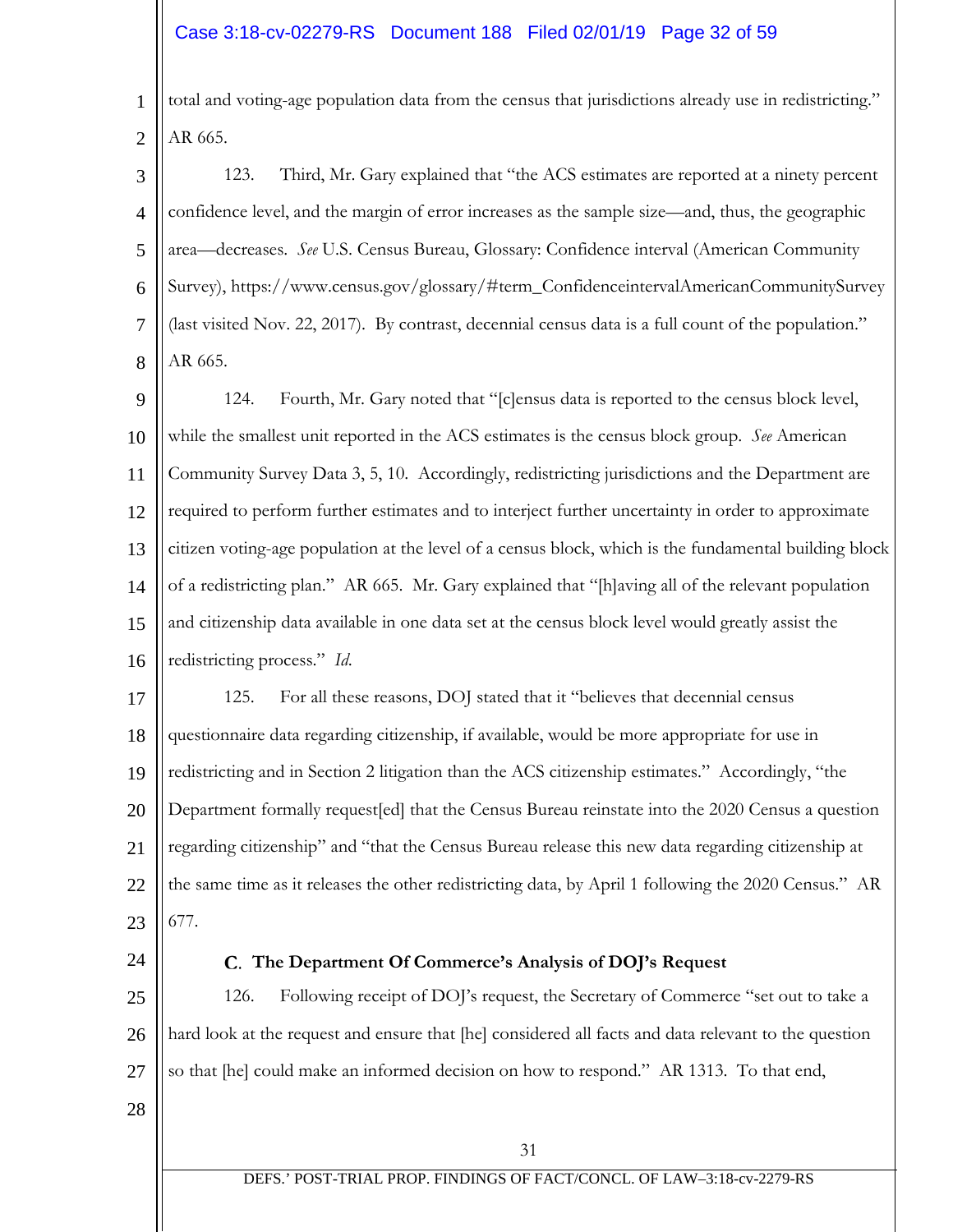# Case 3:18-cv-02279-RS Document 188 Filed 02/01/19 Page 32 of 59

1 2 total and voting-age population data from the census that jurisdictions already use in redistricting." AR 665.

3 4 5 6 7 8 123. Third, Mr. Gary explained that "the ACS estimates are reported at a ninety percent confidence level, and the margin of error increases as the sample size—and, thus, the geographic area—decreases. *See* U.S. Census Bureau, Glossary: Confidence interval (American Community Survey), https://www.census.gov/glossary/#term\_ConfidenceintervalAmericanCommunitySurvey (last visited Nov. 22, 2017). By contrast, decennial census data is a full count of the population." AR 665.

9 10 11 12 13 14 15 16 124. Fourth, Mr. Gary noted that "[c]ensus data is reported to the census block level, while the smallest unit reported in the ACS estimates is the census block group. *See* American Community Survey Data 3, 5, 10. Accordingly, redistricting jurisdictions and the Department are required to perform further estimates and to interject further uncertainty in order to approximate citizen voting-age population at the level of a census block, which is the fundamental building block of a redistricting plan." AR 665. Mr. Gary explained that "[h]aving all of the relevant population and citizenship data available in one data set at the census block level would greatly assist the redistricting process." *Id*.

17 18 19 20 21 22 23 125. For all these reasons, DOJ stated that it "believes that decennial census questionnaire data regarding citizenship, if available, would be more appropriate for use in redistricting and in Section 2 litigation than the ACS citizenship estimates." Accordingly, "the Department formally request[ed] that the Census Bureau reinstate into the 2020 Census a question regarding citizenship" and "that the Census Bureau release this new data regarding citizenship at the same time as it releases the other redistricting data, by April 1 following the 2020 Census." AR 677.

24

### **The Department Of Commerce's Analysis of DOJ's Request**

25 26 27 126. Following receipt of DOJ's request, the Secretary of Commerce "set out to take a hard look at the request and ensure that [he] considered all facts and data relevant to the question so that [he] could make an informed decision on how to respond." AR 1313. To that end,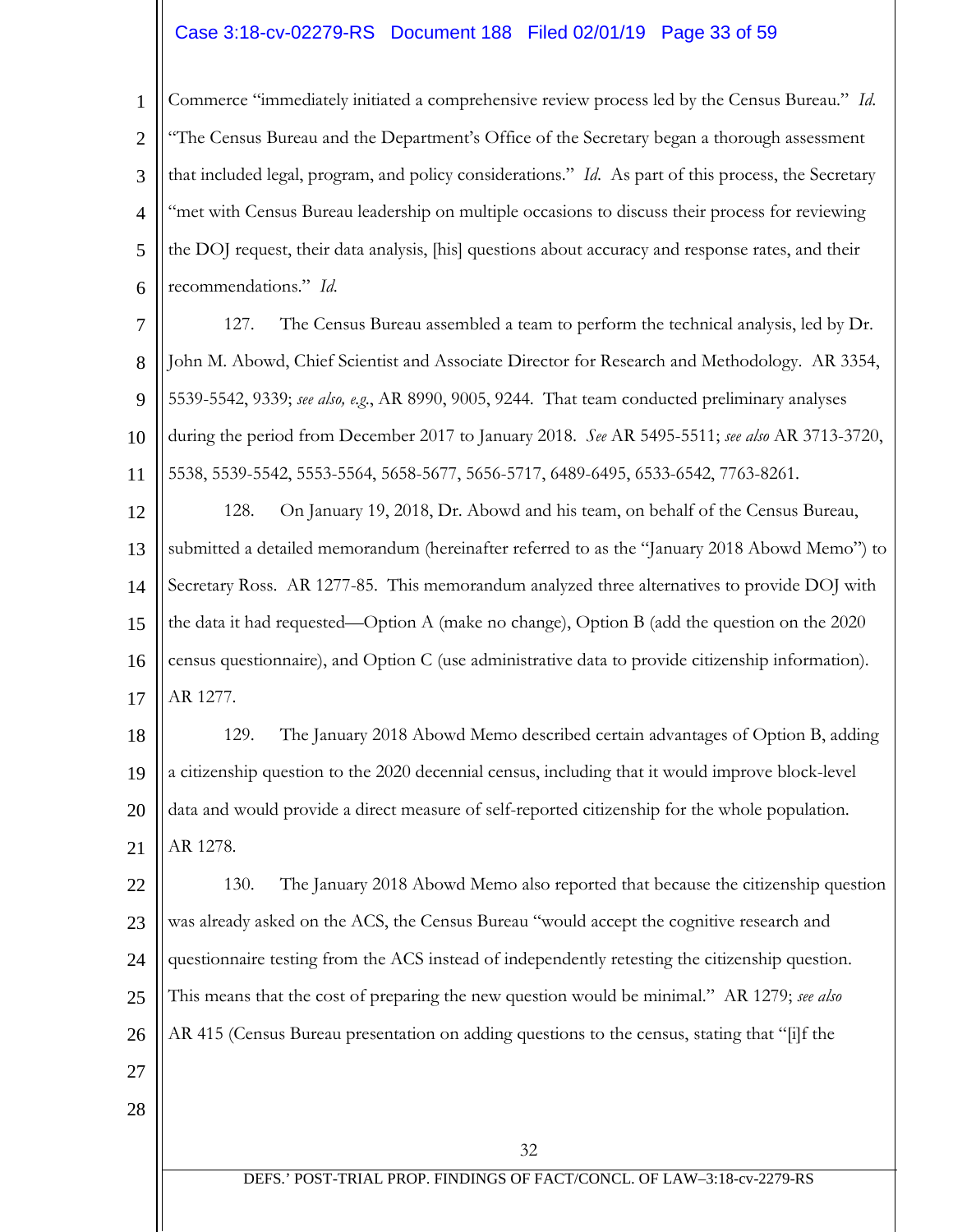### Case 3:18-cv-02279-RS Document 188 Filed 02/01/19 Page 33 of 59

1 2 3 4 5 6 Commerce "immediately initiated a comprehensive review process led by the Census Bureau." *Id*. "The Census Bureau and the Department's Office of the Secretary began a thorough assessment that included legal, program, and policy considerations." *Id*. As part of this process, the Secretary "met with Census Bureau leadership on multiple occasions to discuss their process for reviewing the DOJ request, their data analysis, [his] questions about accuracy and response rates, and their recommendations." *Id*.

7 8 9 10 11 127. The Census Bureau assembled a team to perform the technical analysis, led by Dr. John M. Abowd, Chief Scientist and Associate Director for Research and Methodology. AR 3354, 5539-5542, 9339; *see also, e.g*., AR 8990, 9005, 9244. That team conducted preliminary analyses during the period from December 2017 to January 2018. *See* AR 5495-5511; *see also* AR 3713-3720, 5538, 5539-5542, 5553-5564, 5658-5677, 5656-5717, 6489-6495, 6533-6542, 7763-8261.

12 13 14 15 16 17 128. On January 19, 2018, Dr. Abowd and his team, on behalf of the Census Bureau, submitted a detailed memorandum (hereinafter referred to as the "January 2018 Abowd Memo") to Secretary Ross. AR 1277-85. This memorandum analyzed three alternatives to provide DOJ with the data it had requested—Option A (make no change), Option B (add the question on the 2020 census questionnaire), and Option C (use administrative data to provide citizenship information). AR 1277.

18 19 20 21 129. The January 2018 Abowd Memo described certain advantages of Option B, adding a citizenship question to the 2020 decennial census, including that it would improve block-level data and would provide a direct measure of self-reported citizenship for the whole population. AR 1278.

22 23 24 25 26 130. The January 2018 Abowd Memo also reported that because the citizenship question was already asked on the ACS, the Census Bureau "would accept the cognitive research and questionnaire testing from the ACS instead of independently retesting the citizenship question. This means that the cost of preparing the new question would be minimal." AR 1279; *see also* AR 415 (Census Bureau presentation on adding questions to the census, stating that "[i]f the

- 27
- 28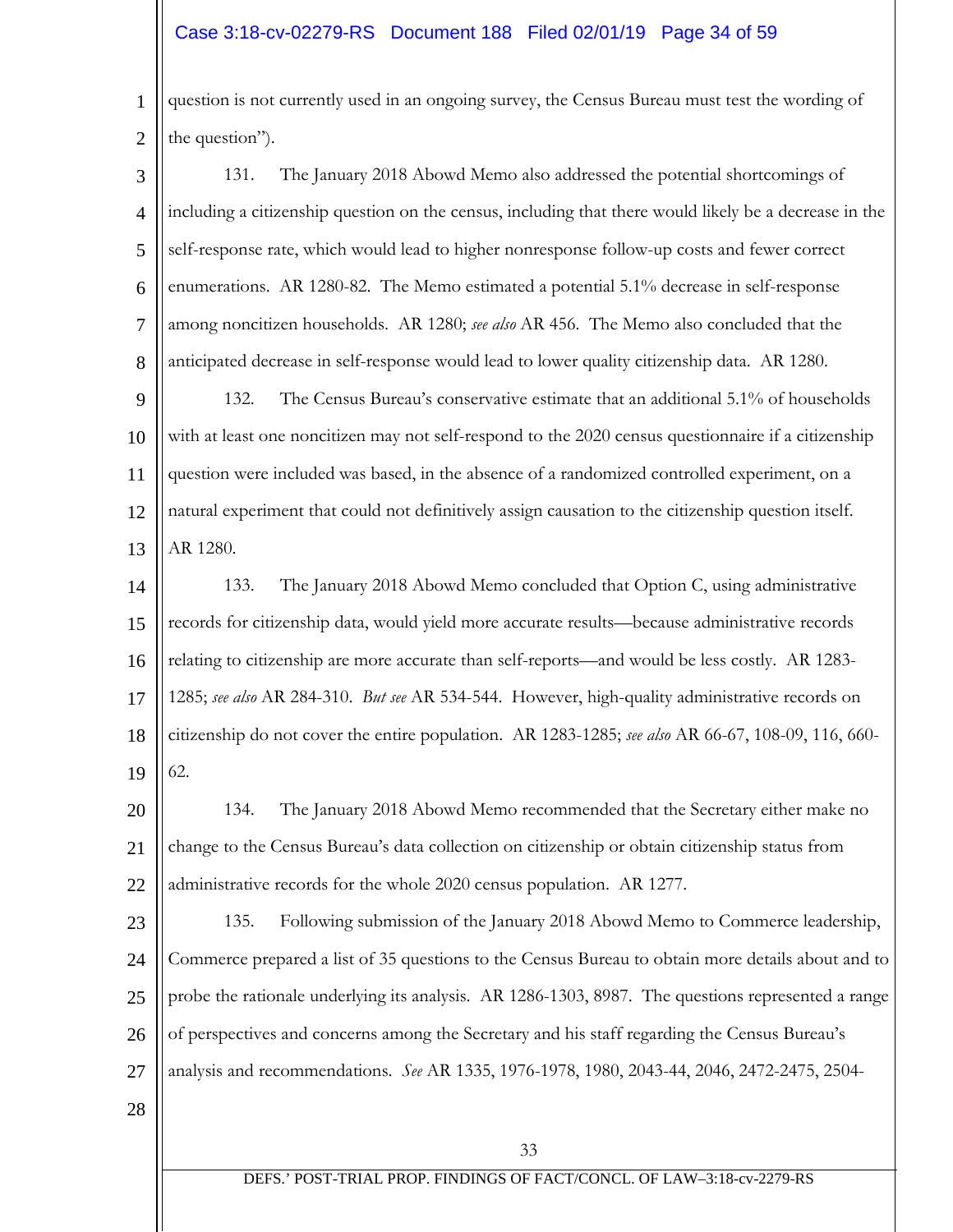## Case 3:18-cv-02279-RS Document 188 Filed 02/01/19 Page 34 of 59

1 2 question is not currently used in an ongoing survey, the Census Bureau must test the wording of the question").

3 4 5 6 7 8 131. The January 2018 Abowd Memo also addressed the potential shortcomings of including a citizenship question on the census, including that there would likely be a decrease in the self-response rate, which would lead to higher nonresponse follow-up costs and fewer correct enumerations. AR 1280-82. The Memo estimated a potential 5.1% decrease in self-response among noncitizen households. AR 1280; *see also* AR 456. The Memo also concluded that the anticipated decrease in self-response would lead to lower quality citizenship data. AR 1280.

9 10 11 12 13 132. The Census Bureau's conservative estimate that an additional 5.1% of households with at least one noncitizen may not self-respond to the 2020 census questionnaire if a citizenship question were included was based, in the absence of a randomized controlled experiment, on a natural experiment that could not definitively assign causation to the citizenship question itself. AR 1280.

14 15 16 17 18 19 133. The January 2018 Abowd Memo concluded that Option C, using administrative records for citizenship data, would yield more accurate results—because administrative records relating to citizenship are more accurate than self-reports—and would be less costly. AR 1283- 1285; *see also* AR 284-310. *But see* AR 534-544. However, high-quality administrative records on citizenship do not cover the entire population. AR 1283-1285; *see also* AR 66-67, 108-09, 116, 660- 62.

20 21 22 134. The January 2018 Abowd Memo recommended that the Secretary either make no change to the Census Bureau's data collection on citizenship or obtain citizenship status from administrative records for the whole 2020 census population. AR 1277.

23 24 25 26 27 135. Following submission of the January 2018 Abowd Memo to Commerce leadership, Commerce prepared a list of 35 questions to the Census Bureau to obtain more details about and to probe the rationale underlying its analysis. AR 1286-1303, 8987. The questions represented a range of perspectives and concerns among the Secretary and his staff regarding the Census Bureau's analysis and recommendations. *See* AR 1335, 1976-1978, 1980, 2043-44, 2046, 2472-2475, 2504-

28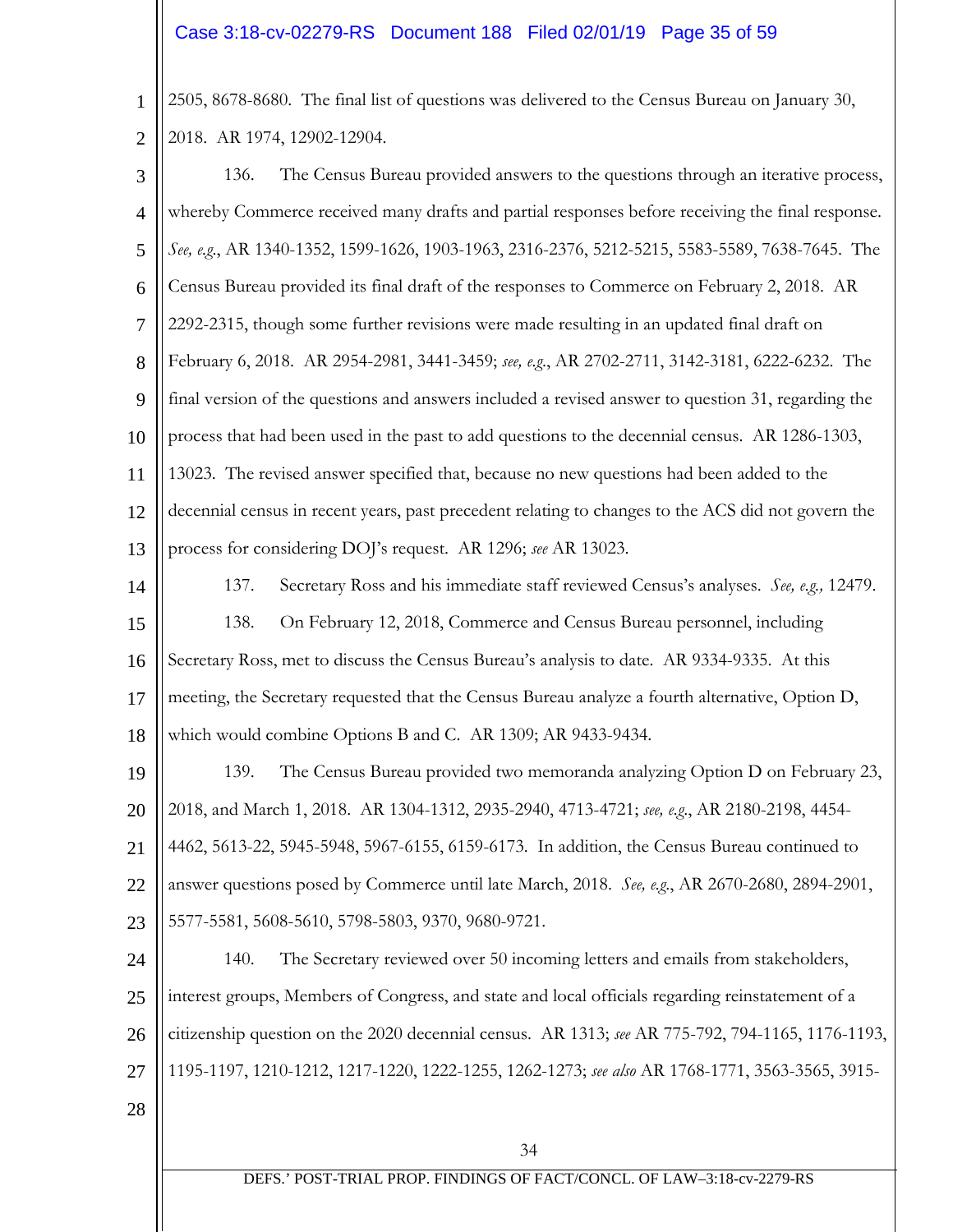## Case 3:18-cv-02279-RS Document 188 Filed 02/01/19 Page 35 of 59

1 2 2505, 8678-8680. The final list of questions was delivered to the Census Bureau on January 30, 2018. AR 1974, 12902-12904.

34 3 4 5 6 7 8 9 10 11 12 13 14 15 16 17 18 19 20 21 22 23 24 25 26 27 28 136. The Census Bureau provided answers to the questions through an iterative process, whereby Commerce received many drafts and partial responses before receiving the final response. *See, e.g*., AR 1340-1352, 1599-1626, 1903-1963, 2316-2376, 5212-5215, 5583-5589, 7638-7645. The Census Bureau provided its final draft of the responses to Commerce on February 2, 2018. AR 2292-2315, though some further revisions were made resulting in an updated final draft on February 6, 2018. AR 2954-2981, 3441-3459; *see, e.g*., AR 2702-2711, 3142-3181, 6222-6232. The final version of the questions and answers included a revised answer to question 31, regarding the process that had been used in the past to add questions to the decennial census. AR 1286-1303, 13023. The revised answer specified that, because no new questions had been added to the decennial census in recent years, past precedent relating to changes to the ACS did not govern the process for considering DOJ's request. AR 1296; *see* AR 13023. 137. Secretary Ross and his immediate staff reviewed Census's analyses. *See, e.g.,* 12479. 138. On February 12, 2018, Commerce and Census Bureau personnel, including Secretary Ross, met to discuss the Census Bureau's analysis to date. AR 9334-9335. At this meeting, the Secretary requested that the Census Bureau analyze a fourth alternative, Option D, which would combine Options B and C. AR 1309; AR 9433-9434. 139. The Census Bureau provided two memoranda analyzing Option D on February 23, 2018, and March 1, 2018. AR 1304-1312, 2935-2940, 4713-4721; *see, e.g*., AR 2180-2198, 4454- 4462, 5613-22, 5945-5948, 5967-6155, 6159-6173. In addition, the Census Bureau continued to answer questions posed by Commerce until late March, 2018. *See, e.g*., AR 2670-2680, 2894-2901, 5577-5581, 5608-5610, 5798-5803, 9370, 9680-9721. 140. The Secretary reviewed over 50 incoming letters and emails from stakeholders, interest groups, Members of Congress, and state and local officials regarding reinstatement of a citizenship question on the 2020 decennial census. AR 1313; *see* AR 775-792, 794-1165, 1176-1193, 1195-1197, 1210-1212, 1217-1220, 1222-1255, 1262-1273; *see also* AR 1768-1771, 3563-3565, 3915-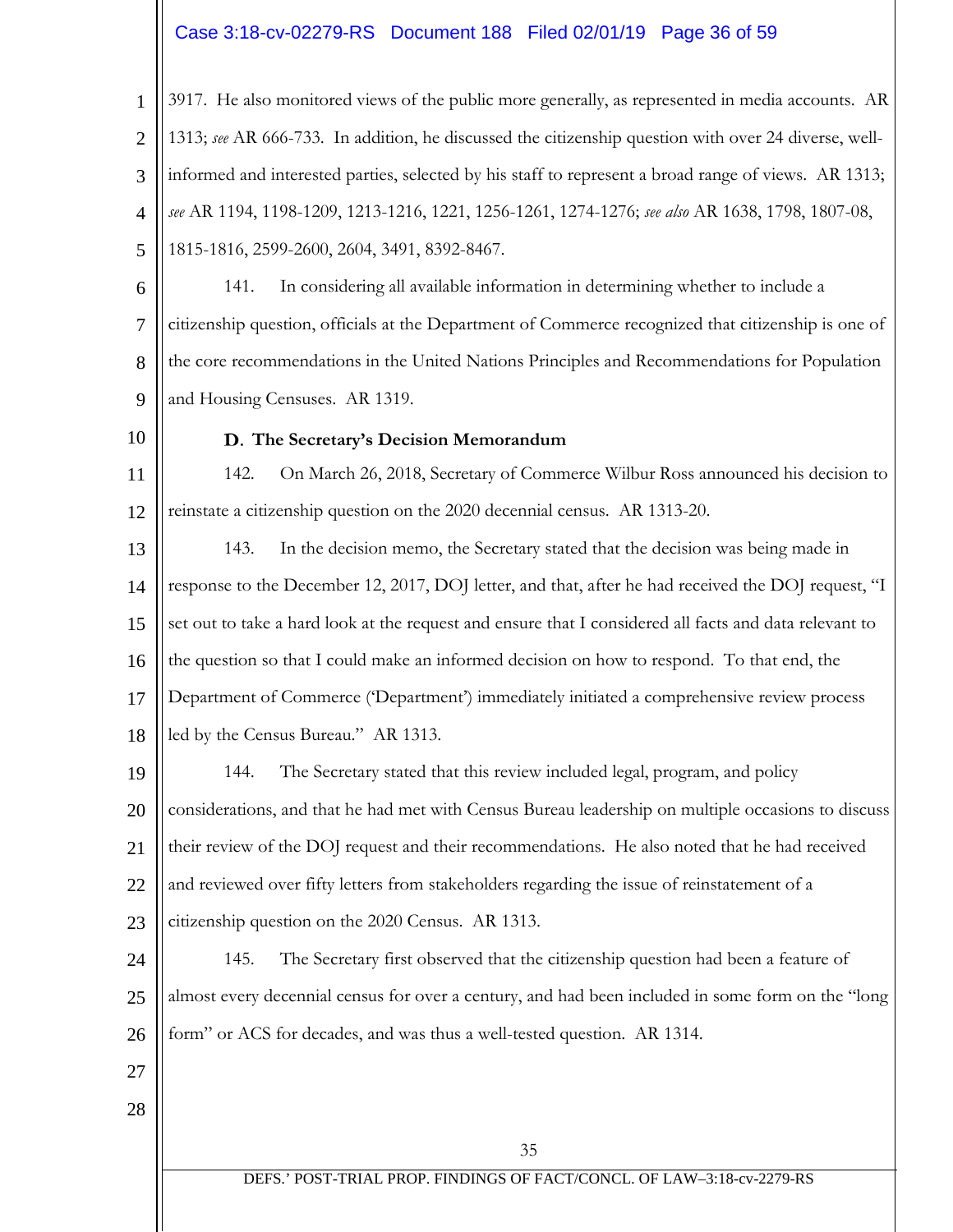# Case 3:18-cv-02279-RS Document 188 Filed 02/01/19 Page 36 of 59

1 2 3 4 5 3917. He also monitored views of the public more generally, as represented in media accounts. AR 1313; *see* AR 666-733. In addition, he discussed the citizenship question with over 24 diverse, wellinformed and interested parties, selected by his staff to represent a broad range of views. AR 1313; *see* AR 1194, 1198-1209, 1213-1216, 1221, 1256-1261, 1274-1276; *see also* AR 1638, 1798, 1807-08, 1815-1816, 2599-2600, 2604, 3491, 8392-8467.

- 6 7 8 9 141. In considering all available information in determining whether to include a citizenship question, officials at the Department of Commerce recognized that citizenship is one of the core recommendations in the United Nations Principles and Recommendations for Population and Housing Censuses. AR 1319.
- 10

#### **The Secretary's Decision Memorandum**

11 12 142. On March 26, 2018, Secretary of Commerce Wilbur Ross announced his decision to reinstate a citizenship question on the 2020 decennial census. AR 1313-20.

13 14 15 16 17 18 143. In the decision memo, the Secretary stated that the decision was being made in response to the December 12, 2017, DOJ letter, and that, after he had received the DOJ request, "I set out to take a hard look at the request and ensure that I considered all facts and data relevant to the question so that I could make an informed decision on how to respond. To that end, the Department of Commerce ('Department') immediately initiated a comprehensive review process led by the Census Bureau." AR 1313.

19 20 21 22 144. The Secretary stated that this review included legal, program, and policy considerations, and that he had met with Census Bureau leadership on multiple occasions to discuss their review of the DOJ request and their recommendations. He also noted that he had received and reviewed over fifty letters from stakeholders regarding the issue of reinstatement of a

23 citizenship question on the 2020 Census. AR 1313.

24 25 26 145. The Secretary first observed that the citizenship question had been a feature of almost every decennial census for over a century, and had been included in some form on the "long form" or ACS for decades, and was thus a well-tested question. AR 1314.

- 27
- 28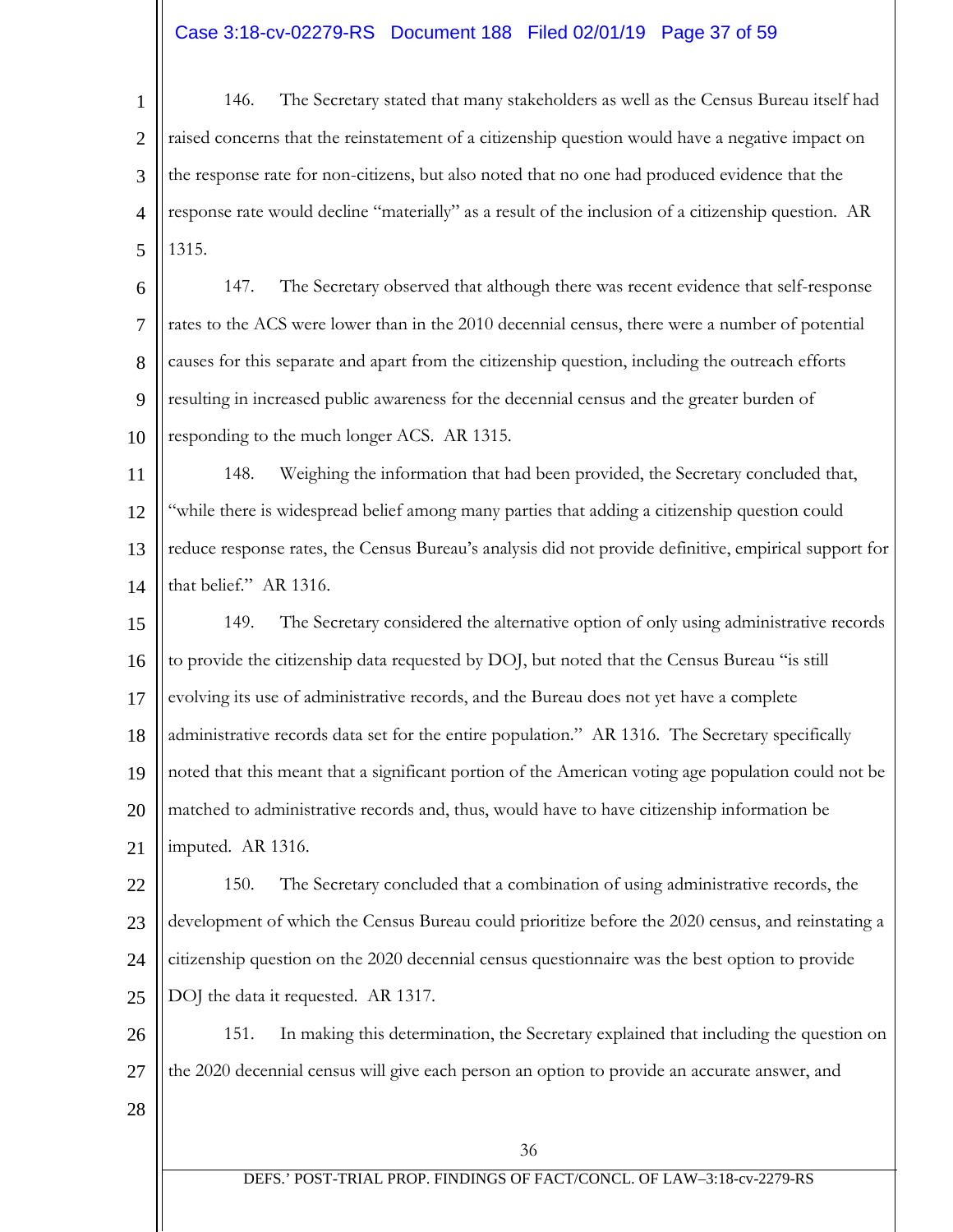# Case 3:18-cv-02279-RS Document 188 Filed 02/01/19 Page 37 of 59

1 2 3 4 5 146. The Secretary stated that many stakeholders as well as the Census Bureau itself had raised concerns that the reinstatement of a citizenship question would have a negative impact on the response rate for non-citizens, but also noted that no one had produced evidence that the response rate would decline "materially" as a result of the inclusion of a citizenship question. AR 1315.

6 7 8 9 10 147. The Secretary observed that although there was recent evidence that self-response rates to the ACS were lower than in the 2010 decennial census, there were a number of potential causes for this separate and apart from the citizenship question, including the outreach efforts resulting in increased public awareness for the decennial census and the greater burden of responding to the much longer ACS. AR 1315.

11 12 13 14 148. Weighing the information that had been provided, the Secretary concluded that, "while there is widespread belief among many parties that adding a citizenship question could reduce response rates, the Census Bureau's analysis did not provide definitive, empirical support for that belief." AR 1316.

15 16 17 18 19 20 21 149. The Secretary considered the alternative option of only using administrative records to provide the citizenship data requested by DOJ, but noted that the Census Bureau "is still evolving its use of administrative records, and the Bureau does not yet have a complete administrative records data set for the entire population." AR 1316. The Secretary specifically noted that this meant that a significant portion of the American voting age population could not be matched to administrative records and, thus, would have to have citizenship information be imputed. AR 1316.

22 23 24 25 150. The Secretary concluded that a combination of using administrative records, the development of which the Census Bureau could prioritize before the 2020 census, and reinstating a citizenship question on the 2020 decennial census questionnaire was the best option to provide DOJ the data it requested. AR 1317.

26 27 151. In making this determination, the Secretary explained that including the question on the 2020 decennial census will give each person an option to provide an accurate answer, and

28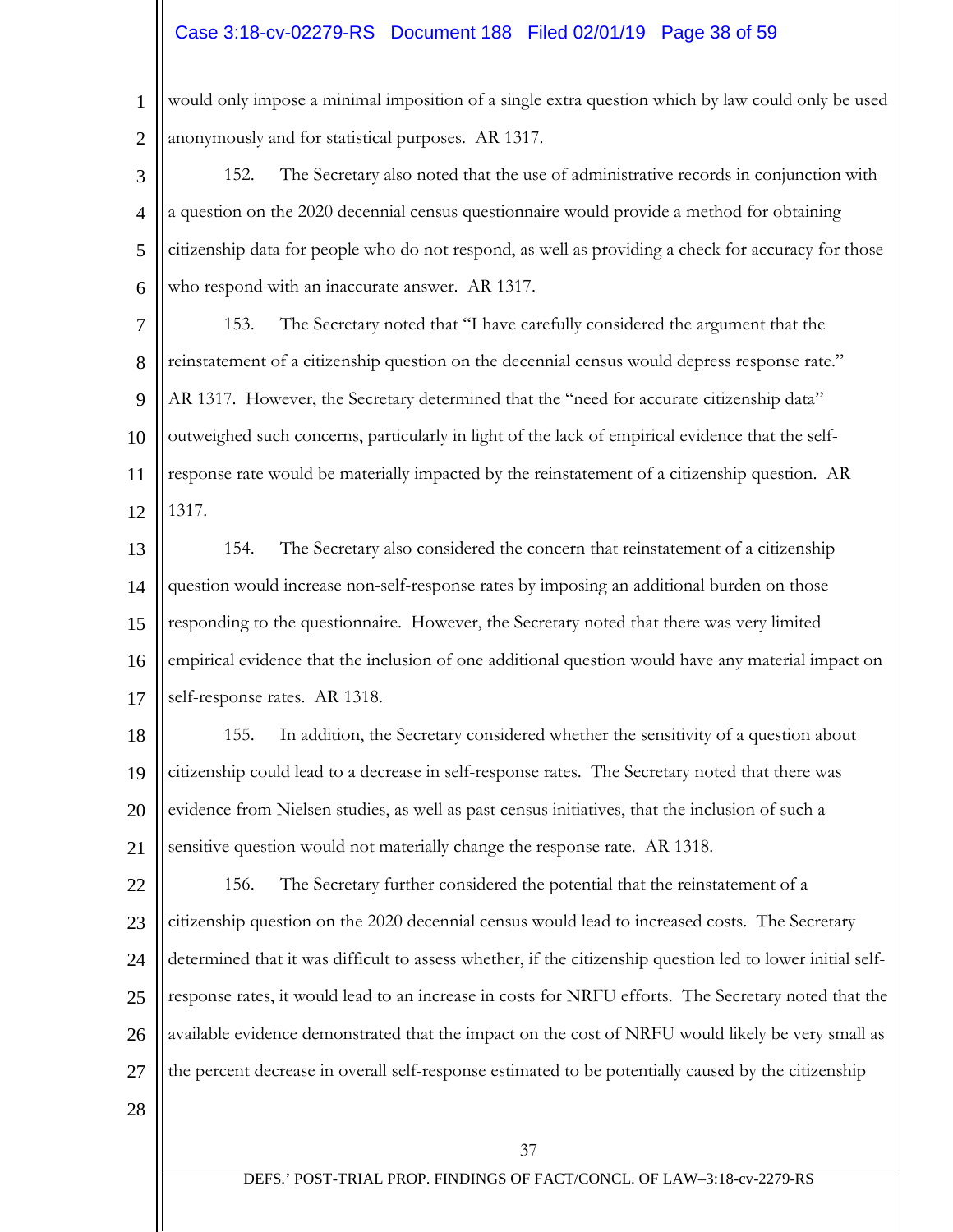# Case 3:18-cv-02279-RS Document 188 Filed 02/01/19 Page 38 of 59

1 2 would only impose a minimal imposition of a single extra question which by law could only be used anonymously and for statistical purposes. AR 1317.

3 4 5 6 152. The Secretary also noted that the use of administrative records in conjunction with a question on the 2020 decennial census questionnaire would provide a method for obtaining citizenship data for people who do not respond, as well as providing a check for accuracy for those who respond with an inaccurate answer. AR 1317.

7 8 9 10 11 12 153. The Secretary noted that "I have carefully considered the argument that the reinstatement of a citizenship question on the decennial census would depress response rate." AR 1317. However, the Secretary determined that the "need for accurate citizenship data" outweighed such concerns, particularly in light of the lack of empirical evidence that the selfresponse rate would be materially impacted by the reinstatement of a citizenship question. AR 1317.

13 14 15 16 17 154. The Secretary also considered the concern that reinstatement of a citizenship question would increase non-self-response rates by imposing an additional burden on those responding to the questionnaire. However, the Secretary noted that there was very limited empirical evidence that the inclusion of one additional question would have any material impact on self-response rates. AR 1318.

18 19 20 21 155. In addition, the Secretary considered whether the sensitivity of a question about citizenship could lead to a decrease in self-response rates. The Secretary noted that there was evidence from Nielsen studies, as well as past census initiatives, that the inclusion of such a sensitive question would not materially change the response rate. AR 1318.

22 23 24 25 26 27 156. The Secretary further considered the potential that the reinstatement of a citizenship question on the 2020 decennial census would lead to increased costs. The Secretary determined that it was difficult to assess whether, if the citizenship question led to lower initial selfresponse rates, it would lead to an increase in costs for NRFU efforts. The Secretary noted that the available evidence demonstrated that the impact on the cost of NRFU would likely be very small as the percent decrease in overall self-response estimated to be potentially caused by the citizenship

28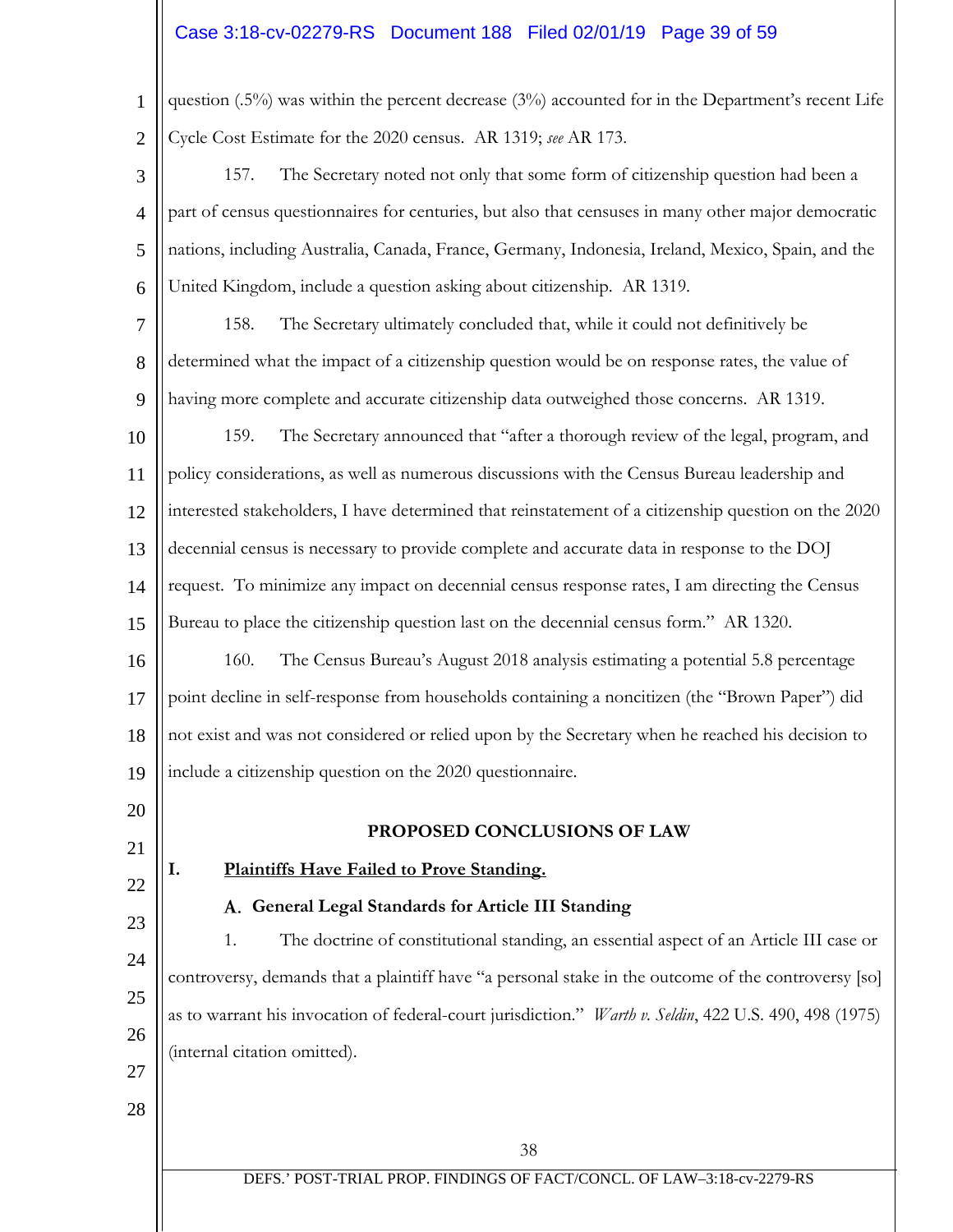# Case 3:18-cv-02279-RS Document 188 Filed 02/01/19 Page 39 of 59

1 2 question (.5%) was within the percent decrease (3%) accounted for in the Department's recent Life Cycle Cost Estimate for the 2020 census. AR 1319; *see* AR 173.

- 3 4 5 6 157. The Secretary noted not only that some form of citizenship question had been a part of census questionnaires for centuries, but also that censuses in many other major democratic nations, including Australia, Canada, France, Germany, Indonesia, Ireland, Mexico, Spain, and the United Kingdom, include a question asking about citizenship. AR 1319.
- 7 8 9 158. The Secretary ultimately concluded that, while it could not definitively be determined what the impact of a citizenship question would be on response rates, the value of having more complete and accurate citizenship data outweighed those concerns. AR 1319.
- 10 11 12 13 14 15 159. The Secretary announced that "after a thorough review of the legal, program, and policy considerations, as well as numerous discussions with the Census Bureau leadership and interested stakeholders, I have determined that reinstatement of a citizenship question on the 2020 decennial census is necessary to provide complete and accurate data in response to the DOJ request. To minimize any impact on decennial census response rates, I am directing the Census Bureau to place the citizenship question last on the decennial census form." AR 1320.

16 17 18 19 160. The Census Bureau's August 2018 analysis estimating a potential 5.8 percentage point decline in self-response from households containing a noncitizen (the "Brown Paper") did not exist and was not considered or relied upon by the Secretary when he reached his decision to include a citizenship question on the 2020 questionnaire.

#### **PROPOSED CONCLUSIONS OF LAW**

#### **I. Plaintiffs Have Failed to Prove Standing.**

20

21

22

23

27

28

#### **General Legal Standards for Article III Standing**

24 25 26 1. The doctrine of constitutional standing, an essential aspect of an Article III case or controversy, demands that a plaintiff have "a personal stake in the outcome of the controversy [so] as to warrant his invocation of federal-court jurisdiction." *Warth v. Seldin*, 422 U.S. 490, 498 (1975) (internal citation omitted).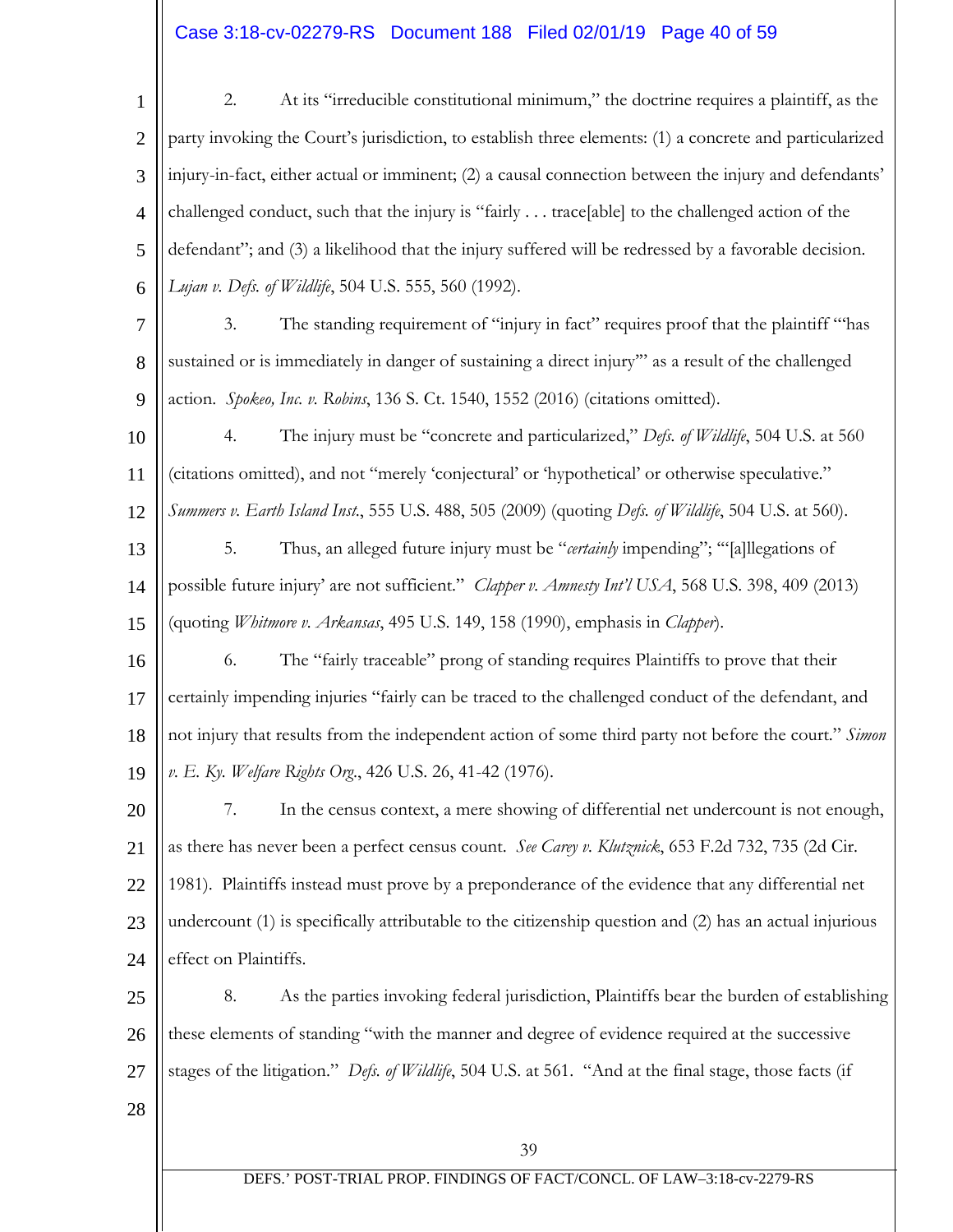# Case 3:18-cv-02279-RS Document 188 Filed 02/01/19 Page 40 of 59

39 DEFS.' POST-TRIAL PROP. FINDINGS OF FACT/CONCL. OF LAW–3:18-cv-2279-RS 1 2 3 4 5 6 7 8 9 10 11 12 13 14 15 16 17 18 19 20 21 22 23 24 25 26 27 28 2. At its "irreducible constitutional minimum," the doctrine requires a plaintiff, as the party invoking the Court's jurisdiction, to establish three elements: (1) a concrete and particularized injury-in-fact, either actual or imminent; (2) a causal connection between the injury and defendants' challenged conduct, such that the injury is "fairly . . . trace[able] to the challenged action of the defendant"; and (3) a likelihood that the injury suffered will be redressed by a favorable decision. *Lujan v. Defs. of Wildlife*, 504 U.S. 555, 560 (1992). 3. The standing requirement of "injury in fact" requires proof that the plaintiff "'has sustained or is immediately in danger of sustaining a direct injury'" as a result of the challenged action. *Spokeo, Inc. v. Robins*, 136 S. Ct. 1540, 1552 (2016) (citations omitted). 4. The injury must be "concrete and particularized," *Defs. of Wildlife*, 504 U.S. at 560 (citations omitted), and not "merely 'conjectural' or 'hypothetical' or otherwise speculative." *Summers v. Earth Island Inst*., 555 U.S. 488, 505 (2009) (quoting *Defs. of Wildlife*, 504 U.S. at 560). 5. Thus, an alleged future injury must be "*certainly* impending"; '"[a]llegations of possible future injury' are not sufficient." *Clapper v. Amnesty Int'l USA*, 568 U.S. 398, 409 (2013) (quoting *Whitmore v. Arkansas*, 495 U.S. 149, 158 (1990), emphasis in *Clapper*). 6. The "fairly traceable" prong of standing requires Plaintiffs to prove that their certainly impending injuries "fairly can be traced to the challenged conduct of the defendant, and not injury that results from the independent action of some third party not before the court." *Simon v. E. Ky. Welfare Rights Org*., 426 U.S. 26, 41-42 (1976). 7. In the census context, a mere showing of differential net undercount is not enough, as there has never been a perfect census count. *See Carey v. Klutznick*, 653 F.2d 732, 735 (2d Cir. 1981). Plaintiffs instead must prove by a preponderance of the evidence that any differential net undercount (1) is specifically attributable to the citizenship question and (2) has an actual injurious effect on Plaintiffs. 8. As the parties invoking federal jurisdiction, Plaintiffs bear the burden of establishing these elements of standing "with the manner and degree of evidence required at the successive stages of the litigation." *Defs. of Wildlife*, 504 U.S. at 561. "And at the final stage, those facts (if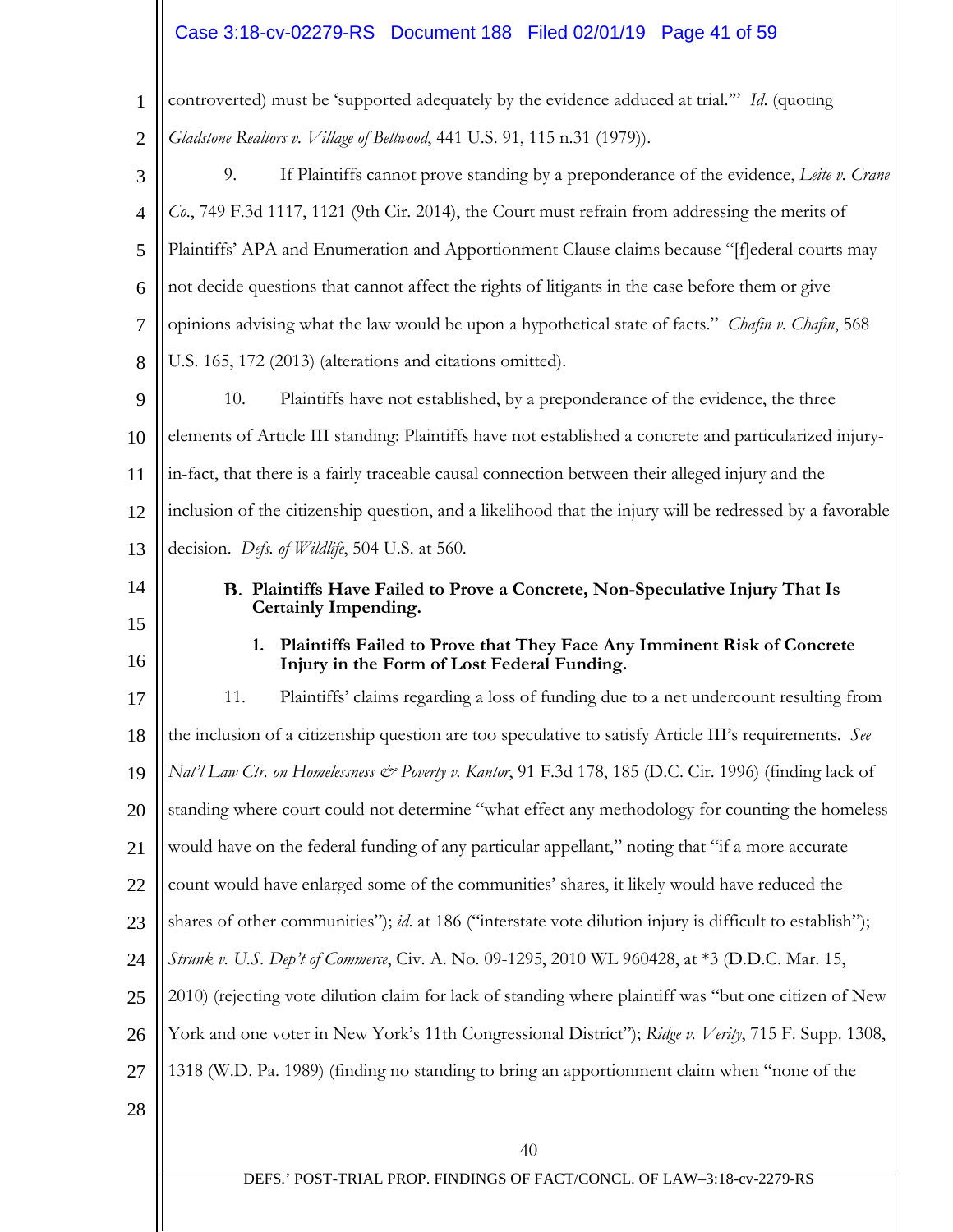# Case 3:18-cv-02279-RS Document 188 Filed 02/01/19 Page 41 of 59

| $\mathbf{1}$   | controverted) must be 'supported adequately by the evidence adduced at trial." Id. (quoting                                  |
|----------------|------------------------------------------------------------------------------------------------------------------------------|
| $\overline{2}$ | Gladstone Realtors v. Village of Bellwood, 441 U.S. 91, 115 n.31 (1979)).                                                    |
| 3              | If Plaintiffs cannot prove standing by a preponderance of the evidence, Leite v. Crane<br>9.                                 |
| 4              | Co., 749 F.3d 1117, 1121 (9th Cir. 2014), the Court must refrain from addressing the merits of                               |
| 5              | Plaintiffs' APA and Enumeration and Apportionment Clause claims because "[f]ederal courts may                                |
| 6              | not decide questions that cannot affect the rights of litigants in the case before them or give                              |
| $\tau$         | opinions advising what the law would be upon a hypothetical state of facts." Chafin v. Chafin, 568                           |
| 8              | U.S. 165, 172 (2013) (alterations and citations omitted).                                                                    |
| 9              | Plaintiffs have not established, by a preponderance of the evidence, the three<br>10.                                        |
| 10             | elements of Article III standing: Plaintiffs have not established a concrete and particularized injury-                      |
| 11             | in-fact, that there is a fairly traceable causal connection between their alleged injury and the                             |
| 12             | inclusion of the citizenship question, and a likelihood that the injury will be redressed by a favorable                     |
| 13             | decision. Defs. of Wildlife, 504 U.S. at 560.                                                                                |
| 14             | B. Plaintiffs Have Failed to Prove a Concrete, Non-Speculative Injury That Is                                                |
| 15             | <b>Certainly Impending.</b>                                                                                                  |
|                |                                                                                                                              |
| 16             | Plaintiffs Failed to Prove that They Face Any Imminent Risk of Concrete<br>1.<br>Injury in the Form of Lost Federal Funding. |
| 17             | 11.<br>Plaintiffs' claims regarding a loss of funding due to a net undercount resulting from                                 |
| 18             | the inclusion of a citizenship question are too speculative to satisfy Article III's requirements. See                       |
| 19             | Nat'l Law Ctr. on Homelessness & Poverty v. Kantor, 91 F.3d 178, 185 (D.C. Cir. 1996) (finding lack of                       |
| 20             | standing where court could not determine "what effect any methodology for counting the homeless                              |
| 21             | would have on the federal funding of any particular appellant," noting that "if a more accurate                              |
| 22             | count would have enlarged some of the communities' shares, it likely would have reduced the                                  |
| 23             | shares of other communities"); id. at 186 ("interstate vote dilution injury is difficult to establish");                     |
| 24             | Strunk v. U.S. Dep't of Commerce, Civ. A. No. 09-1295, 2010 WL 960428, at *3 (D.D.C. Mar. 15,                                |
| 25             | 2010) (rejecting vote dilution claim for lack of standing where plaintiff was "but one citizen of New                        |
| 26             | York and one voter in New York's 11th Congressional District"); Ridge v. Verity, 715 F. Supp. 1308,                          |
| 27             | 1318 (W.D. Pa. 1989) (finding no standing to bring an apportionment claim when "none of the                                  |
| 28             |                                                                                                                              |
|                | 40                                                                                                                           |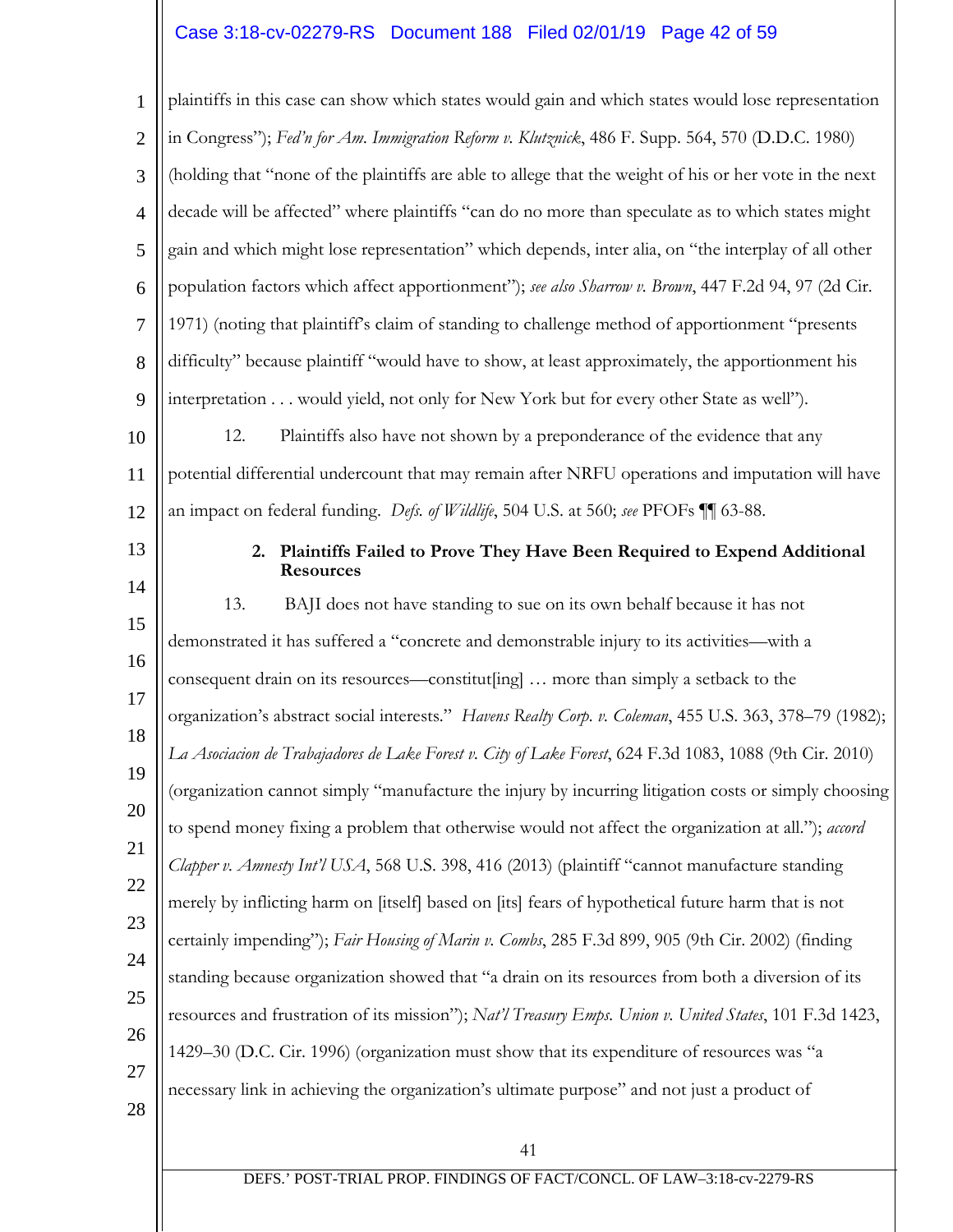# Case 3:18-cv-02279-RS Document 188 Filed 02/01/19 Page 42 of 59

| $\mathbf{1}$   | plaintiffs in this case can show which states would gain and which states would lose representation      |
|----------------|----------------------------------------------------------------------------------------------------------|
| $\overline{2}$ | in Congress"); Fed'n for Am. Immigration Reform v. Klutznick, 486 F. Supp. 564, 570 (D.D.C. 1980)        |
| 3              | (holding that "none of the plaintiffs are able to allege that the weight of his or her vote in the next  |
| $\overline{4}$ | decade will be affected" where plaintiffs "can do no more than speculate as to which states might        |
| 5              | gain and which might lose representation" which depends, inter alia, on "the interplay of all other      |
| 6              | population factors which affect apportionment"); see also Sharrow v. Brown, 447 F.2d 94, 97 (2d Cir.     |
| $\overline{7}$ | 1971) (noting that plaintiff's claim of standing to challenge method of apportionment "presents          |
| 8              | difficulty" because plaintiff "would have to show, at least approximately, the apportionment his         |
| 9              | interpretation would yield, not only for New York but for every other State as well").                   |
| 10             | 12.<br>Plaintiffs also have not shown by a preponderance of the evidence that any                        |
| 11             | potential differential undercount that may remain after NRFU operations and imputation will have         |
| 12             | an impact on federal funding. Defs. of Wildlife, 504 U.S. at 560; see PFOFs 11 63-88.                    |
| 13             | Plaintiffs Failed to Prove They Have Been Required to Expend Additional<br>2.<br><b>Resources</b>        |
| 14             | 13.<br>BAJI does not have standing to sue on its own behalf because it has not                           |
| 15             | demonstrated it has suffered a "concrete and demonstrable injury to its activities—with a                |
| 16             | consequent drain on its resources—constitut[ing]  more than simply a setback to the                      |
| 17             | organization's abstract social interests." Havens Realty Corp. v. Coleman, 455 U.S. 363, 378-79 (1982);  |
| 18             | La Asociacion de Trabajadores de Lake Forest v. City of Lake Forest, 624 F.3d 1083, 1088 (9th Cir. 2010) |
| 19             | (organization cannot simply "manufacture the injury by incurring litigation costs or simply choosing     |
| 20             | to spend money fixing a problem that otherwise would not affect the organization at all."); accord       |
| 21             | Clapper v. Amnesty Int'l USA, 568 U.S. 398, 416 (2013) (plaintiff "cannot manufacture standing           |
| 22             | merely by inflicting harm on [itself] based on [its] fears of hypothetical future harm that is not       |
| 23<br>24       | certainly impending"); Fair Housing of Marin v. Combs, 285 F.3d 899, 905 (9th Cir. 2002) (finding        |
| 25             | standing because organization showed that "a drain on its resources from both a diversion of its         |
| 26             | resources and frustration of its mission"); Nat'l Treasury Emps. Union v. United States, 101 F.3d 1423,  |
| 27             | 1429–30 (D.C. Cir. 1996) (organization must show that its expenditure of resources was "a                |
| 28             | necessary link in achieving the organization's ultimate purpose" and not just a product of               |
|                | 41                                                                                                       |
|                | DEFS.' POST-TRIAL PROP. FINDINGS OF FACT/CONCL. OF LAW-3:18-cv-2279-RS                                   |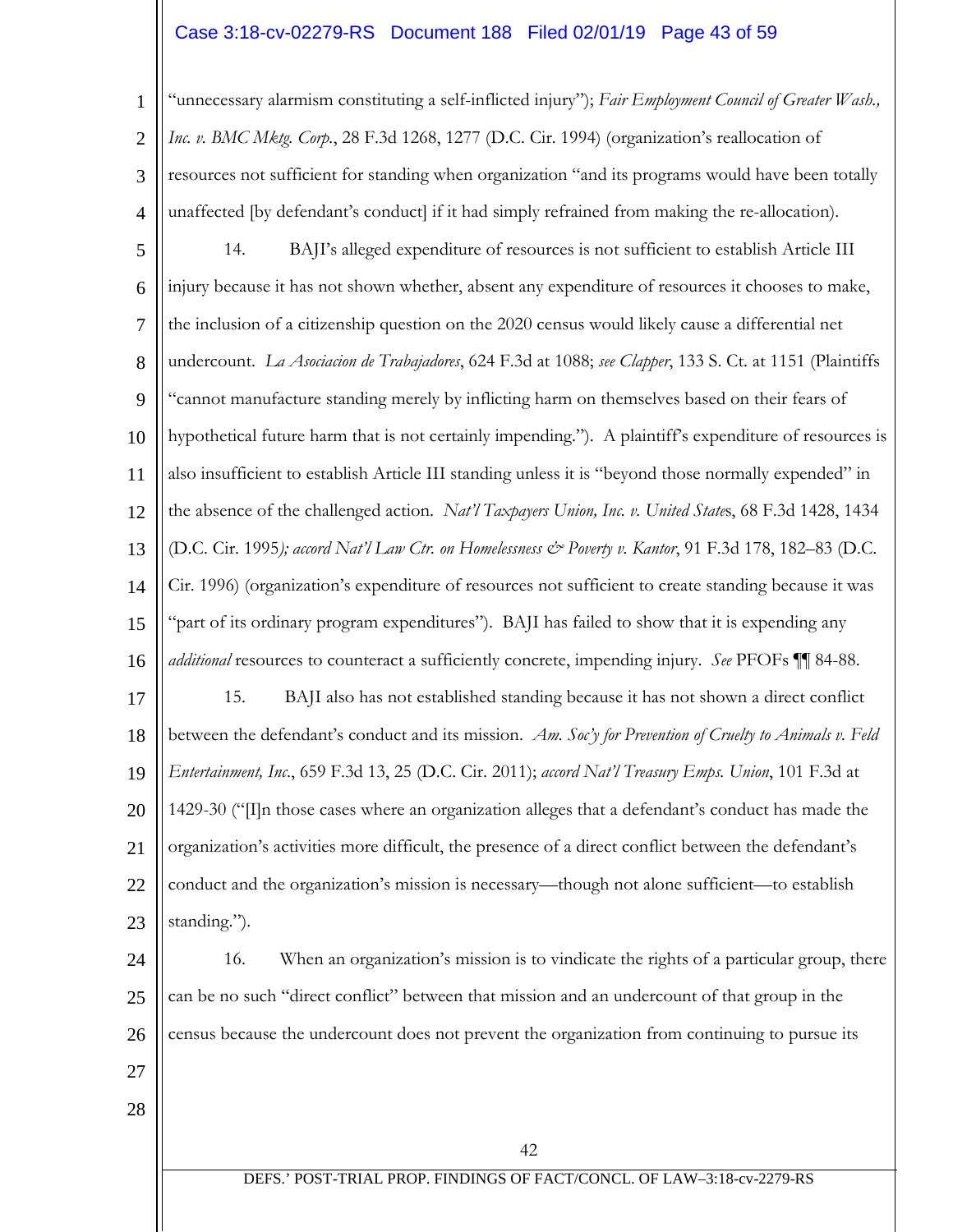# Case 3:18-cv-02279-RS Document 188 Filed 02/01/19 Page 43 of 59

1 2 3 4 "unnecessary alarmism constituting a self-inflicted injury"); *Fair Employment Council of Greater Wash., Inc. v. BMC Mktg. Corp.*, 28 F.3d 1268, 1277 (D.C. Cir. 1994) (organization's reallocation of resources not sufficient for standing when organization "and its programs would have been totally unaffected [by defendant's conduct] if it had simply refrained from making the re-allocation).

5 6 7 8 9 10 11 12 13 14 15 16 17 18 19 20 21 22 23 14. BAJI's alleged expenditure of resources is not sufficient to establish Article III injury because it has not shown whether, absent any expenditure of resources it chooses to make, the inclusion of a citizenship question on the 2020 census would likely cause a differential net undercount. *La Asociacion de Trabajadores*, 624 F.3d at 1088; *see Clapper*, 133 S. Ct. at 1151 (Plaintiffs "cannot manufacture standing merely by inflicting harm on themselves based on their fears of hypothetical future harm that is not certainly impending."). A plaintiff's expenditure of resources is also insufficient to establish Article III standing unless it is "beyond those normally expended" in the absence of the challenged action. *Nat'l Taxpayers Union, Inc. v. United State*s, 68 F.3d 1428, 1434 (D.C. Cir. 1995*); accord Nat'l Law Ctr. on Homelessness & Poverty v. Kantor*, 91 F.3d 178, 182–83 (D.C. Cir. 1996) (organization's expenditure of resources not sufficient to create standing because it was "part of its ordinary program expenditures"). BAJI has failed to show that it is expending any *additional* resources to counteract a sufficiently concrete, impending injury. *See* PFOFs ¶¶ 84-88. 15. BAJI also has not established standing because it has not shown a direct conflict between the defendant's conduct and its mission. *Am. Soc'y for Prevention of Cruelty to Animals v. Feld Entertainment, Inc*., 659 F.3d 13, 25 (D.C. Cir. 2011); *accord Nat'l Treasury Emps. Union*, 101 F.3d at 1429-30 ("[I]n those cases where an organization alleges that a defendant's conduct has made the organization's activities more difficult, the presence of a direct conflict between the defendant's conduct and the organization's mission is necessary—though not alone sufficient—to establish standing.").

24 25 26 16. When an organization's mission is to vindicate the rights of a particular group, there can be no such "direct conflict" between that mission and an undercount of that group in the census because the undercount does not prevent the organization from continuing to pursue its

- 27
- 28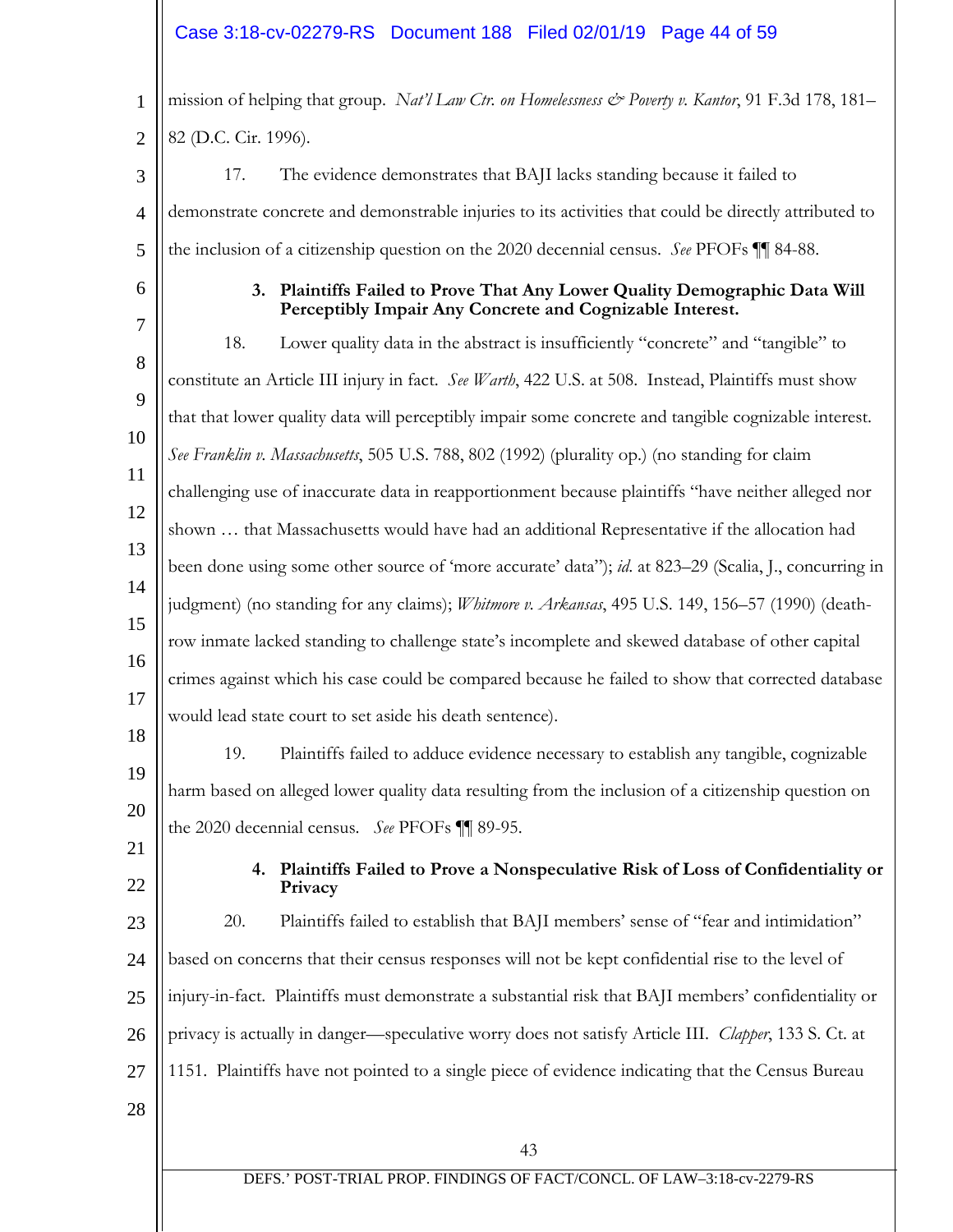## Case 3:18-cv-02279-RS Document 188 Filed 02/01/19 Page 44 of 59

1 2 3 4 5 6 7 8  $\mathbf Q$ 10 11 12 mission of helping that group. *Nat'l Law Ctr. on Homelessness & Poverty v. Kantor*, 91 F.3d 178, 181– 82 (D.C. Cir. 1996). 17. The evidence demonstrates that BAJI lacks standing because it failed to demonstrate concrete and demonstrable injuries to its activities that could be directly attributed to the inclusion of a citizenship question on the 2020 decennial census. *See* PFOFs ¶¶ 84-88. **3. Plaintiffs Failed to Prove That Any Lower Quality Demographic Data Will Perceptibly Impair Any Concrete and Cognizable Interest.** 18. Lower quality data in the abstract is insufficiently "concrete" and "tangible" to constitute an Article III injury in fact. *See Warth*, 422 U.S. at 508. Instead, Plaintiffs must show that that lower quality data will perceptibly impair some concrete and tangible cognizable interest. *See Franklin v. Massachusetts*, 505 U.S. 788, 802 (1992) (plurality op.) (no standing for claim challenging use of inaccurate data in reapportionment because plaintiffs "have neither alleged nor shown … that Massachusetts would have had an additional Representative if the allocation had

15 16 17 18 19 20 judgment) (no standing for any claims); *Whitmore v. Arkansas*, 495 U.S. 149, 156–57 (1990) (deathrow inmate lacked standing to challenge state's incomplete and skewed database of other capital crimes against which his case could be compared because he failed to show that corrected database would lead state court to set aside his death sentence). 19. Plaintiffs failed to adduce evidence necessary to establish any tangible, cognizable harm based on alleged lower quality data resulting from the inclusion of a citizenship question on

the 2020 decennial census. *See* PFOFs ¶¶ 89-95.

been done using some other source of 'more accurate' data"); *id*. at 823–29 (Scalia, J., concurring in

21 22

13

14

**4. Plaintiffs Failed to Prove a Nonspeculative Risk of Loss of Confidentiality or Privacy**

23 24 25 26 27 28 20. Plaintiffs failed to establish that BAJI members' sense of "fear and intimidation" based on concerns that their census responses will not be kept confidential rise to the level of injury-in-fact. Plaintiffs must demonstrate a substantial risk that BAJI members' confidentiality or privacy is actually in danger—speculative worry does not satisfy Article III. *Clapper*, 133 S. Ct. at 1151. Plaintiffs have not pointed to a single piece of evidence indicating that the Census Bureau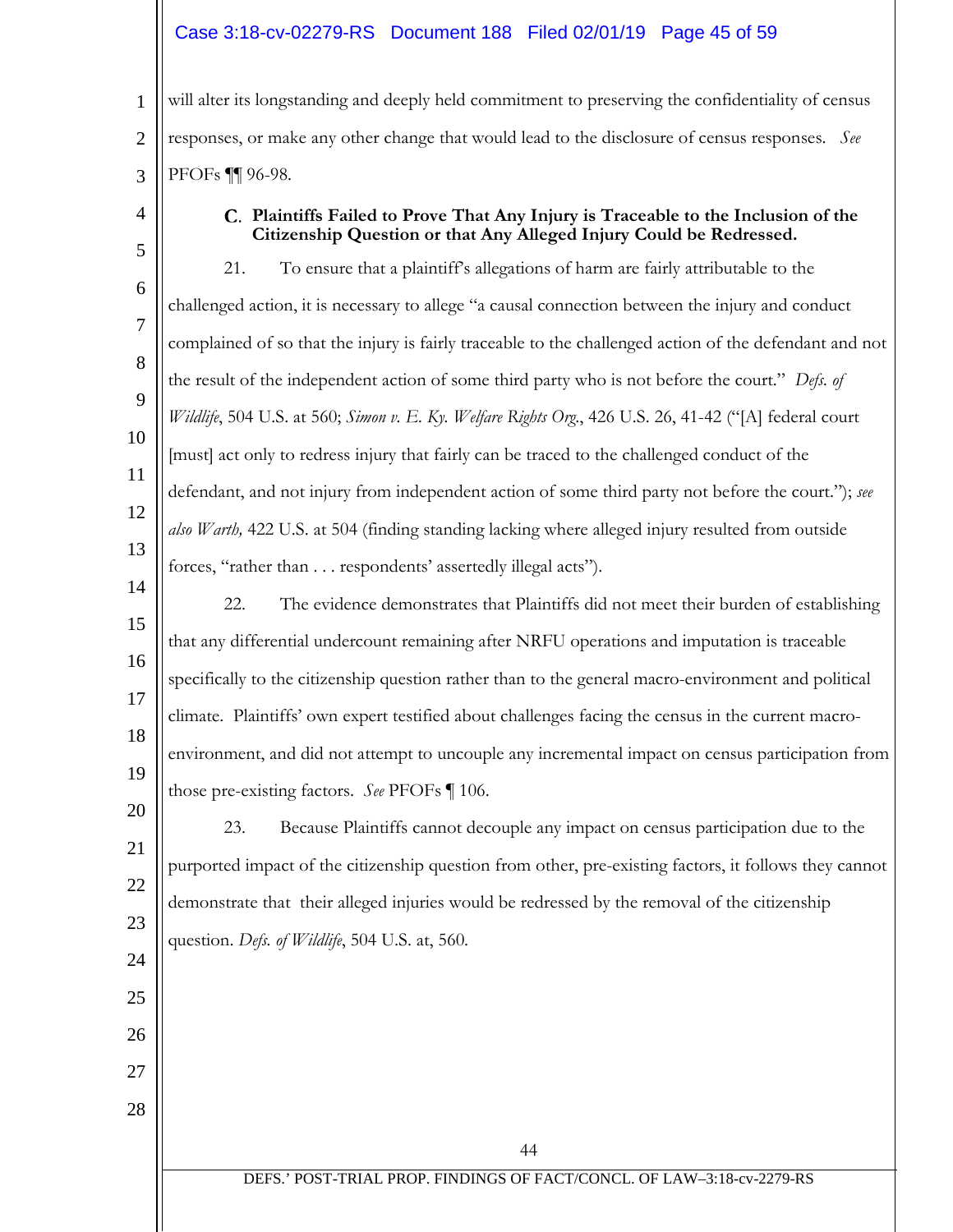## Case 3:18-cv-02279-RS Document 188 Filed 02/01/19 Page 45 of 59

1 2 3 will alter its longstanding and deeply held commitment to preserving the confidentiality of census responses, or make any other change that would lead to the disclosure of census responses. *See*  PFOFs ¶¶ 96-98.

4

24

25

26

27

28

## **Plaintiffs Failed to Prove That Any Injury is Traceable to the Inclusion of the Citizenship Question or that Any Alleged Injury Could be Redressed.**

5 6 7 8  $\mathbf Q$ 10 11 12 13 14 21. To ensure that a plaintiff's allegations of harm are fairly attributable to the challenged action, it is necessary to allege "a causal connection between the injury and conduct complained of so that the injury is fairly traceable to the challenged action of the defendant and not the result of the independent action of some third party who is not before the court." *Defs. of Wildlife*, 504 U.S. at 560; *Simon v. E. Ky. Welfare Rights Org*., 426 U.S. 26, 41-42 ("[A] federal court [must] act only to redress injury that fairly can be traced to the challenged conduct of the defendant, and not injury from independent action of some third party not before the court."); *see also Warth,* 422 U.S. at 504 (finding standing lacking where alleged injury resulted from outside forces, "rather than . . . respondents' assertedly illegal acts").

#### 15 16 17 18 19 22. The evidence demonstrates that Plaintiffs did not meet their burden of establishing that any differential undercount remaining after NRFU operations and imputation is traceable specifically to the citizenship question rather than to the general macro-environment and political climate. Plaintiffs' own expert testified about challenges facing the census in the current macroenvironment, and did not attempt to uncouple any incremental impact on census participation from those pre-existing factors. *See* PFOFs ¶ 106.

#### 20 21 22 23 23. Because Plaintiffs cannot decouple any impact on census participation due to the purported impact of the citizenship question from other, pre-existing factors, it follows they cannot demonstrate that their alleged injuries would be redressed by the removal of the citizenship question. *Defs. of Wildlife*, 504 U.S. at, 560.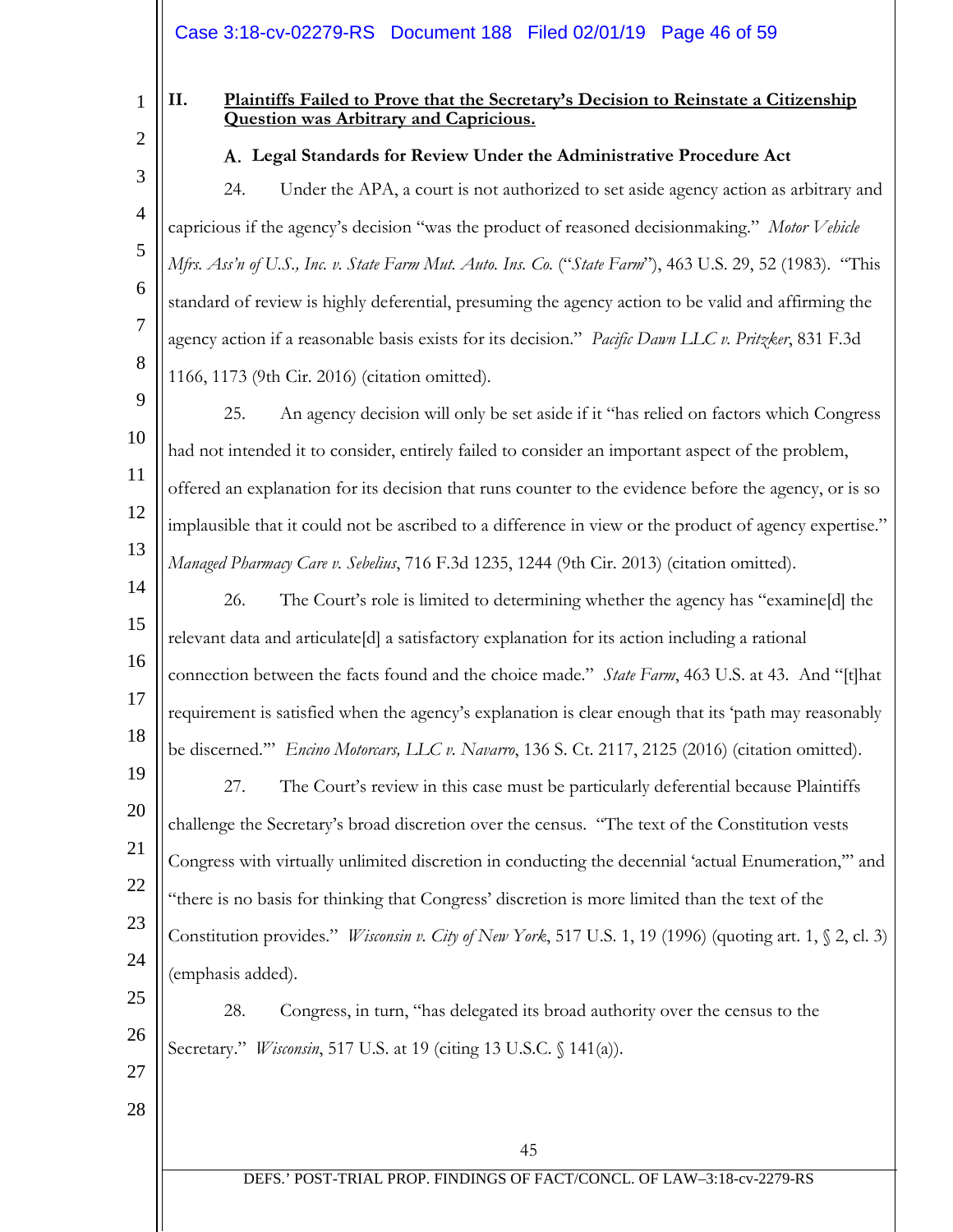Case 3:18-cv-02279-RS Document 188 Filed 02/01/19 Page 46 of 59

1 2

3

4

5

6

7

8

### **II. Plaintiffs Failed to Prove that the Secretary's Decision to Reinstate a Citizenship Question was Arbitrary and Capricious.**

**Legal Standards for Review Under the Administrative Procedure Act**

24. Under the APA, a court is not authorized to set aside agency action as arbitrary and capricious if the agency's decision "was the product of reasoned decisionmaking." *Motor Vehicle Mfrs. Ass'n of U.S., Inc. v. State Farm Mut. Auto. Ins. Co.* ("*State Farm*"), 463 U.S. 29, 52 (1983). "This standard of review is highly deferential, presuming the agency action to be valid and affirming the agency action if a reasonable basis exists for its decision." *Pacific Dawn LLC v. Pritzker*, 831 F.3d 1166, 1173 (9th Cir. 2016) (citation omitted).

9 10 11 12 13 25. An agency decision will only be set aside if it "has relied on factors which Congress had not intended it to consider, entirely failed to consider an important aspect of the problem, offered an explanation for its decision that runs counter to the evidence before the agency, or is so implausible that it could not be ascribed to a difference in view or the product of agency expertise." *Managed Pharmacy Care v. Sebelius*, 716 F.3d 1235, 1244 (9th Cir. 2013) (citation omitted).

- 14 15 16 17 18 26. The Court's role is limited to determining whether the agency has "examine[d] the relevant data and articulate[d] a satisfactory explanation for its action including a rational connection between the facts found and the choice made." *State Farm*, 463 U.S. at 43. And "[t]hat requirement is satisfied when the agency's explanation is clear enough that its 'path may reasonably be discerned.'" *Encino Motorcars, LLC v. Navarro*, 136 S. Ct. 2117, 2125 (2016) (citation omitted).
- 19 20 21 22 23 24 27. The Court's review in this case must be particularly deferential because Plaintiffs challenge the Secretary's broad discretion over the census. "The text of the Constitution vests Congress with virtually unlimited discretion in conducting the decennial 'actual Enumeration,'" and "there is no basis for thinking that Congress' discretion is more limited than the text of the Constitution provides." *Wisconsin v. City of New York*, 517 U.S. 1, 19 (1996) (quoting art. 1, § 2, cl. 3) (emphasis added).

25 26 28. Congress, in turn, "has delegated its broad authority over the census to the Secretary." *Wisconsin*, 517 U.S. at 19 (citing 13 U.S.C. § 141(a)).

27 28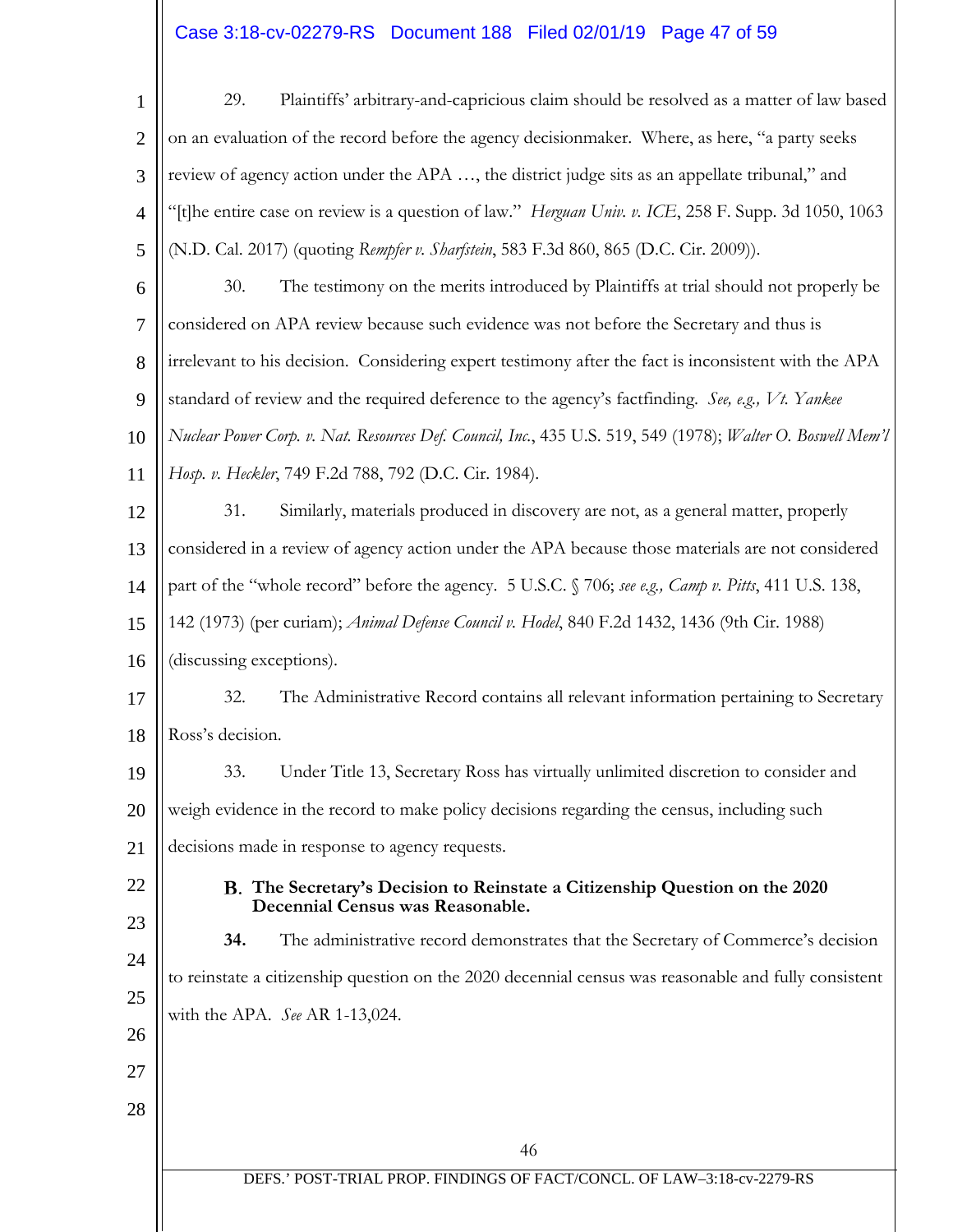# $\text{Case 3:18-cv-02279-RS}$  Document 188 Filed 02/01/19 Page 47 of 59

| $\mathbf{1}$   | 29.<br>Plaintiffs' arbitrary-and-capricious claim should be resolved as a matter of law based                               |
|----------------|-----------------------------------------------------------------------------------------------------------------------------|
| $\overline{2}$ | on an evaluation of the record before the agency decisionmaker. Where, as here, "a party seeks                              |
| 3              | review of agency action under the APA , the district judge sits as an appellate tribunal," and                              |
| $\overline{4}$ | "[t]he entire case on review is a question of law." <i>Herguan Univ. v. ICE</i> , 258 F. Supp. 3d 1050, 1063                |
| 5              | (N.D. Cal. 2017) (quoting Rempfer v. Sharfstein, 583 F.3d 860, 865 (D.C. Cir. 2009)).                                       |
| 6              | 30.<br>The testimony on the merits introduced by Plaintiffs at trial should not properly be                                 |
| $\overline{7}$ | considered on APA review because such evidence was not before the Secretary and thus is                                     |
| 8              | irrelevant to his decision. Considering expert testimony after the fact is inconsistent with the APA                        |
| 9              | standard of review and the required deference to the agency's factfinding. See, e.g., Vt. Yankee                            |
| 10             | Nuclear Power Corp. v. Nat. Resources Def. Council, Inc., 435 U.S. 519, 549 (1978); Walter O. Boswell Mem'l                 |
| 11             | Hosp. v. Heckler, 749 F.2d 788, 792 (D.C. Cir. 1984).                                                                       |
| 12             | 31.<br>Similarly, materials produced in discovery are not, as a general matter, properly                                    |
| 13             | considered in a review of agency action under the APA because those materials are not considered                            |
| 14             | part of the "whole record" before the agency. 5 U.S.C. § 706; see e.g., Camp v. Pitts, 411 U.S. 138,                        |
| 15             | 142 (1973) (per curiam); Animal Defense Council v. Hodel, 840 F.2d 1432, 1436 (9th Cir. 1988)                               |
| 16             | (discussing exceptions).                                                                                                    |
| 17             | 32.<br>The Administrative Record contains all relevant information pertaining to Secretary                                  |
| 18             | Ross's decision.                                                                                                            |
| 19             | 33. Under Title 13, Secretary Ross has virtually unlimited discretion to consider and                                       |
| 20             | weigh evidence in the record to make policy decisions regarding the census, including such                                  |
| 21             | decisions made in response to agency requests.                                                                              |
| 22             | B. The Secretary's Decision to Reinstate a Citizenship Question on the 2020                                                 |
| 23             | Decennial Census was Reasonable.<br>The administrative record demonstrates that the Secretary of Commerce's decision<br>34. |
| 24             | to reinstate a citizenship question on the 2020 decennial census was reasonable and fully consistent                        |
| 25             | with the APA. See AR 1-13,024.                                                                                              |
| 26             |                                                                                                                             |
| 27             |                                                                                                                             |
| 28             |                                                                                                                             |
|                | 46                                                                                                                          |
|                | DEFS.' POST-TRIAL PROP. FINDINGS OF FACT/CONCL. OF LAW-3:18-cv-2279-RS                                                      |
|                |                                                                                                                             |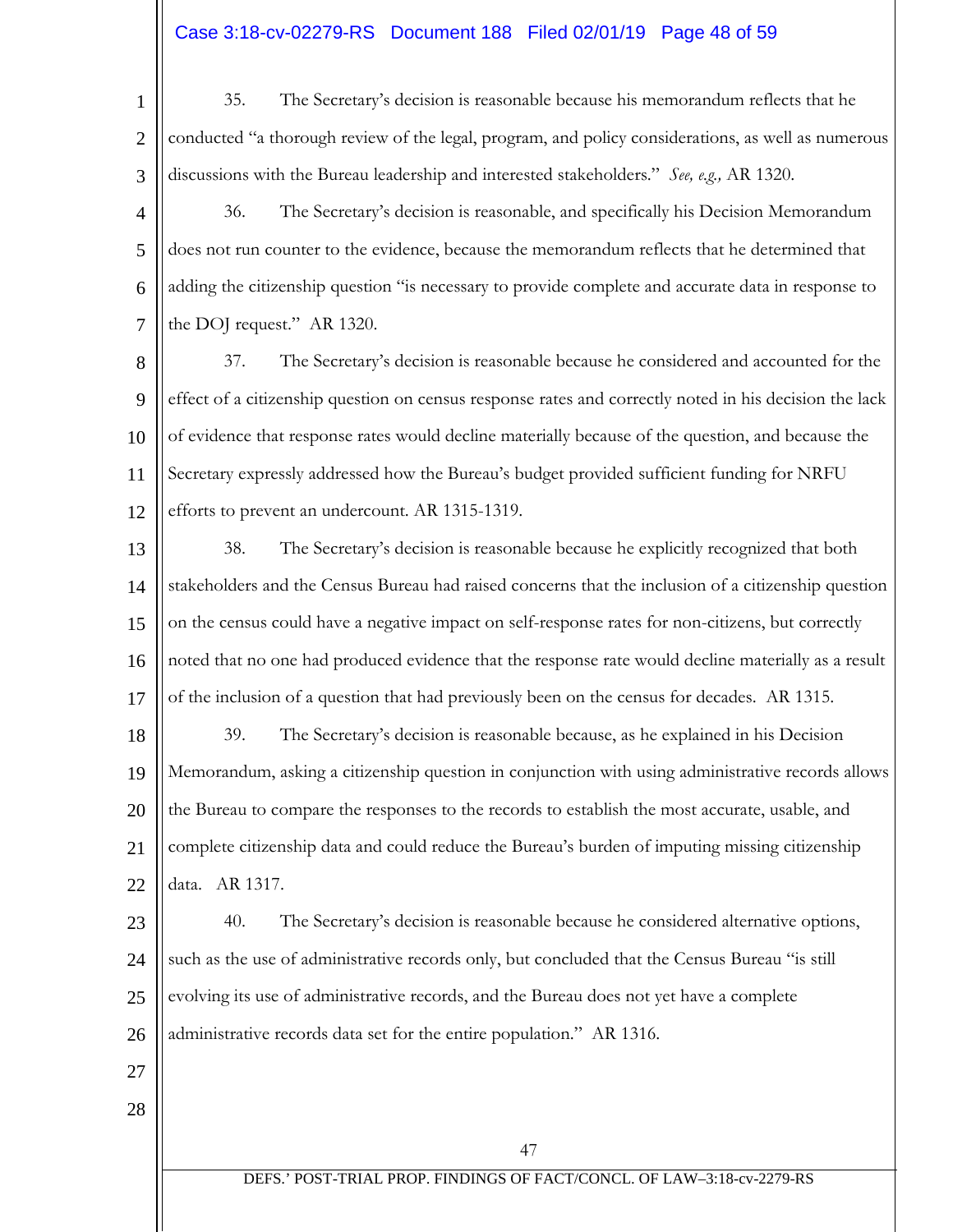# Case 3:18-cv-02279-RS Document 188 Filed 02/01/19 Page 48 of 59

1 2 3 35. The Secretary's decision is reasonable because his memorandum reflects that he conducted "a thorough review of the legal, program, and policy considerations, as well as numerous discussions with the Bureau leadership and interested stakeholders." *See, e.g.,* AR 1320.

4 5 6 7 36. The Secretary's decision is reasonable, and specifically his Decision Memorandum does not run counter to the evidence, because the memorandum reflects that he determined that adding the citizenship question "is necessary to provide complete and accurate data in response to the DOJ request." AR 1320.

8 9 10 11 12 37. The Secretary's decision is reasonable because he considered and accounted for the effect of a citizenship question on census response rates and correctly noted in his decision the lack of evidence that response rates would decline materially because of the question, and because the Secretary expressly addressed how the Bureau's budget provided sufficient funding for NRFU efforts to prevent an undercount. AR 1315-1319.

13 14 15 16 17 38. The Secretary's decision is reasonable because he explicitly recognized that both stakeholders and the Census Bureau had raised concerns that the inclusion of a citizenship question on the census could have a negative impact on self-response rates for non-citizens, but correctly noted that no one had produced evidence that the response rate would decline materially as a result of the inclusion of a question that had previously been on the census for decades. AR 1315.

18 19 20 21  $22$ 39. The Secretary's decision is reasonable because, as he explained in his Decision Memorandum, asking a citizenship question in conjunction with using administrative records allows the Bureau to compare the responses to the records to establish the most accurate, usable, and complete citizenship data and could reduce the Bureau's burden of imputing missing citizenship data. AR 1317.

23 24 25 26 40. The Secretary's decision is reasonable because he considered alternative options, such as the use of administrative records only, but concluded that the Census Bureau "is still evolving its use of administrative records, and the Bureau does not yet have a complete administrative records data set for the entire population." AR 1316.

- 27
- 28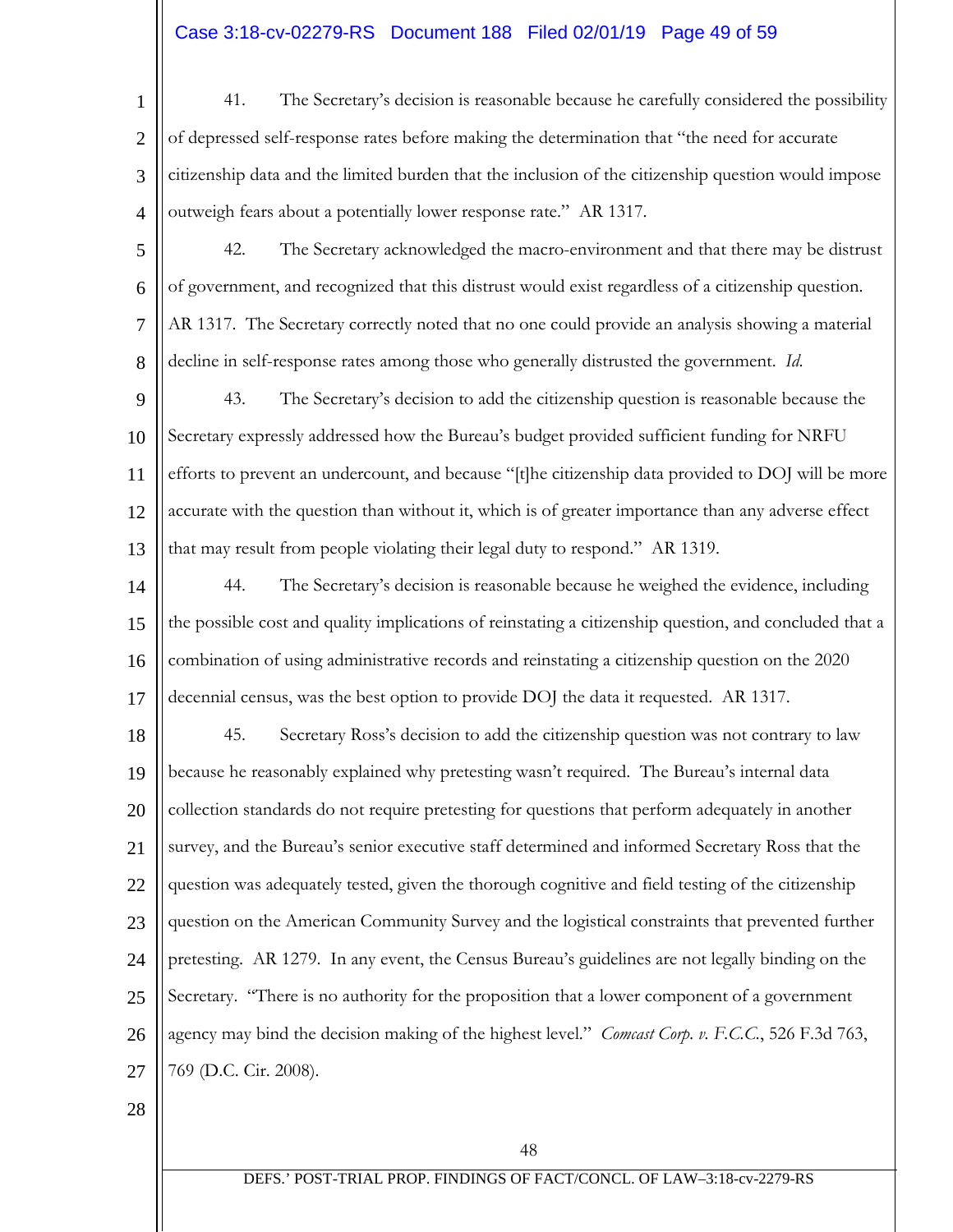# Case 3:18-cv-02279-RS Document 188 Filed 02/01/19 Page 49 of 59

- 1 2 3 4 41. The Secretary's decision is reasonable because he carefully considered the possibility of depressed self-response rates before making the determination that "the need for accurate citizenship data and the limited burden that the inclusion of the citizenship question would impose outweigh fears about a potentially lower response rate." AR 1317.
- 5 6 7 8 42. The Secretary acknowledged the macro-environment and that there may be distrust of government, and recognized that this distrust would exist regardless of a citizenship question. AR 1317. The Secretary correctly noted that no one could provide an analysis showing a material decline in self-response rates among those who generally distrusted the government. *Id*.
- 9 10 11 12 13 43. The Secretary's decision to add the citizenship question is reasonable because the Secretary expressly addressed how the Bureau's budget provided sufficient funding for NRFU efforts to prevent an undercount, and because "[t]he citizenship data provided to DOJ will be more accurate with the question than without it, which is of greater importance than any adverse effect that may result from people violating their legal duty to respond." AR 1319.
- 14 15 16 17 44. The Secretary's decision is reasonable because he weighed the evidence, including the possible cost and quality implications of reinstating a citizenship question, and concluded that a combination of using administrative records and reinstating a citizenship question on the 2020 decennial census, was the best option to provide DOJ the data it requested. AR 1317.
- 18 19 20 21 22 23 24 25 26 27 45. Secretary Ross's decision to add the citizenship question was not contrary to law because he reasonably explained why pretesting wasn't required. The Bureau's internal data collection standards do not require pretesting for questions that perform adequately in another survey, and the Bureau's senior executive staff determined and informed Secretary Ross that the question was adequately tested, given the thorough cognitive and field testing of the citizenship question on the American Community Survey and the logistical constraints that prevented further pretesting. AR 1279. In any event, the Census Bureau's guidelines are not legally binding on the Secretary. "There is no authority for the proposition that a lower component of a government agency may bind the decision making of the highest level." *Comcast Corp. v. F.C.C.*, 526 F.3d 763, 769 (D.C. Cir. 2008).
- 28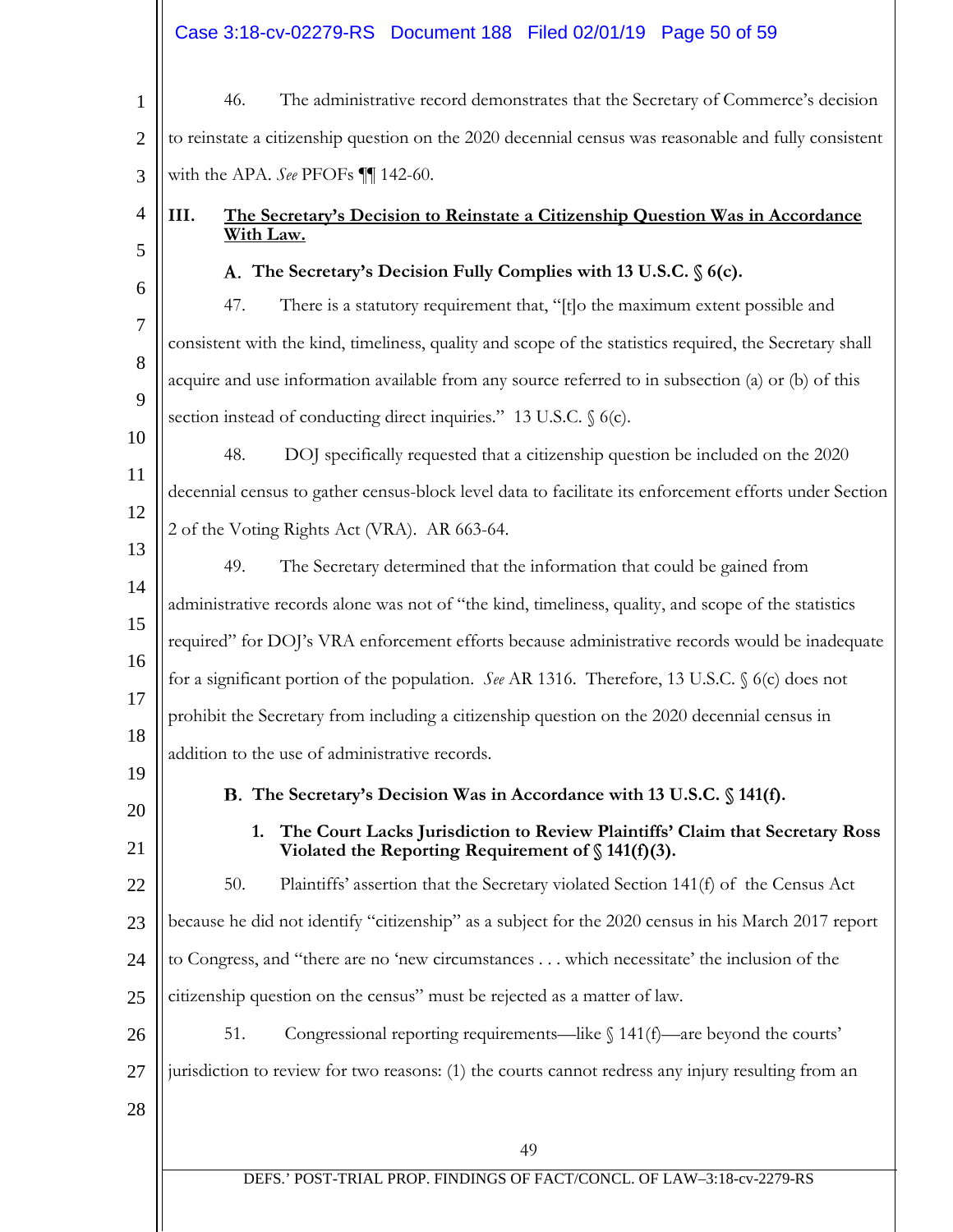|                | Case 3:18-cv-02279-RS Document 188 Filed 02/01/19 Page 50 of 59                                                                             |  |  |  |  |
|----------------|---------------------------------------------------------------------------------------------------------------------------------------------|--|--|--|--|
| $\mathbf{1}$   | The administrative record demonstrates that the Secretary of Commerce's decision<br>46.                                                     |  |  |  |  |
| $\overline{2}$ | to reinstate a citizenship question on the 2020 decennial census was reasonable and fully consistent                                        |  |  |  |  |
| 3              | with the APA. See PFOFs II 142-60.                                                                                                          |  |  |  |  |
| $\overline{4}$ | III.<br>The Secretary's Decision to Reinstate a Citizenship Question Was in Accordance                                                      |  |  |  |  |
| 5              | With Law.                                                                                                                                   |  |  |  |  |
| 6              | A. The Secretary's Decision Fully Complies with 13 U.S.C. § 6(c).                                                                           |  |  |  |  |
| $\tau$         | There is a statutory requirement that, "[t]o the maximum extent possible and<br>47.                                                         |  |  |  |  |
| 8              | consistent with the kind, timeliness, quality and scope of the statistics required, the Secretary shall                                     |  |  |  |  |
| 9              | acquire and use information available from any source referred to in subsection (a) or (b) of this                                          |  |  |  |  |
| 10             | section instead of conducting direct inquiries." 13 U.S.C. § 6(c).                                                                          |  |  |  |  |
|                | 48.<br>DOJ specifically requested that a citizenship question be included on the 2020                                                       |  |  |  |  |
| 11             | decennial census to gather census-block level data to facilitate its enforcement efforts under Section                                      |  |  |  |  |
| 12             | 2 of the Voting Rights Act (VRA). AR 663-64.                                                                                                |  |  |  |  |
| 13             | 49.<br>The Secretary determined that the information that could be gained from                                                              |  |  |  |  |
| 14             | administrative records alone was not of "the kind, timeliness, quality, and scope of the statistics                                         |  |  |  |  |
| 15             | required" for DOJ's VRA enforcement efforts because administrative records would be inadequate                                              |  |  |  |  |
| 16             | for a significant portion of the population. See AR 1316. Therefore, 13 U.S.C. § 6(c) does not                                              |  |  |  |  |
| 17             | prohibit the Secretary from including a citizenship question on the 2020 decennial census in                                                |  |  |  |  |
| 18             | addition to the use of administrative records.                                                                                              |  |  |  |  |
| 19<br>20       | B. The Secretary's Decision Was in Accordance with 13 U.S.C. § 141(f).                                                                      |  |  |  |  |
| 21             | The Court Lacks Jurisdiction to Review Plaintiffs' Claim that Secretary Ross<br>1.<br>Violated the Reporting Requirement of $\S$ 141(f)(3). |  |  |  |  |
| 22             | Plaintiffs' assertion that the Secretary violated Section 141(f) of the Census Act<br>50.                                                   |  |  |  |  |
| 23             | because he did not identify "citizenship" as a subject for the 2020 census in his March 2017 report                                         |  |  |  |  |
| 24             | to Congress, and "there are no 'new circumstances which necessitate' the inclusion of the                                                   |  |  |  |  |
| 25             | citizenship question on the census" must be rejected as a matter of law.                                                                    |  |  |  |  |
| 26             | Congressional reporting requirements—like $\int$ 141(f)—are beyond the courts'<br>51.                                                       |  |  |  |  |
| 27             | jurisdiction to review for two reasons: (1) the courts cannot redress any injury resulting from an                                          |  |  |  |  |
| 28             |                                                                                                                                             |  |  |  |  |
|                | 49                                                                                                                                          |  |  |  |  |
|                | DEFS.' POST-TRIAL PROP. FINDINGS OF FACT/CONCL. OF LAW-3:18-cv-2279-RS                                                                      |  |  |  |  |
|                |                                                                                                                                             |  |  |  |  |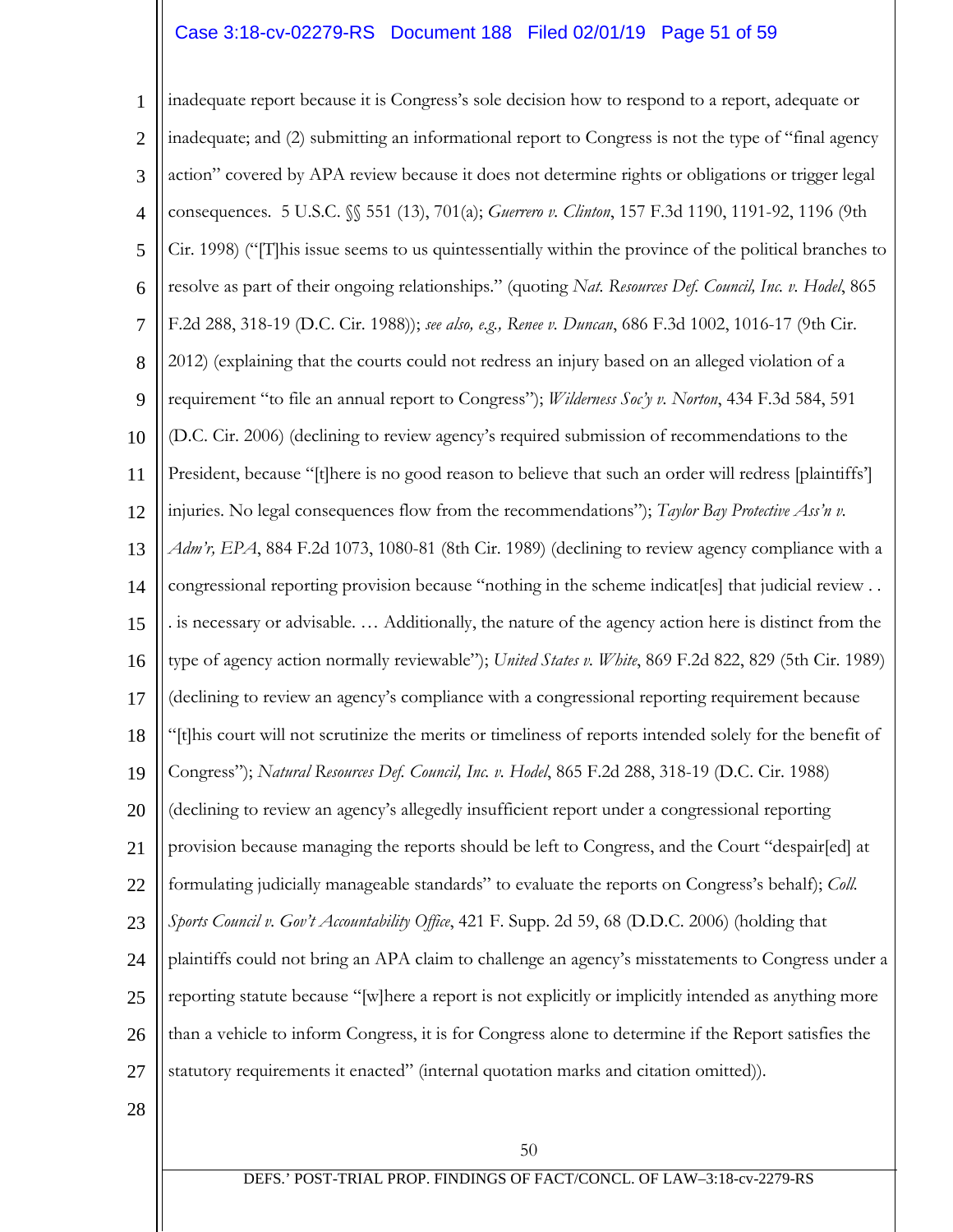# Case 3:18-cv-02279-RS Document 188 Filed 02/01/19 Page 51 of 59

1 2 3 4 5 6 7 8 9 10 11 12 13 14 15 16 17 18 19 20 21 22 23 24 25 26 27 inadequate report because it is Congress's sole decision how to respond to a report, adequate or inadequate; and (2) submitting an informational report to Congress is not the type of "final agency action" covered by APA review because it does not determine rights or obligations or trigger legal consequences. 5 U.S.C. §§ 551 (13), 701(a); *Guerrero v. Clinton*, 157 F.3d 1190, 1191-92, 1196 (9th Cir. 1998) ("[T]his issue seems to us quintessentially within the province of the political branches to resolve as part of their ongoing relationships." (quoting *Nat. Resources Def. Council, Inc. v. Hodel*, 865 F.2d 288, 318-19 (D.C. Cir. 1988)); *see also, e.g., Renee v. Duncan*, 686 F.3d 1002, 1016-17 (9th Cir. 2012) (explaining that the courts could not redress an injury based on an alleged violation of a requirement "to file an annual report to Congress"); *Wilderness Soc'y v. Norton*, 434 F.3d 584, 591 (D.C. Cir. 2006) (declining to review agency's required submission of recommendations to the President, because "[t]here is no good reason to believe that such an order will redress [plaintiffs'] injuries. No legal consequences flow from the recommendations"); *Taylor Bay Protective Ass'n v. Adm'r, EPA*, 884 F.2d 1073, 1080-81 (8th Cir. 1989) (declining to review agency compliance with a congressional reporting provision because "nothing in the scheme indicat[es] that judicial review . . . is necessary or advisable. … Additionally, the nature of the agency action here is distinct from the type of agency action normally reviewable"); *United States v. White*, 869 F.2d 822, 829 (5th Cir. 1989) (declining to review an agency's compliance with a congressional reporting requirement because "[t]his court will not scrutinize the merits or timeliness of reports intended solely for the benefit of Congress"); *Natural Resources Def. Council, Inc. v. Hodel*, 865 F.2d 288, 318-19 (D.C. Cir. 1988) (declining to review an agency's allegedly insufficient report under a congressional reporting provision because managing the reports should be left to Congress, and the Court "despair[ed] at formulating judicially manageable standards" to evaluate the reports on Congress's behalf); *Coll. Sports Council v. Gov't Accountability Office*, 421 F. Supp. 2d 59, 68 (D.D.C. 2006) (holding that plaintiffs could not bring an APA claim to challenge an agency's misstatements to Congress under a reporting statute because "[w]here a report is not explicitly or implicitly intended as anything more than a vehicle to inform Congress, it is for Congress alone to determine if the Report satisfies the statutory requirements it enacted" (internal quotation marks and citation omitted)).

28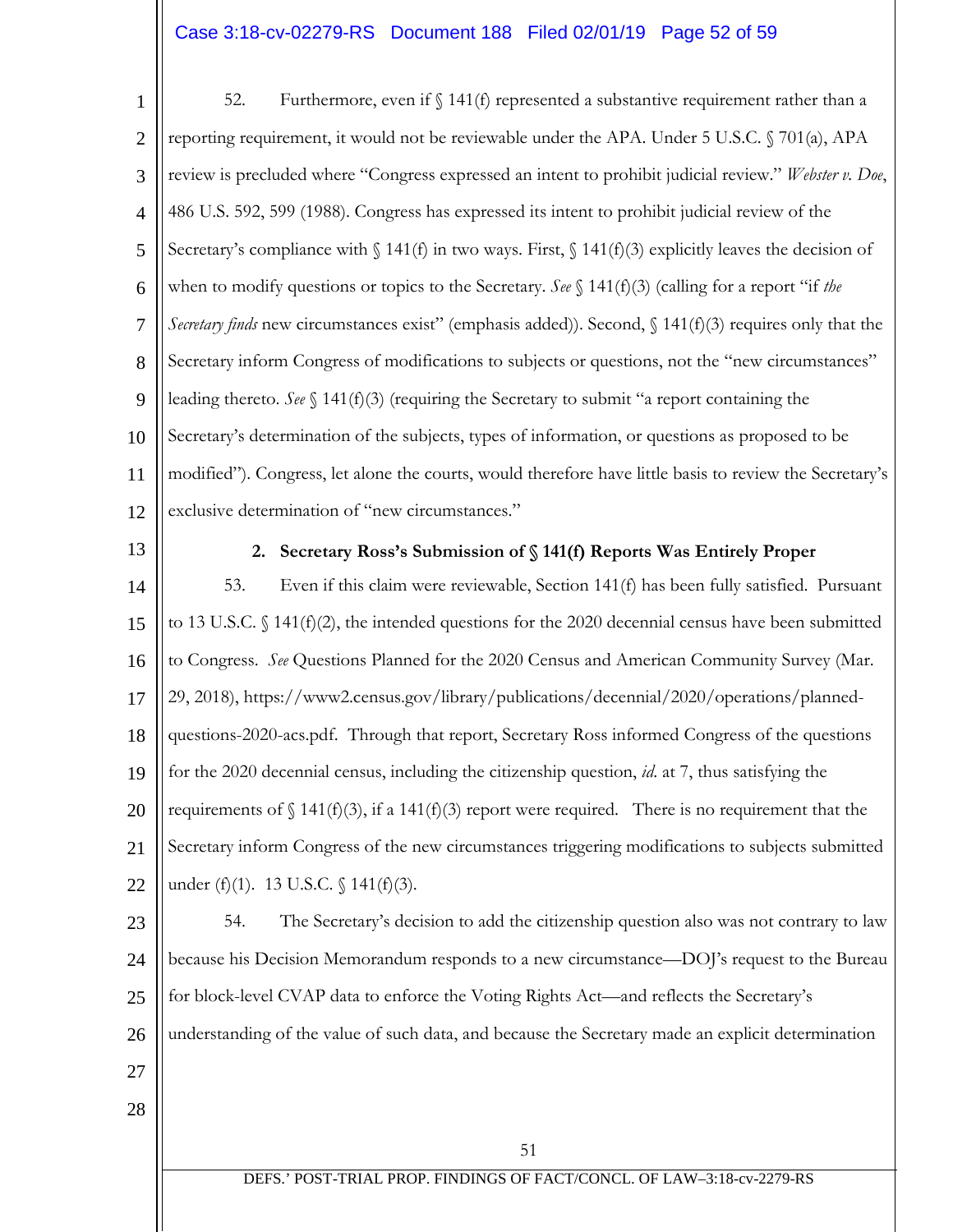# Case 3:18-cv-02279-RS Document 188 Filed 02/01/19 Page 52 of 59

1 2 3 4 5 6 7 8 9 10 11 12 52. Furthermore, even if  $\int$  141(f) represented a substantive requirement rather than a reporting requirement, it would not be reviewable under the APA. Under 5 U.S.C. § 701(a), APA review is precluded where "Congress expressed an intent to prohibit judicial review." *Webster v. Doe*, 486 U.S. 592, 599 (1988). Congress has expressed its intent to prohibit judicial review of the Secretary's compliance with  $\{\ 141(f)$  in two ways. First,  $\{\ 141(f)(3)$  explicitly leaves the decision of when to modify questions or topics to the Secretary. *See*  $\S$  141(f)(3) (calling for a report "if *the Secretary finds* new circumstances exist" (emphasis added)). Second, § 141(f)(3) requires only that the Secretary inform Congress of modifications to subjects or questions, not the "new circumstances" leading thereto. *See*  $\S$  141(f)(3) (requiring the Secretary to submit "a report containing the Secretary's determination of the subjects, types of information, or questions as proposed to be modified"). Congress, let alone the courts, would therefore have little basis to review the Secretary's exclusive determination of "new circumstances."

13

#### **2. Secretary Ross's Submission of § 141(f) Reports Was Entirely Proper**

14 15 16 17 18 19 20 21 22 53. Even if this claim were reviewable, Section 141(f) has been fully satisfied. Pursuant to 13 U.S.C.  $\oint$  141(f)(2), the intended questions for the 2020 decennial census have been submitted to Congress. *See* Questions Planned for the 2020 Census and American Community Survey (Mar. 29, 2018), https://www2.census.gov/library/publications/decennial/2020/operations/plannedquestions-2020-acs.pdf. Through that report, Secretary Ross informed Congress of the questions for the 2020 decennial census, including the citizenship question, *id*. at 7, thus satisfying the requirements of  $\binom{141(f)(3)}{f}$ , if a 141(f)(3) report were required. There is no requirement that the Secretary inform Congress of the new circumstances triggering modifications to subjects submitted under (f)(1). 13 U.S.C. § 141(f)(3).

23 24 25 26 54. The Secretary's decision to add the citizenship question also was not contrary to law because his Decision Memorandum responds to a new circumstance—DOJ's request to the Bureau for block-level CVAP data to enforce the Voting Rights Act—and reflects the Secretary's understanding of the value of such data, and because the Secretary made an explicit determination

- 27
- 28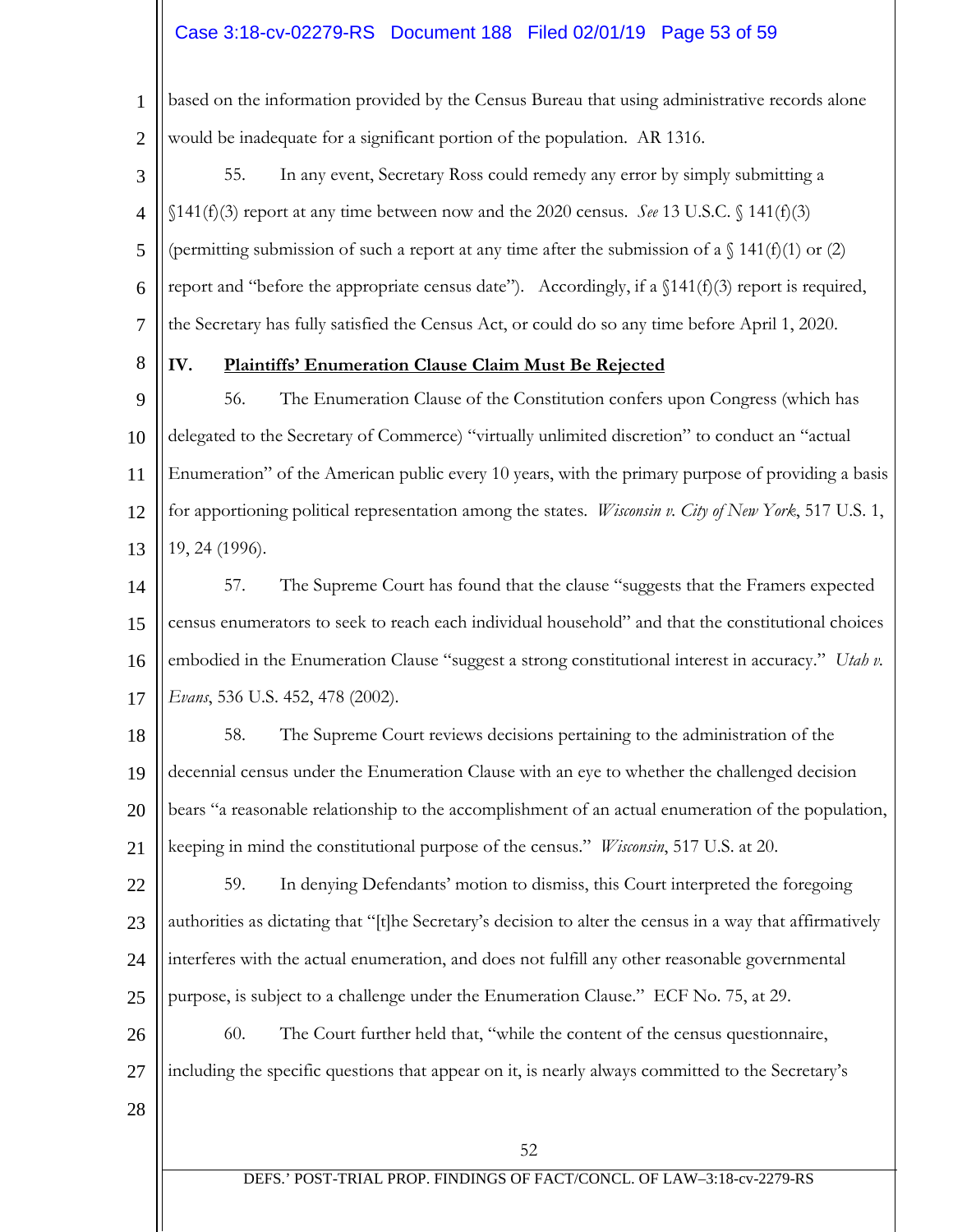# Case 3:18-cv-02279-RS Document 188 Filed 02/01/19 Page 53 of 59

1 2 based on the information provided by the Census Bureau that using administrative records alone would be inadequate for a significant portion of the population. AR 1316.

- 3 4 5 6 7 55. In any event, Secretary Ross could remedy any error by simply submitting a  $$141(f)(3)$  report at any time between now and the 2020 census. *See* 13 U.S.C.  $$141(f)(3)$ (permitting submission of such a report at any time after the submission of a  $\binom{141(f)(1)}{2}$  or (2) report and "before the appropriate census date"). Accordingly, if a §141(f)(3) report is required, the Secretary has fully satisfied the Census Act, or could do so any time before April 1, 2020.
- 8

## **IV. Plaintiffs' Enumeration Clause Claim Must Be Rejected**

9 10 11 12 13 56. The Enumeration Clause of the Constitution confers upon Congress (which has delegated to the Secretary of Commerce) "virtually unlimited discretion" to conduct an "actual Enumeration" of the American public every 10 years, with the primary purpose of providing a basis for apportioning political representation among the states. *Wisconsin v. City of New York*, 517 U.S. 1, 19, 24 (1996).

14 15 16 17 57. The Supreme Court has found that the clause "suggests that the Framers expected census enumerators to seek to reach each individual household" and that the constitutional choices embodied in the Enumeration Clause "suggest a strong constitutional interest in accuracy." *Utah v. Evans*, 536 U.S. 452, 478 (2002).

- 18 19 20 21 58. The Supreme Court reviews decisions pertaining to the administration of the decennial census under the Enumeration Clause with an eye to whether the challenged decision bears "a reasonable relationship to the accomplishment of an actual enumeration of the population, keeping in mind the constitutional purpose of the census." *Wisconsin*, 517 U.S. at 20.
- 22 23 24 25 59. In denying Defendants' motion to dismiss, this Court interpreted the foregoing authorities as dictating that "[t]he Secretary's decision to alter the census in a way that affirmatively interferes with the actual enumeration, and does not fulfill any other reasonable governmental purpose, is subject to a challenge under the Enumeration Clause." ECF No. 75, at 29.

26 27 60. The Court further held that, "while the content of the census questionnaire, including the specific questions that appear on it, is nearly always committed to the Secretary's

28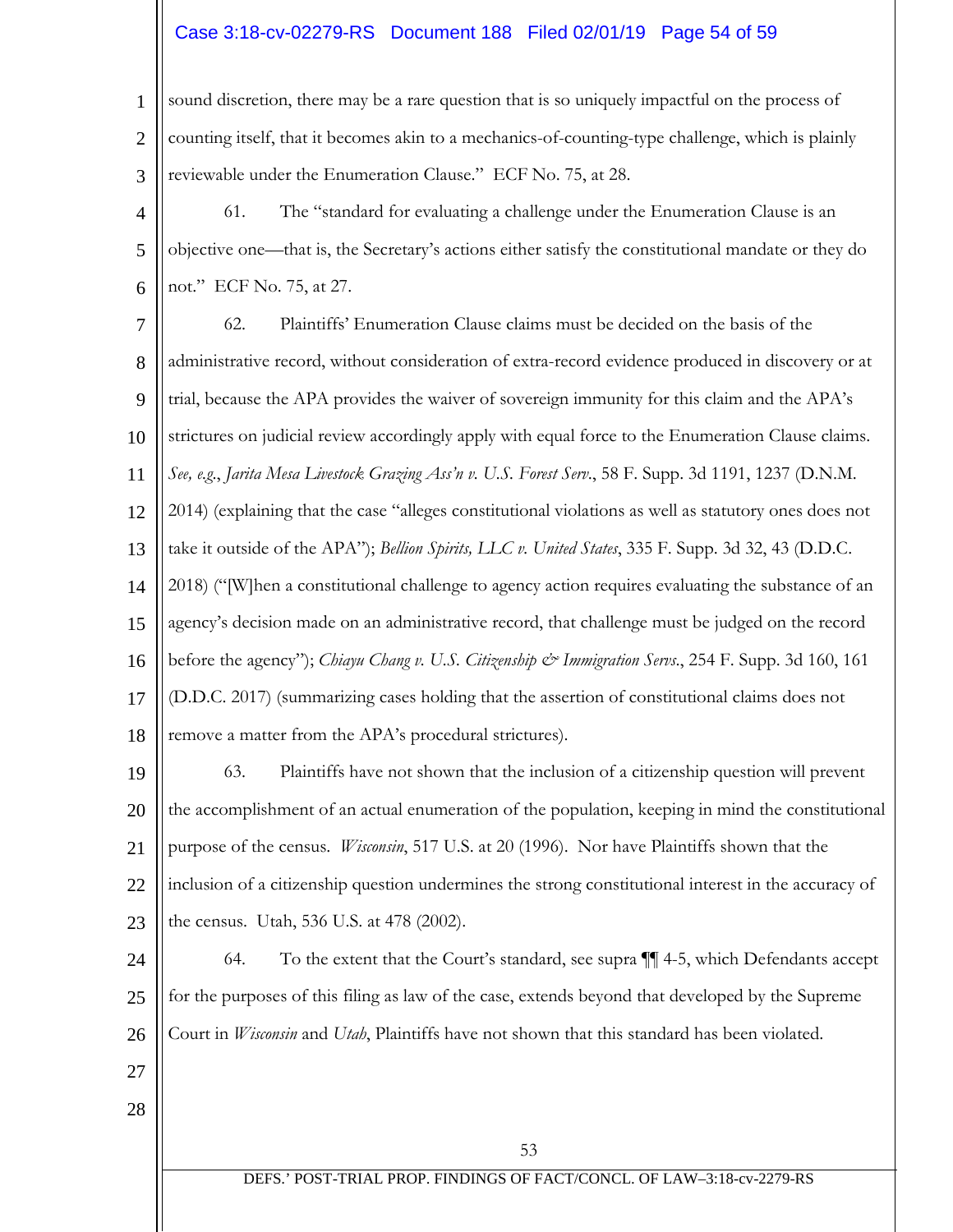# Case 3:18-cv-02279-RS Document 188 Filed 02/01/19 Page 54 of 59

1 2 3 sound discretion, there may be a rare question that is so uniquely impactful on the process of counting itself, that it becomes akin to a mechanics-of-counting-type challenge, which is plainly reviewable under the Enumeration Clause." ECF No. 75, at 28.

4 5 6 61. The "standard for evaluating a challenge under the Enumeration Clause is an objective one—that is, the Secretary's actions either satisfy the constitutional mandate or they do not." ECF No. 75, at 27.

7 8 9 10 11 12 13 14 15 16 17 18 62. Plaintiffs' Enumeration Clause claims must be decided on the basis of the administrative record, without consideration of extra-record evidence produced in discovery or at trial, because the APA provides the waiver of sovereign immunity for this claim and the APA's strictures on judicial review accordingly apply with equal force to the Enumeration Clause claims. *See, e.g*., *Jarita Mesa Livestock Grazing Ass'n v. U.S. Forest Serv*., 58 F. Supp. 3d 1191, 1237 (D.N.M. 2014) (explaining that the case "alleges constitutional violations as well as statutory ones does not take it outside of the APA"); *Bellion Spirits, LLC v. United States*, 335 F. Supp. 3d 32, 43 (D.D.C. 2018) ("[W]hen a constitutional challenge to agency action requires evaluating the substance of an agency's decision made on an administrative record, that challenge must be judged on the record before the agency"); *Chiayu Chang v. U.S. Citizenship & Immigration Servs*., 254 F. Supp. 3d 160, 161 (D.D.C. 2017) (summarizing cases holding that the assertion of constitutional claims does not remove a matter from the APA's procedural strictures).

19 20 21 22 23 63. Plaintiffs have not shown that the inclusion of a citizenship question will prevent the accomplishment of an actual enumeration of the population, keeping in mind the constitutional purpose of the census. *Wisconsin*, 517 U.S. at 20 (1996). Nor have Plaintiffs shown that the inclusion of a citizenship question undermines the strong constitutional interest in the accuracy of the census. Utah, 536 U.S. at 478 (2002).

24 25 26 64. To the extent that the Court's standard, see supra ¶¶ 4-5, which Defendants accept for the purposes of this filing as law of the case, extends beyond that developed by the Supreme Court in *Wisconsin* and *Utah*, Plaintiffs have not shown that this standard has been violated.

- 27
- 28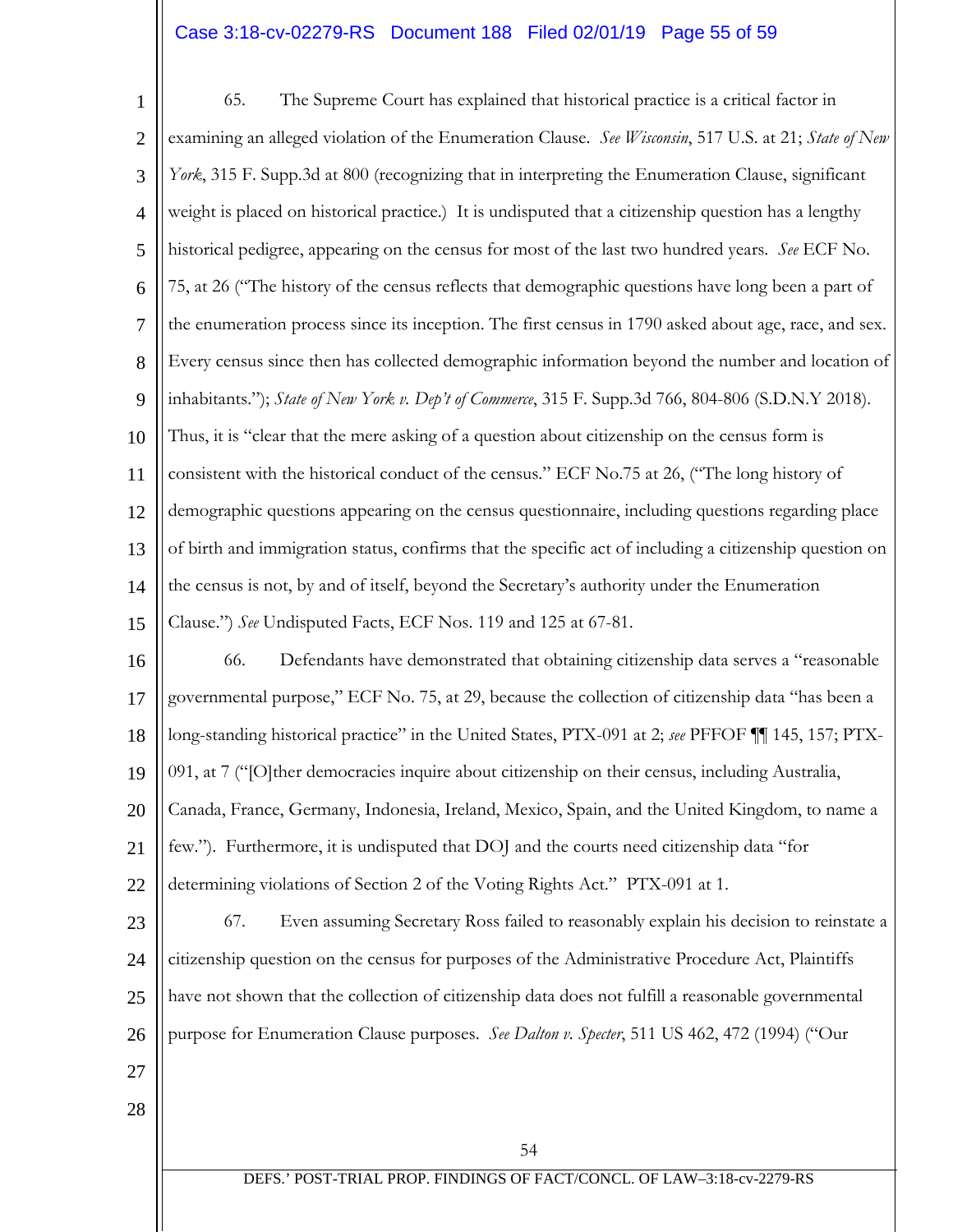# Case 3:18-cv-02279-RS Document 188 Filed 02/01/19 Page 55 of 59

54 DEFS.' POST-TRIAL PROP. FINDINGS OF FACT/CONCL. OF LAW–3:18-cv-2279-RS 1 2 3 4 5 6 7 8 9 10 11 12 13 14 15 16 17 18 19 20 21 22 23 24 25 26 27 28 65. The Supreme Court has explained that historical practice is a critical factor in examining an alleged violation of the Enumeration Clause. *See Wisconsin*, 517 U.S. at 21; *State of New York*, 315 F. Supp.3d at 800 (recognizing that in interpreting the Enumeration Clause, significant weight is placed on historical practice.) It is undisputed that a citizenship question has a lengthy historical pedigree, appearing on the census for most of the last two hundred years. *See* ECF No. 75, at 26 ("The history of the census reflects that demographic questions have long been a part of the enumeration process since its inception. The first census in 1790 asked about age, race, and sex. Every census since then has collected demographic information beyond the number and location of inhabitants."); *State of New York v. Dep't of Commerce*, 315 F. Supp.3d 766, 804-806 (S.D.N.Y 2018). Thus, it is "clear that the mere asking of a question about citizenship on the census form is consistent with the historical conduct of the census." ECF No.75 at 26, ("The long history of demographic questions appearing on the census questionnaire, including questions regarding place of birth and immigration status, confirms that the specific act of including a citizenship question on the census is not, by and of itself, beyond the Secretary's authority under the Enumeration Clause.") *See* Undisputed Facts, ECF Nos. 119 and 125 at 67-81. 66. Defendants have demonstrated that obtaining citizenship data serves a "reasonable governmental purpose," ECF No. 75, at 29, because the collection of citizenship data "has been a long-standing historical practice" in the United States, PTX-091 at 2; *see* PFFOF ¶¶ 145, 157; PTX-091, at 7 ("[O]ther democracies inquire about citizenship on their census, including Australia, Canada, France, Germany, Indonesia, Ireland, Mexico, Spain, and the United Kingdom, to name a few."). Furthermore, it is undisputed that DOJ and the courts need citizenship data "for determining violations of Section 2 of the Voting Rights Act." PTX-091 at 1. 67. Even assuming Secretary Ross failed to reasonably explain his decision to reinstate a citizenship question on the census for purposes of the Administrative Procedure Act, Plaintiffs have not shown that the collection of citizenship data does not fulfill a reasonable governmental purpose for Enumeration Clause purposes. *See Dalton v. Specter*, 511 US 462, 472 (1994) ("Our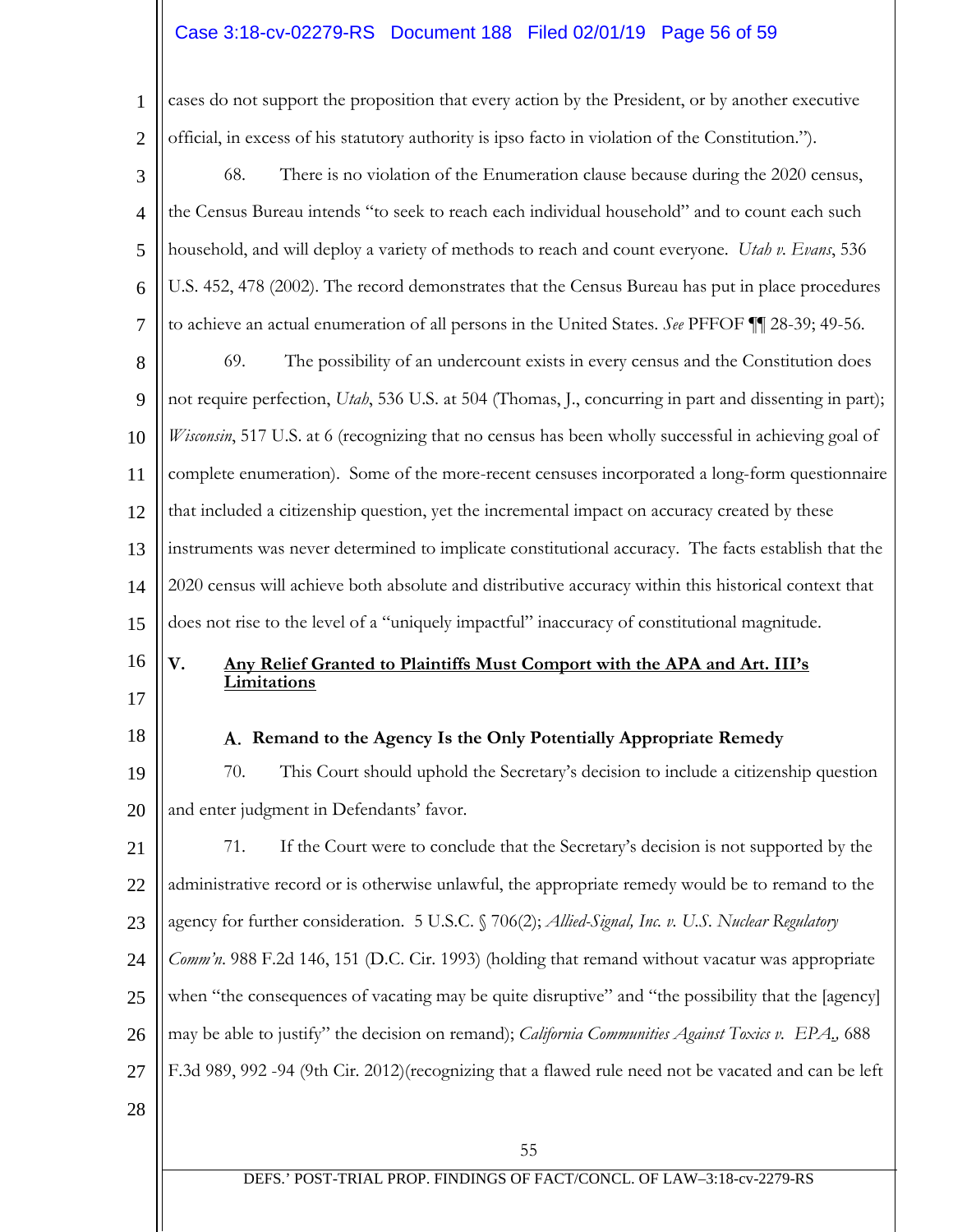# Case 3:18-cv-02279-RS Document 188 Filed 02/01/19 Page 56 of 59

| 1              | cases do not support the proposition that every action by the President, or by another executive               |  |  |  |  |
|----------------|----------------------------------------------------------------------------------------------------------------|--|--|--|--|
| $\overline{2}$ | official, in excess of his statutory authority is ipso facto in violation of the Constitution.").              |  |  |  |  |
| 3              | 68.<br>There is no violation of the Enumeration clause because during the 2020 census,                         |  |  |  |  |
| $\overline{4}$ | the Census Bureau intends "to seek to reach each individual household" and to count each such                  |  |  |  |  |
| 5              | household, and will deploy a variety of methods to reach and count everyone. Utah v. Evans, 536                |  |  |  |  |
| 6              | U.S. 452, 478 (2002). The record demonstrates that the Census Bureau has put in place procedures               |  |  |  |  |
| 7              | to achieve an actual enumeration of all persons in the United States. See PFFOF III 28-39; 49-56.              |  |  |  |  |
| 8              | The possibility of an undercount exists in every census and the Constitution does<br>69.                       |  |  |  |  |
| 9              | not require perfection, <i>Utah</i> , 536 U.S. at 504 (Thomas, J., concurring in part and dissenting in part); |  |  |  |  |
| 10             | Wisconsin, 517 U.S. at 6 (recognizing that no census has been wholly successful in achieving goal of           |  |  |  |  |
| 11             | complete enumeration). Some of the more-recent censuses incorporated a long-form questionnaire                 |  |  |  |  |
| 12             | that included a citizenship question, yet the incremental impact on accuracy created by these                  |  |  |  |  |
| 13             | instruments was never determined to implicate constitutional accuracy. The facts establish that the            |  |  |  |  |
| 14             | 2020 census will achieve both absolute and distributive accuracy within this historical context that           |  |  |  |  |
| 15             | does not rise to the level of a "uniquely impactful" inaccuracy of constitutional magnitude.                   |  |  |  |  |
| 16             | V.<br>Any Relief Granted to Plaintiffs Must Comport with the APA and Art. III's<br>Limitations                 |  |  |  |  |
| 17             |                                                                                                                |  |  |  |  |
| 18             | A. Remand to the Agency Is the Only Potentially Appropriate Remedy                                             |  |  |  |  |
| 19             | This Court should uphold the Secretary's decision to include a citizenship question<br>70.                     |  |  |  |  |
| 20             | and enter judgment in Defendants' favor.                                                                       |  |  |  |  |
| 21             | 71.<br>If the Court were to conclude that the Secretary's decision is not supported by the                     |  |  |  |  |
| 22             | administrative record or is otherwise unlawful, the appropriate remedy would be to remand to the               |  |  |  |  |
| 23             | agency for further consideration. 5 U.S.C. § 706(2); Allied-Signal, Inc. v. U.S. Nuclear Regulatory            |  |  |  |  |
| 24             | Comm'n. 988 F.2d 146, 151 (D.C. Cir. 1993) (holding that remand without vacatur was appropriate                |  |  |  |  |
| 25             | when "the consequences of vacating may be quite disruptive" and "the possibility that the [agency]             |  |  |  |  |
| 26             | may be able to justify" the decision on remand); California Communities Against Toxics v. EPA., 688            |  |  |  |  |
| 27             | F.3d 989, 992 -94 (9th Cir. 2012)(recognizing that a flawed rule need not be vacated and can be left           |  |  |  |  |
| 28             |                                                                                                                |  |  |  |  |
|                | 55                                                                                                             |  |  |  |  |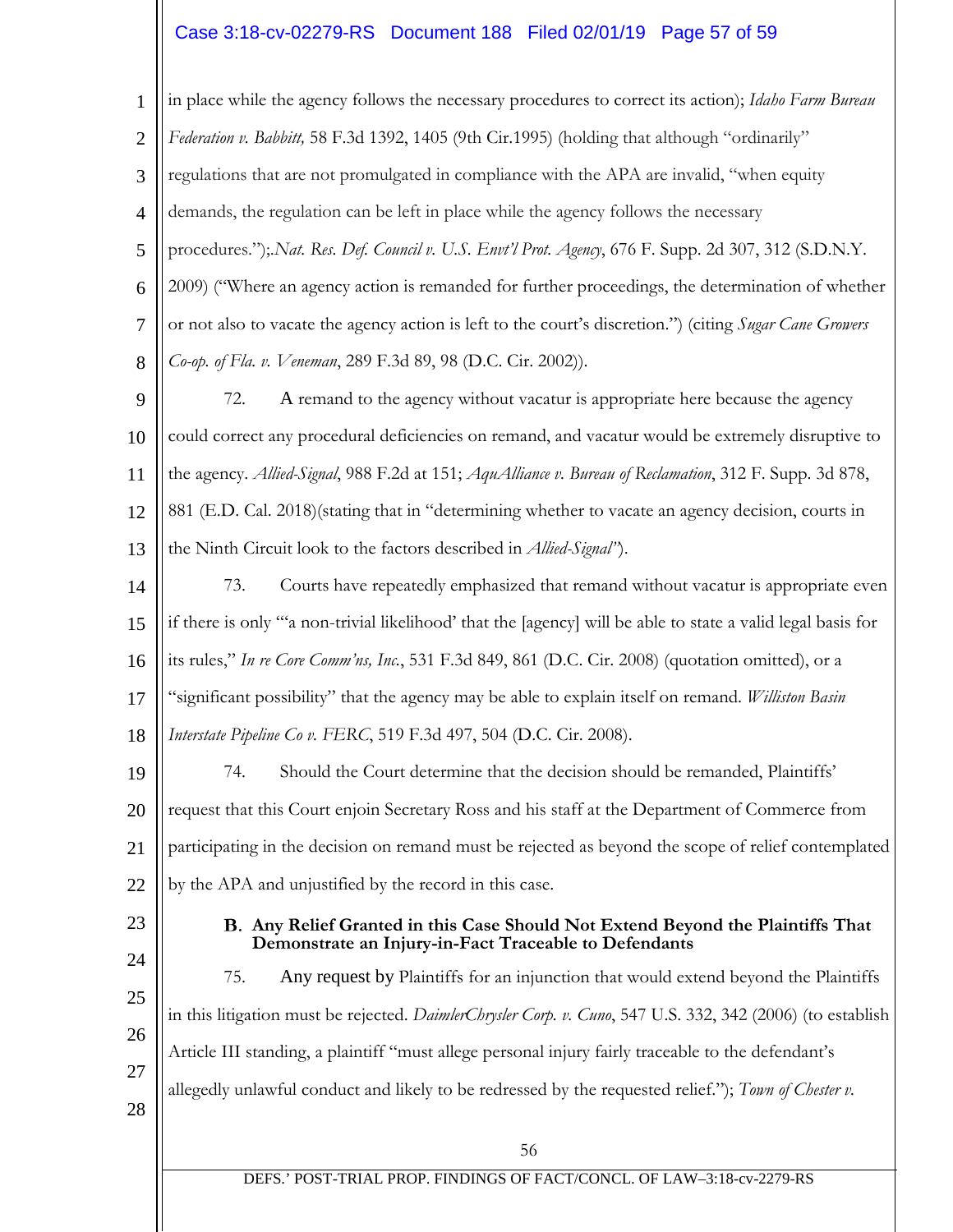## Case 3:18-cv-02279-RS Document 188 Filed 02/01/19 Page 57 of 59

56 DEFS.' POST-TRIAL PROP. FINDINGS OF FACT/CONCL. OF LAW–3:18-cv-2279-RS 1 2 3 4 5 6 7 8 9 10 11 12 13 14 15 16 17 18 19 20 21 22 23 24 25 26 27 28 in place while the agency follows the necessary procedures to correct its action); *Idaho Farm Bureau Federation v. Babbitt,* 58 F.3d 1392, 1405 (9th Cir.1995) (holding that although "ordinarily" regulations that are not promulgated in compliance with the APA are invalid, "when equity demands, the regulation can be left in place while the agency follows the necessary procedures.");.*Nat. Res. Def. Council v. U.S. Envt'l Prot. Agency*, 676 F. Supp. 2d 307, 312 (S.D.N.Y. 2009) ("Where an agency action is remanded for further proceedings, the determination of whether or not also to vacate the agency action is left to the court's discretion.") (citing *Sugar Cane Growers Co-op. of Fla. v. Veneman*, 289 F.3d 89, 98 (D.C. Cir. 2002)). 72. A remand to the agency without vacatur is appropriate here because the agency could correct any procedural deficiencies on remand, and vacatur would be extremely disruptive to the agency. *Allied-Signal*, 988 F.2d at 151; *AquAlliance v. Bureau of Reclamation*, 312 F. Supp. 3d 878, 881 (E.D. Cal. 2018)(stating that in "determining whether to vacate an agency decision, courts in the Ninth Circuit look to the factors described in *Allied-Signal"*). 73. Courts have repeatedly emphasized that remand without vacatur is appropriate even if there is only "'a non-trivial likelihood' that the [agency] will be able to state a valid legal basis for its rules," *In re Core Comm'ns, Inc.*, 531 F.3d 849, 861 (D.C. Cir. 2008) (quotation omitted), or a "significant possibility" that the agency may be able to explain itself on remand. *Williston Basin Interstate Pipeline Co v. FERC*, 519 F.3d 497, 504 (D.C. Cir. 2008). 74. Should the Court determine that the decision should be remanded, Plaintiffs' request that this Court enjoin Secretary Ross and his staff at the Department of Commerce from participating in the decision on remand must be rejected as beyond the scope of relief contemplated by the APA and unjustified by the record in this case. **Any Relief Granted in this Case Should Not Extend Beyond the Plaintiffs That Demonstrate an Injury-in-Fact Traceable to Defendants** 75. Any request by Plaintiffs for an injunction that would extend beyond the Plaintiffs in this litigation must be rejected. *DaimlerChrysler Corp. v. Cuno*, 547 U.S. 332, 342 (2006) (to establish Article III standing, a plaintiff "must allege personal injury fairly traceable to the defendant's allegedly unlawful conduct and likely to be redressed by the requested relief."); *Town of Chester v.*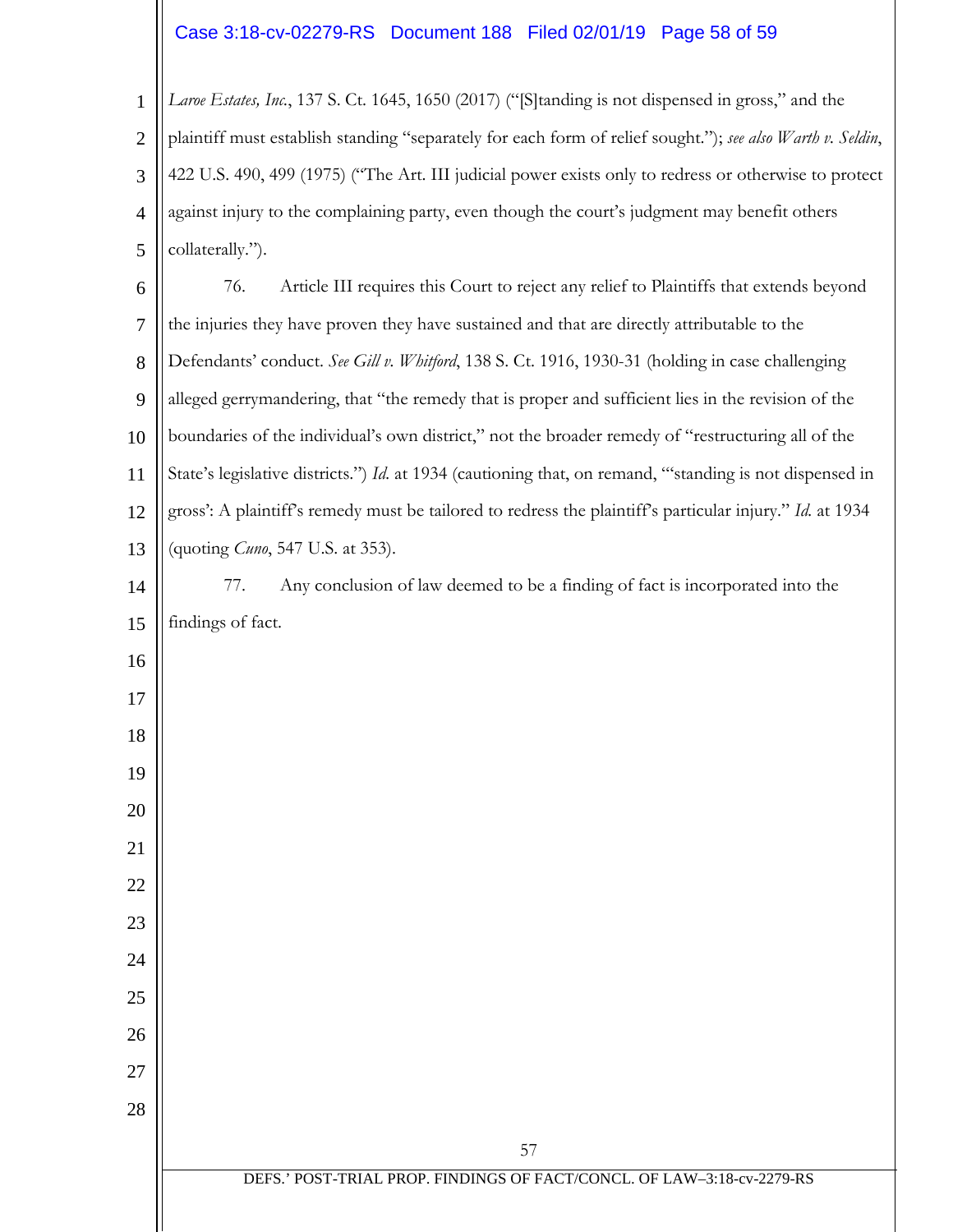# Case 3:18-cv-02279-RS Document 188 Filed 02/01/19 Page 58 of 59

 *Laroe Estates, Inc.*, 137 S. Ct. 1645, 1650 (2017) ("[S]tanding is not dispensed in gross," and the plaintiff must establish standing "separately for each form of relief sought."); *see also Warth v. Seldin*, 422 U.S. 490, 499 (1975) ("The Art. III judicial power exists only to redress or otherwise to protect against injury to the complaining party, even though the court's judgment may benefit others collaterally.").

 76. Article III requires this Court to reject any relief to Plaintiffs that extends beyond the injuries they have proven they have sustained and that are directly attributable to the Defendants' conduct. *See Gill v. Whitford*, 138 S. Ct. 1916, 1930-31 (holding in case challenging alleged gerrymandering, that "the remedy that is proper and sufficient lies in the revision of the boundaries of the individual's own district," not the broader remedy of "restructuring all of the State's legislative districts.") *Id.* at 1934 (cautioning that, on remand, "'standing is not dispensed in gross': A plaintiff's remedy must be tailored to redress the plaintiff's particular injury." *Id.* at 1934 (quoting *Cuno*, 547 U.S. at 353).

 77. Any conclusion of law deemed to be a finding of fact is incorporated into the findings of fact.